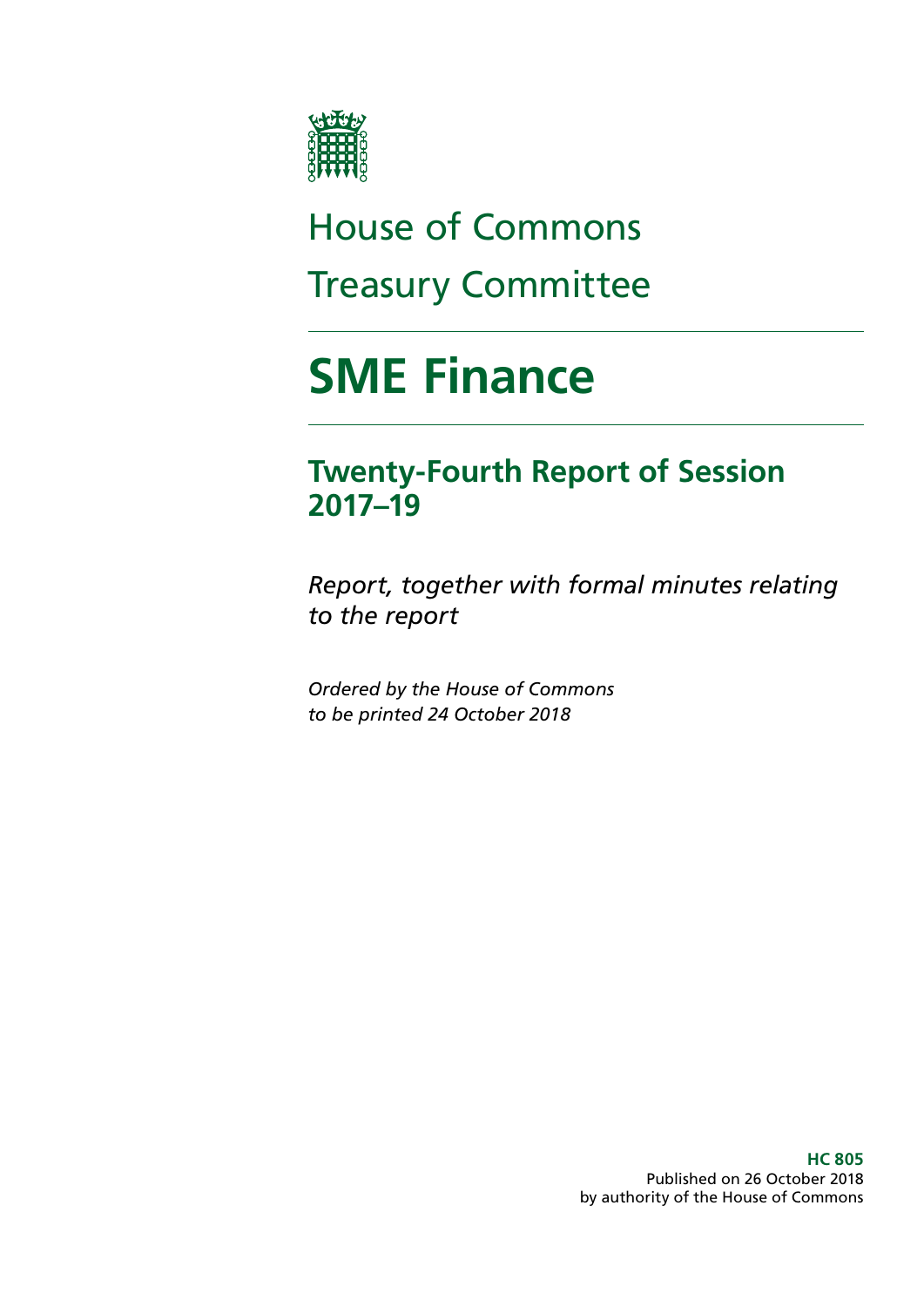

# House of Commons Treasury Committee

# **SME Finance**

# **Twenty-Fourth Report of Session 2017–19**

*Report, together with formal minutes relating to the report*

*Ordered by the House of Commons to be printed 24 October 2018*

> **HC 805** Published on 26 October 2018 by authority of the House of Commons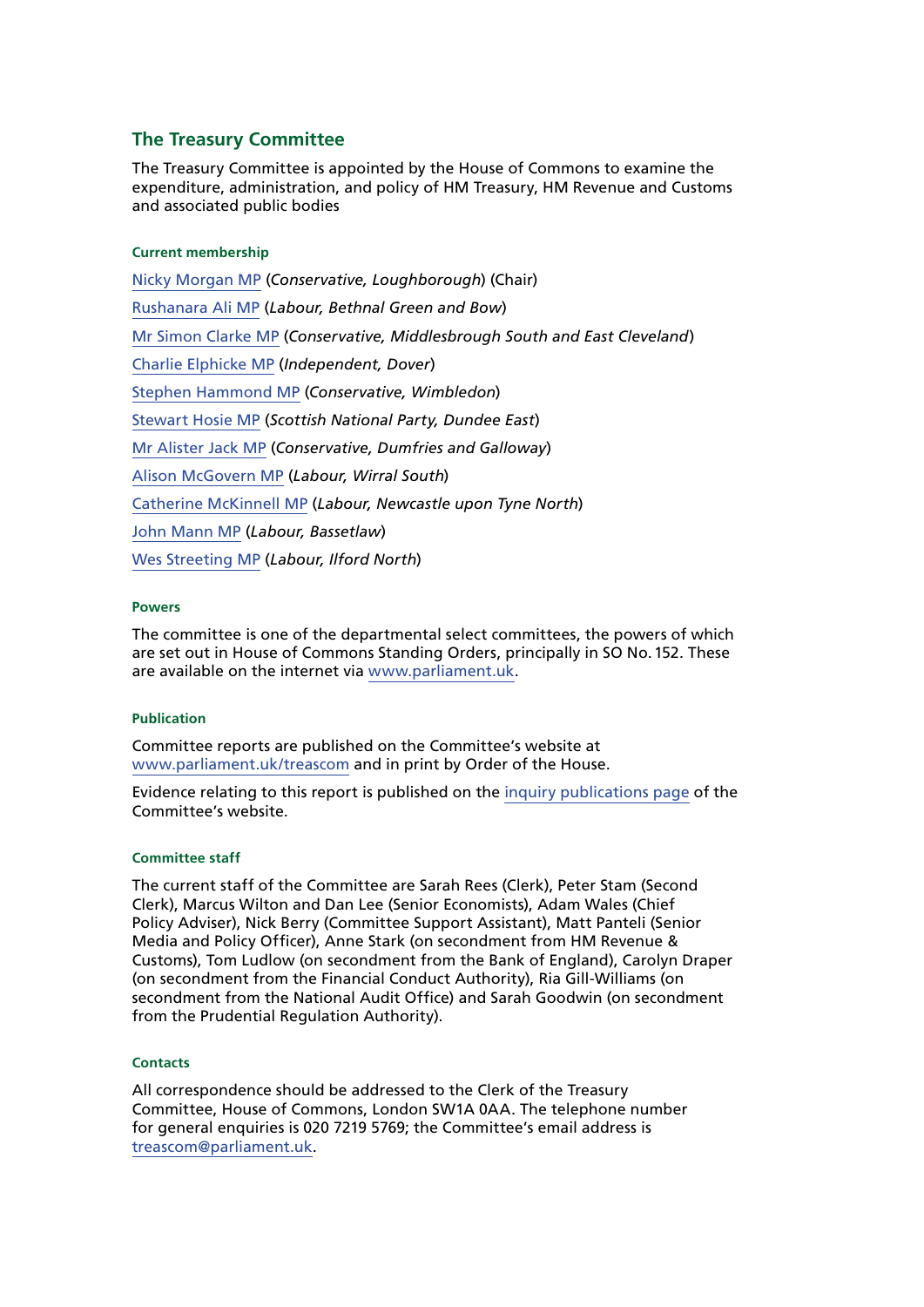#### **The Treasury Committee**

The Treasury Committee is appointed by the House of Commons to examine the expenditure, administration, and policy of HM Treasury, HM Revenue and Customs and associated public bodies

#### **Current membership**

[Nicky Morgan MP](https://www.parliament.uk/biographies/commons/nicky-morgan/4027) (*Conservative, Loughborough*) (Chair) [Rushanara Ali MP](https://www.parliament.uk/biographies/commons/rushanara-ali/4138) (*Labour, Bethnal Green and Bow*) [Mr Simon Clarke MP](https://www.parliament.uk/biographies/commons/mr-simon-clarke/4655) (*Conservative, Middlesbrough South and East Cleveland*) [Charlie Elphicke MP](https://www.parliament.uk/biographies/commons/charlie-elphicke/3971) (*Independent, Dover*) [Stephen Hammond MP](https://www.parliament.uk/biographies/commons/stephen-hammond/1585) (*Conservative, Wimbledon*) [Stewart Hosie MP](https://www.parliament.uk/biographies/commons/stewart-hosie/1514) (*Scottish National Party, Dundee East*) [Mr Alister Jack MP](https://www.parliament.uk/biographies/commons/mr-alister-jack/4619) (*Conservative, Dumfries and Galloway*) [Alison McGovern MP](https://www.parliament.uk/biographies/commons/alison-mcgovern/4083) (*Labour, Wirral South*) [Catherine McKinnell MP](https://www.parliament.uk/biographies/commons/catherine-mckinnell/4125) (*Labour, Newcastle upon Tyne North*) [John Mann MP](https://www.parliament.uk/biographies/commons/john-mann/1387) (*Labour, Bassetlaw*) [Wes Streeting MP](https://www.parliament.uk/biographies/commons/wes-streeting/4504) (*Labour, Ilford North*)

#### **Powers**

The committee is one of the departmental select committees, the powers of which are set out in House of Commons Standing Orders, principally in SO No.152. These are available on the internet via [www.parliament.uk.](http://www.parliament.uk/)

#### **Publication**

Committee reports are published on the Committee's website at [www.parliament.uk/treascom](http://www.parliament.uk/treascom) and in print by Order of the House.

Evidence relating to this report is published on the [inquiry publications page](https://www.parliament.uk/business/committees/committees-a-z/commons-select/treasury-committee/inquiries1/parliament-2017/sme-finance-17-19/publications/) of the Committee's website.

#### **Committee staff**

The current staff of the Committee are Sarah Rees (Clerk), Peter Stam (Second Clerk), Marcus Wilton and Dan Lee (Senior Economists), Adam Wales (Chief Policy Adviser), Nick Berry (Committee Support Assistant), Matt Panteli (Senior Media and Policy Officer), Anne Stark (on secondment from HM Revenue & Customs), Tom Ludlow (on secondment from the Bank of England), Carolyn Draper (on secondment from the Financial Conduct Authority), Ria Gill-Williams (on secondment from the National Audit Office) and Sarah Goodwin (on secondment from the Prudential Regulation Authority).

#### **Contacts**

All correspondence should be addressed to the Clerk of the Treasury Committee, House of Commons, London SW1A 0AA. The telephone number for general enquiries is 020 7219 5769; the Committee's email address is [treascom@parliament.uk](mailto:Treascom%40parliament.uk?subject=).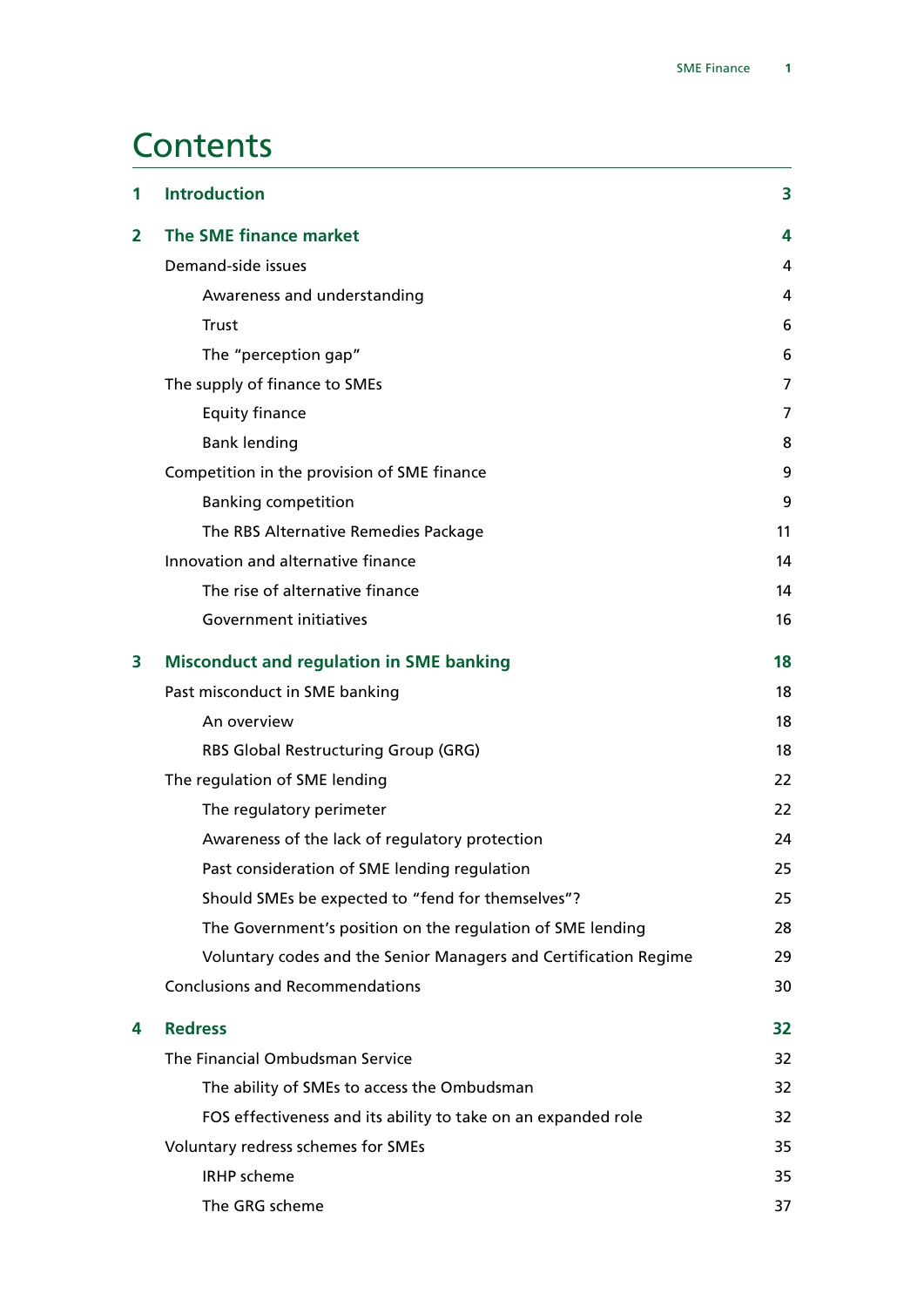# **Contents**

| 1 | <b>Introduction</b>                                              | 3              |
|---|------------------------------------------------------------------|----------------|
| 2 | The SME finance market                                           | 4              |
|   | Demand-side issues                                               | 4              |
|   | Awareness and understanding                                      | 4              |
|   | <b>Trust</b>                                                     | 6              |
|   | The "perception gap"                                             | 6              |
|   | The supply of finance to SMEs                                    | $\overline{7}$ |
|   | <b>Equity finance</b>                                            | 7              |
|   | <b>Bank lending</b>                                              | 8              |
|   | Competition in the provision of SME finance                      | 9              |
|   | <b>Banking competition</b>                                       | 9              |
|   | The RBS Alternative Remedies Package                             | 11             |
|   | Innovation and alternative finance                               | 14             |
|   | The rise of alternative finance                                  | 14             |
|   | Government initiatives                                           | 16             |
| 3 | <b>Misconduct and regulation in SME banking</b>                  | 18             |
|   | Past misconduct in SME banking                                   | 18             |
|   | An overview                                                      | 18             |
|   | RBS Global Restructuring Group (GRG)                             | 18             |
|   | The regulation of SME lending                                    | 22             |
|   | The regulatory perimeter                                         | 22             |
|   | Awareness of the lack of regulatory protection                   | 24             |
|   | Past consideration of SME lending regulation                     | 25             |
|   | Should SMEs be expected to "fend for themselves"?                | 25             |
|   | The Government's position on the regulation of SME lending       | 28             |
|   | Voluntary codes and the Senior Managers and Certification Regime | 29             |
|   | <b>Conclusions and Recommendations</b>                           | 30             |
| 4 | <b>Redress</b>                                                   | 32             |
|   | The Financial Ombudsman Service                                  | 32             |
|   | The ability of SMEs to access the Ombudsman                      | 32             |
|   | FOS effectiveness and its ability to take on an expanded role    | 32             |
|   | Voluntary redress schemes for SMEs                               | 35             |
|   | <b>IRHP</b> scheme                                               | 35             |
|   | The GRG scheme                                                   | 37             |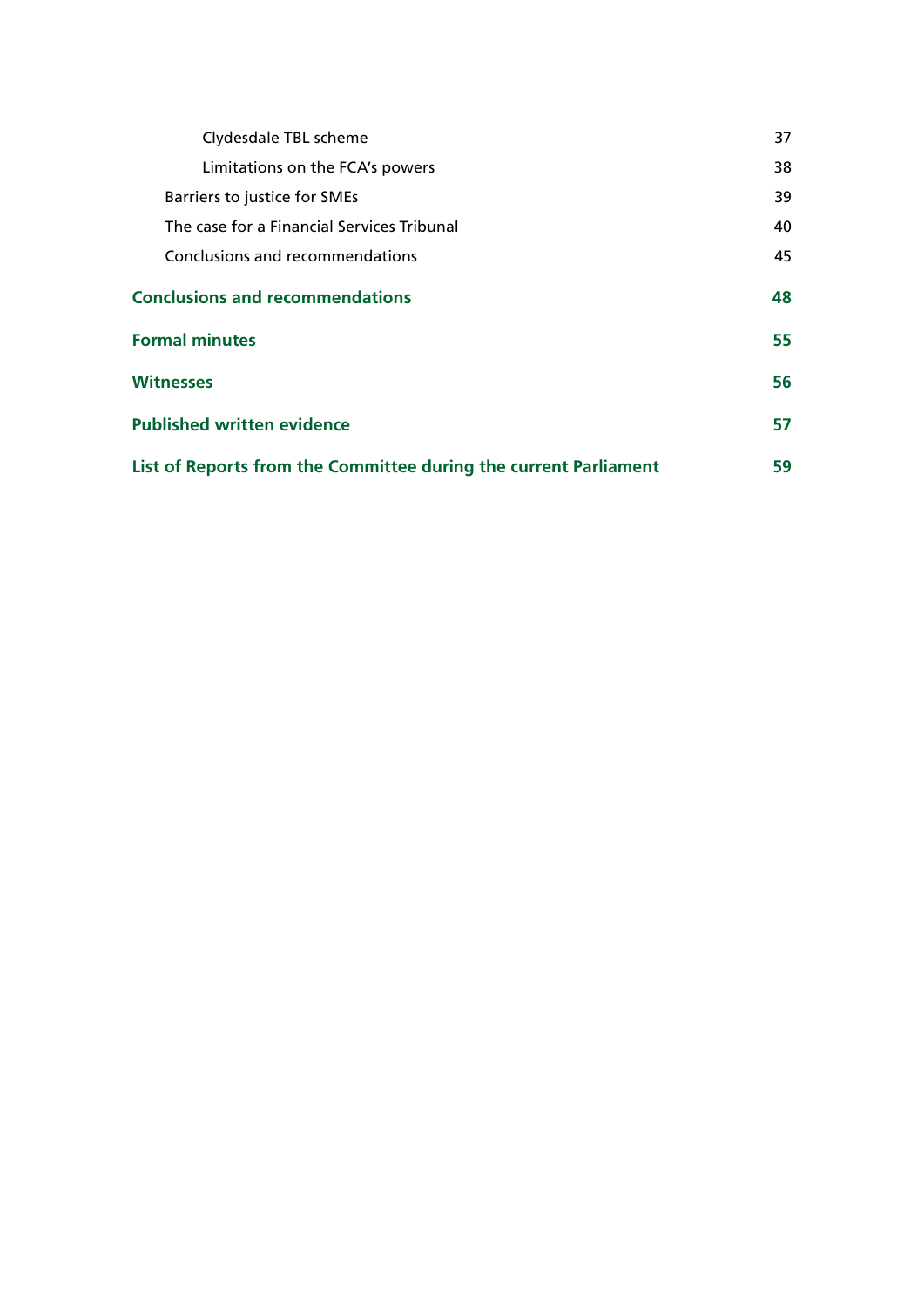| Clydesdale TBL scheme                                            | 37 |
|------------------------------------------------------------------|----|
| Limitations on the FCA's powers                                  | 38 |
| Barriers to justice for SMEs                                     | 39 |
| The case for a Financial Services Tribunal                       | 40 |
| Conclusions and recommendations                                  | 45 |
| <b>Conclusions and recommendations</b>                           |    |
| <b>Formal minutes</b>                                            |    |
| <b>Witnesses</b>                                                 | 56 |
| <b>Published written evidence</b>                                | 57 |
| List of Reports from the Committee during the current Parliament |    |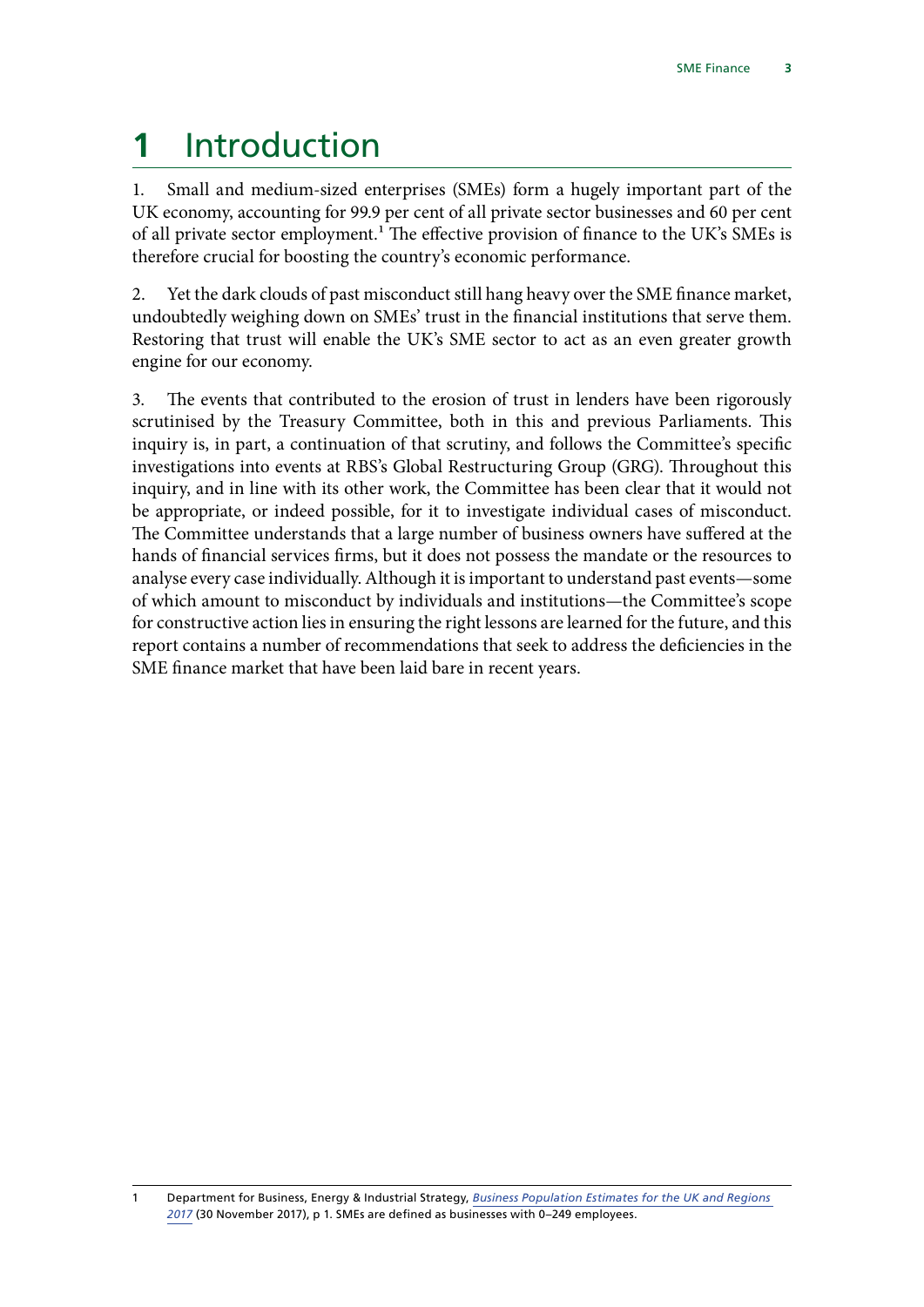# <span id="page-4-0"></span>**1** Introduction

1. Small and medium-sized enterprises (SMEs) form a hugely important part of the UK economy, accounting for 99.9 per cent of all private sector businesses and 60 per cent of all private sector employment.<sup>1</sup> The effective provision of finance to the UK's SMEs is therefore crucial for boosting the country's economic performance.

2. Yet the dark clouds of past misconduct still hang heavy over the SME finance market, undoubtedly weighing down on SMEs' trust in the financial institutions that serve them. Restoring that trust will enable the UK's SME sector to act as an even greater growth engine for our economy.

3. The events that contributed to the erosion of trust in lenders have been rigorously scrutinised by the Treasury Committee, both in this and previous Parliaments. This inquiry is, in part, a continuation of that scrutiny, and follows the Committee's specific investigations into events at RBS's Global Restructuring Group (GRG). Throughout this inquiry, and in line with its other work, the Committee has been clear that it would not be appropriate, or indeed possible, for it to investigate individual cases of misconduct. The Committee understands that a large number of business owners have suffered at the hands of financial services firms, but it does not possess the mandate or the resources to analyse every case individually. Although it is important to understand past events—some of which amount to misconduct by individuals and institutions—the Committee's scope for constructive action lies in ensuring the right lessons are learned for the future, and this report contains a number of recommendations that seek to address the deficiencies in the SME finance market that have been laid bare in recent years.

<sup>1</sup> Department for Business, Energy & Industrial Strategy, *[Business Population Estimates for the UK and Regions](https://assets.publishing.service.gov.uk/government/uploads/system/uploads/attachment_data/file/663235/bpe_2017_statistical_release.pdf)  [2017](https://assets.publishing.service.gov.uk/government/uploads/system/uploads/attachment_data/file/663235/bpe_2017_statistical_release.pdf)* (30 November 2017), p 1. SMEs are defined as businesses with 0–249 employees.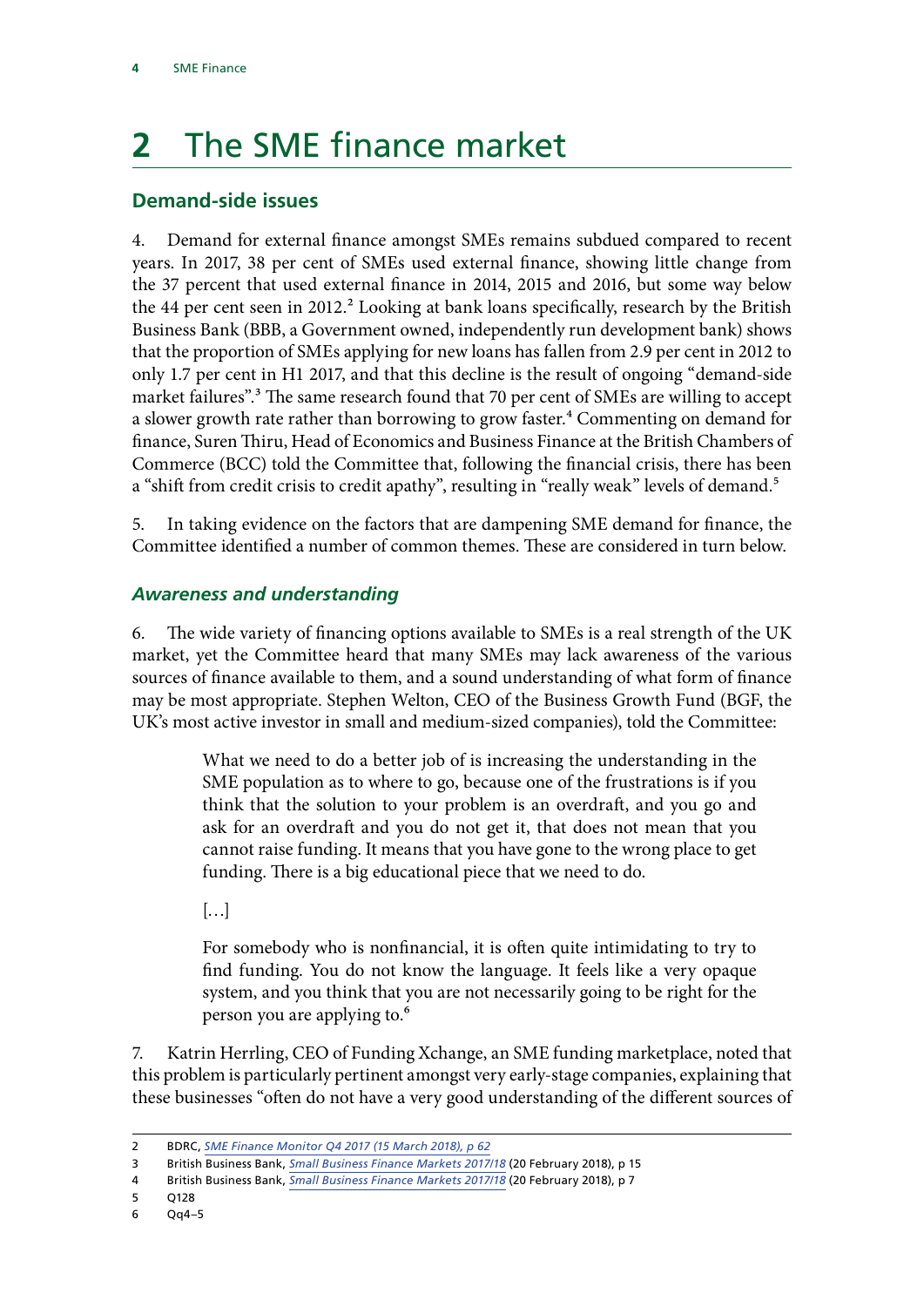# <span id="page-5-0"></span>**2** The SME finance market

# **Demand-side issues**

4. Demand for external finance amongst SMEs remains subdued compared to recent years. In 2017, 38 per cent of SMEs used external finance, showing little change from the 37 percent that used external finance in 2014, 2015 and 2016, but some way below the 44 per cent seen in 2012.<sup>2</sup> Looking at bank loans specifically, research by the British Business Bank (BBB, a Government owned, independently run development bank) shows that the proportion of SMEs applying for new loans has fallen from 2.9 per cent in 2012 to only 1.7 per cent in H1 2017, and that this decline is the result of ongoing "demand-side market failures".<sup>3</sup> The same research found that 70 per cent of SMEs are willing to accept a slower growth rate rather than borrowing to grow faster.<sup>4</sup> Commenting on demand for finance, Suren Thiru, Head of Economics and Business Finance at the British Chambers of Commerce (BCC) told the Committee that, following the financial crisis, there has been a "shift from credit crisis to credit apathy", resulting in "really weak" levels of demand.<sup>5</sup>

5. In taking evidence on the factors that are dampening SME demand for finance, the Committee identified a number of common themes. These are considered in turn below.

### *Awareness and understanding*

6. The wide variety of financing options available to SMEs is a real strength of the UK market, yet the Committee heard that many SMEs may lack awareness of the various sources of finance available to them, and a sound understanding of what form of finance may be most appropriate. Stephen Welton, CEO of the Business Growth Fund (BGF, the UK's most active investor in small and medium-sized companies), told the Committee:

> What we need to do a better job of is increasing the understanding in the SME population as to where to go, because one of the frustrations is if you think that the solution to your problem is an overdraft, and you go and ask for an overdraft and you do not get it, that does not mean that you cannot raise funding. It means that you have gone to the wrong place to get funding. There is a big educational piece that we need to do.

 $\left[\ldots\right]$ 

For somebody who is nonfinancial, it is often quite intimidating to try to find funding. You do not know the language. It feels like a very opaque system, and you think that you are not necessarily going to be right for the person you are applying to.6

7. Katrin Herrling, CEO of Funding Xchange, an SME funding marketplace, noted that this problem is particularly pertinent amongst very early-stage companies, explaining that these businesses "often do not have a very good understanding of the different sources of

<sup>2</sup> BDRC, *[SME Finance Monitor Q4 2017](https://www.bdrc-group.com/wp-content/uploads/2018/03/RES_BDRC_SME_Finance_Monitor_Q4_2017.pdf) (15 March 2018), p 62*

<sup>3</sup> British Business Bank, *[Small Business Finance Markets 2017/18](https://www.british-business-bank.co.uk/wp-content/uploads/2018/02/Small-Business-Finance-Markets-2018-Report-web.pdf)* (20 February 2018), p 15

<sup>4</sup> British Business Bank, *[Small Business Finance Markets 2017/18](https://www.british-business-bank.co.uk/wp-content/uploads/2018/02/Small-Business-Finance-Markets-2018-Report-web.pdf)* (20 February 2018), p 7

<sup>5</sup> Q128

<sup>6</sup> Qq4–5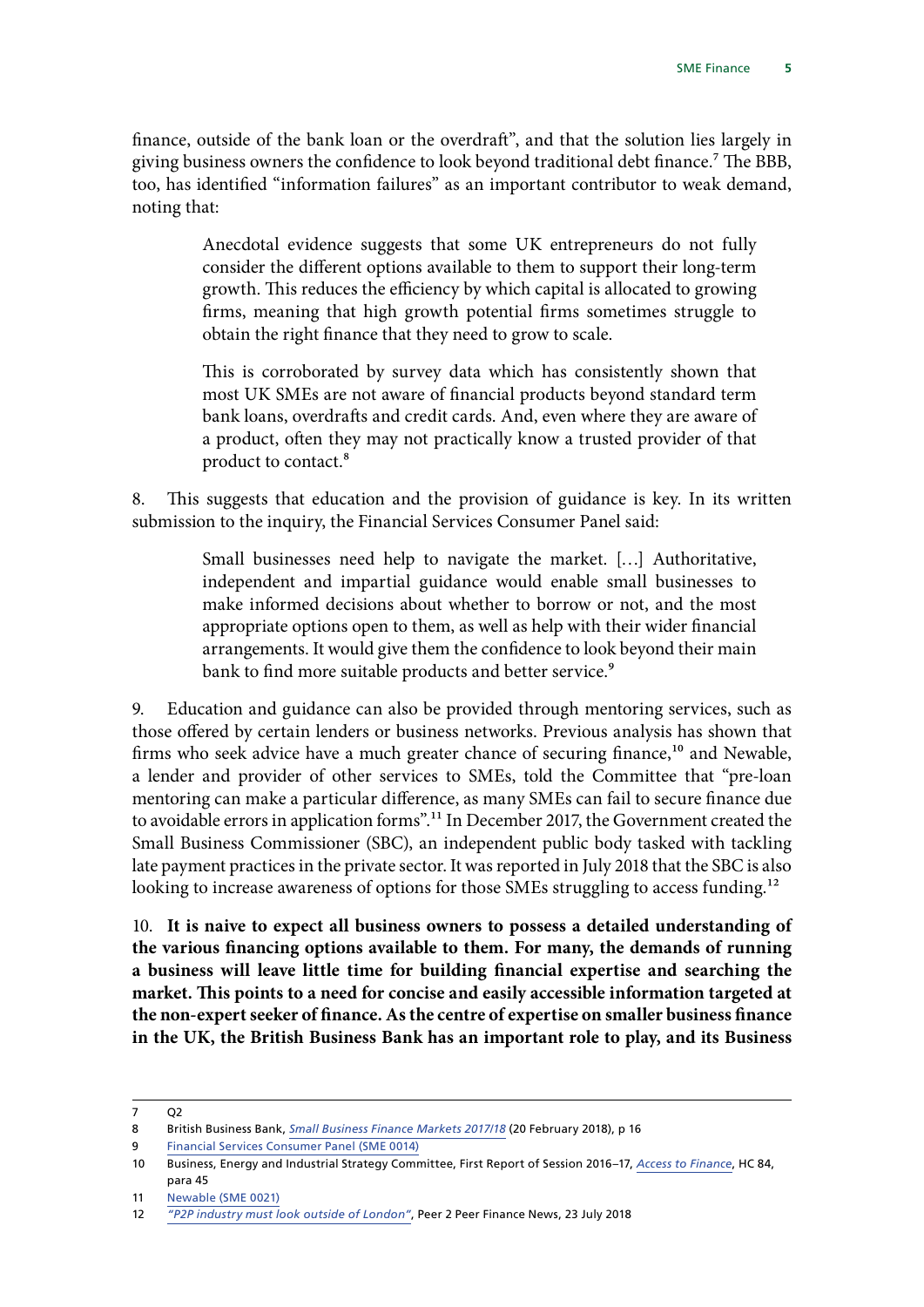finance, outside of the bank loan or the overdraft", and that the solution lies largely in giving business owners the confidence to look beyond traditional debt finance.7 The BBB, too, has identified "information failures" as an important contributor to weak demand, noting that:

> Anecdotal evidence suggests that some UK entrepreneurs do not fully consider the different options available to them to support their long-term growth. This reduces the efficiency by which capital is allocated to growing firms, meaning that high growth potential firms sometimes struggle to obtain the right finance that they need to grow to scale.

> This is corroborated by survey data which has consistently shown that most UK SMEs are not aware of financial products beyond standard term bank loans, overdrafts and credit cards. And, even where they are aware of a product, often they may not practically know a trusted provider of that product to contact.8

8. This suggests that education and the provision of guidance is key. In its written submission to the inquiry, the Financial Services Consumer Panel said:

> Small businesses need help to navigate the market. […] Authoritative, independent and impartial guidance would enable small businesses to make informed decisions about whether to borrow or not, and the most appropriate options open to them, as well as help with their wider financial arrangements. It would give them the confidence to look beyond their main bank to find more suitable products and better service.<sup>9</sup>

9. Education and guidance can also be provided through mentoring services, such as those offered by certain lenders or business networks. Previous analysis has shown that firms who seek advice have a much greater chance of securing finance,<sup>10</sup> and Newable, a lender and provider of other services to SMEs, told the Committee that "pre-loan mentoring can make a particular difference, as many SMEs can fail to secure finance due to avoidable errors in application forms".11 In December 2017, the Government created the Small Business Commissioner (SBC), an independent public body tasked with tackling late payment practices in the private sector. It was reported in July 2018 that the SBC is also looking to increase awareness of options for those SMEs struggling to access funding.<sup>12</sup>

10. **It is naive to expect all business owners to possess a detailed understanding of the various financing options available to them. For many, the demands of running a business will leave little time for building financial expertise and searching the market. This points to a need for concise and easily accessible information targeted at the non-expert seeker of finance. As the centre of expertise on smaller business finance in the UK, the British Business Bank has an important role to play, and its Business** 

<sup>7</sup> Q2

<sup>8</sup> British Business Bank, *[Small Business Finance Markets 2017/18](https://www.british-business-bank.co.uk/wp-content/uploads/2018/02/Small-Business-Finance-Markets-2018-Report-web.pdf)* (20 February 2018), p 16

<sup>9</sup> [Financial Services Consumer Panel \(SME 0014\)](http://data.parliament.uk/writtenevidence/committeeevidence.svc/evidencedocument/treasury-committee/sme-finance/written/80960.html)

<sup>10</sup> Business, Energy and Industrial Strategy Committee, First Report of Session 2016–17, *[Access to Finance](https://publications.parliament.uk/pa/cm201617/cmselect/cmbeis/84/84.pdf)*, HC 84, para 45

<sup>11</sup> [Newable \(SME 0021\)](http://data.parliament.uk/writtenevidence/committeeevidence.svc/evidencedocument/treasury-committee/sme-finance/written/81009.html)

<sup>12</sup> *["P2P industry must look outside of London"](http://www.p2pfinancenews.co.uk/2018/07/23/p2p-industry-outside-london/)*, Peer 2 Peer Finance News, 23 July 2018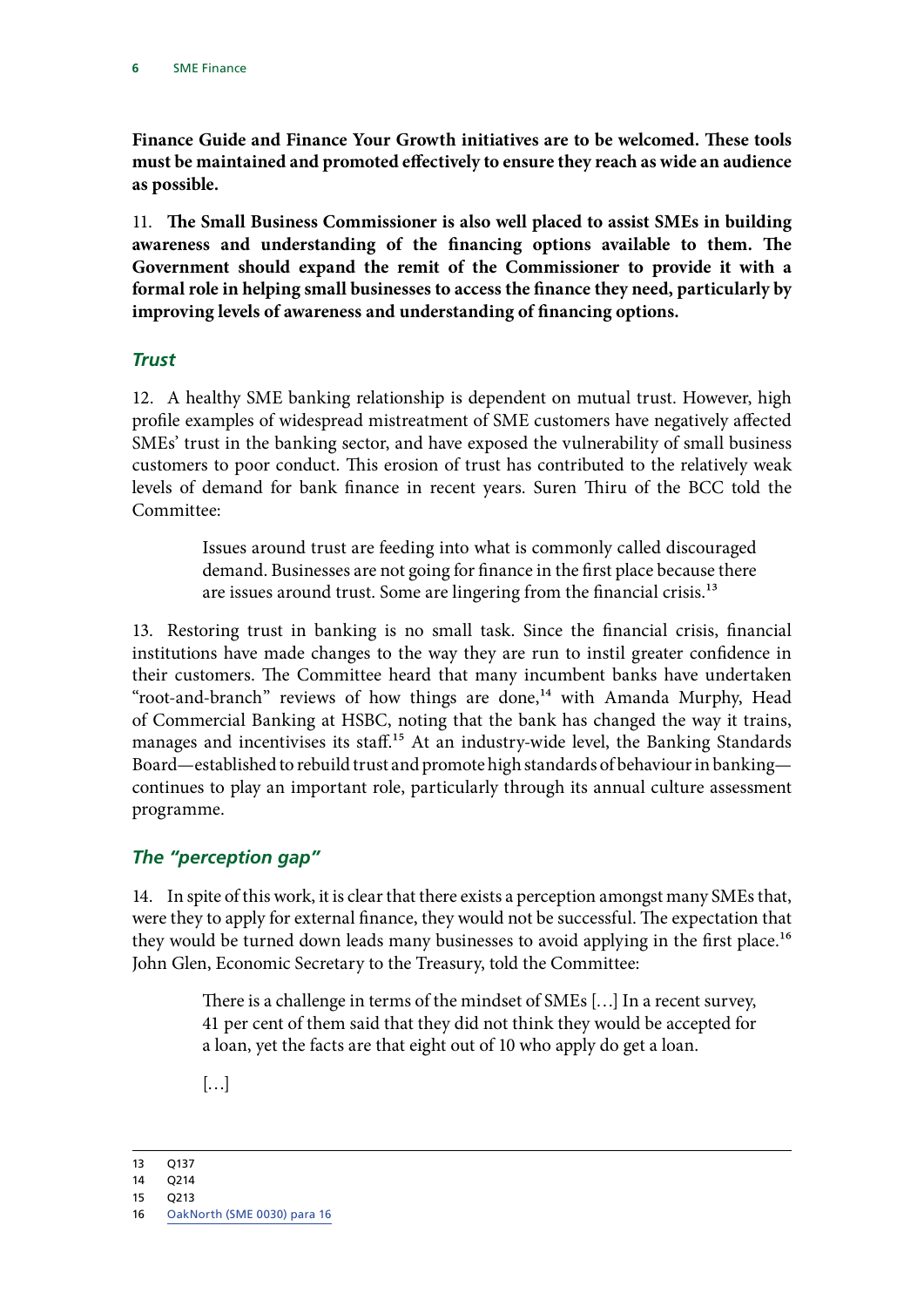<span id="page-7-0"></span>**Finance Guide and Finance Your Growth initiatives are to be welcomed. These tools must be maintained and promoted effectively to ensure they reach as wide an audience as possible.**

11. **The Small Business Commissioner is also well placed to assist SMEs in building awareness and understanding of the financing options available to them. The Government should expand the remit of the Commissioner to provide it with a formal role in helping small businesses to access the finance they need, particularly by improving levels of awareness and understanding of financing options.**

#### *Trust*

12. A healthy SME banking relationship is dependent on mutual trust. However, high profile examples of widespread mistreatment of SME customers have negatively affected SMEs' trust in the banking sector, and have exposed the vulnerability of small business customers to poor conduct. This erosion of trust has contributed to the relatively weak levels of demand for bank finance in recent years. Suren Thiru of the BCC told the Committee:

> Issues around trust are feeding into what is commonly called discouraged demand. Businesses are not going for finance in the first place because there are issues around trust. Some are lingering from the financial crisis.13

13. Restoring trust in banking is no small task. Since the financial crisis, financial institutions have made changes to the way they are run to instil greater confidence in their customers. The Committee heard that many incumbent banks have undertaken "root-and-branch" reviews of how things are done,<sup>14</sup> with Amanda Murphy, Head of Commercial Banking at HSBC, noting that the bank has changed the way it trains, manages and incentivises its staff.<sup>15</sup> At an industry-wide level, the Banking Standards Board—established to rebuild trust and promote high standards of behaviour in banking continues to play an important role, particularly through its annual culture assessment programme.

### *The "perception gap"*

14. In spite of this work, it is clear that there exists a perception amongst many SMEs that, were they to apply for external finance, they would not be successful. The expectation that they would be turned down leads many businesses to avoid applying in the first place.<sup>16</sup> John Glen, Economic Secretary to the Treasury, told the Committee:

> There is a challenge in terms of the mindset of SMEs […] In a recent survey, 41 per cent of them said that they did not think they would be accepted for a loan, yet the facts are that eight out of 10 who apply do get a loan.

[…]

<sup>13</sup> Q137

<sup>14</sup> Q214

<sup>15</sup> Q213

<sup>16</sup> [OakNorth \(SME 0030\) para 16](http://data.parliament.uk/writtenevidence/committeeevidence.svc/evidencedocument/treasury-committee/sme-finance/written/81031.html)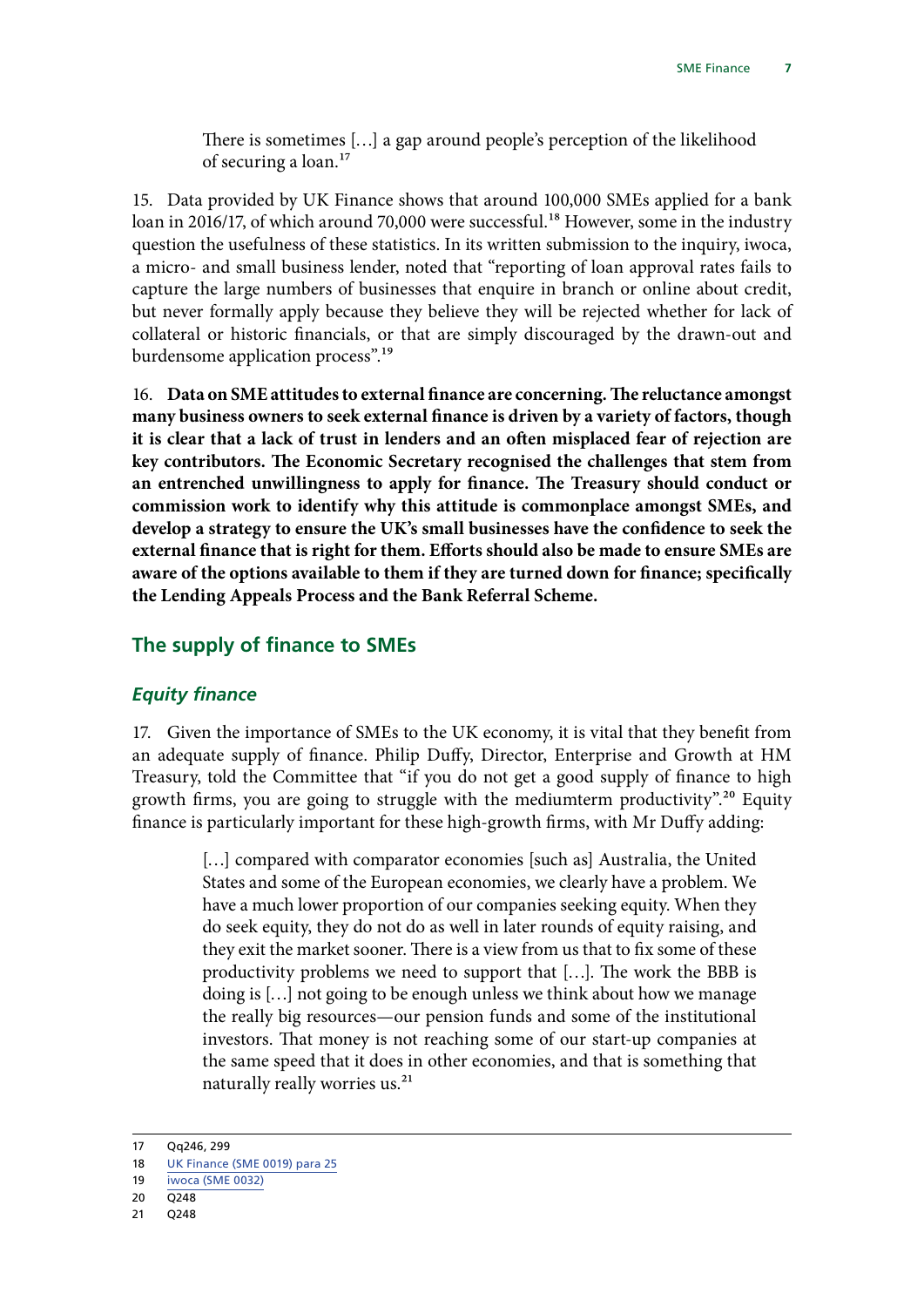There is sometimes […] a gap around people's perception of the likelihood of securing a loan.17

<span id="page-8-0"></span>15. Data provided by UK Finance shows that around 100,000 SMEs applied for a bank loan in 2016/17, of which around 70,000 were successful.<sup>18</sup> However, some in the industry question the usefulness of these statistics. In its written submission to the inquiry, iwoca, a micro- and small business lender, noted that "reporting of loan approval rates fails to capture the large numbers of businesses that enquire in branch or online about credit, but never formally apply because they believe they will be rejected whether for lack of collateral or historic financials, or that are simply discouraged by the drawn-out and burdensome application process".19

16. **Data on SME attitudes to external finance are concerning. The reluctance amongst many business owners to seek external finance is driven by a variety of factors, though it is clear that a lack of trust in lenders and an often misplaced fear of rejection are key contributors. The Economic Secretary recognised the challenges that stem from an entrenched unwillingness to apply for finance. The Treasury should conduct or commission work to identify why this attitude is commonplace amongst SMEs, and develop a strategy to ensure the UK's small businesses have the confidence to seek the external finance that is right for them. Efforts should also be made to ensure SMEs are aware of the options available to them if they are turned down for finance; specifically the Lending Appeals Process and the Bank Referral Scheme.**

### **The supply of finance to SMEs**

#### *Equity finance*

17. Given the importance of SMEs to the UK economy, it is vital that they benefit from an adequate supply of finance. Philip Duffy, Director, Enterprise and Growth at HM Treasury, told the Committee that "if you do not get a good supply of finance to high growth firms, you are going to struggle with the mediumterm productivity".<sup>20</sup> Equity finance is particularly important for these high-growth firms, with Mr Duffy adding:

> [...] compared with comparator economies [such as] Australia, the United States and some of the European economies, we clearly have a problem. We have a much lower proportion of our companies seeking equity. When they do seek equity, they do not do as well in later rounds of equity raising, and they exit the market sooner. There is a view from us that to fix some of these productivity problems we need to support that […]. The work the BBB is doing is […] not going to be enough unless we think about how we manage the really big resources—our pension funds and some of the institutional investors. That money is not reaching some of our start-up companies at the same speed that it does in other economies, and that is something that naturally really worries us.<sup>21</sup>

<sup>17</sup> Qq246, 299

<sup>18</sup> [UK Finance \(SME 0019\) para 25](http://data.parliament.uk/writtenevidence/committeeevidence.svc/evidencedocument/treasury-committee/sme-finance/written/81034.pdf)

<sup>19</sup> [iwoca \(SME 0032\)](http://data.parliament.uk/writtenevidence/committeeevidence.svc/evidencedocument/treasury-committee/sme-finance/written/81034.html)

<sup>20</sup> Q248

<sup>21</sup> Q248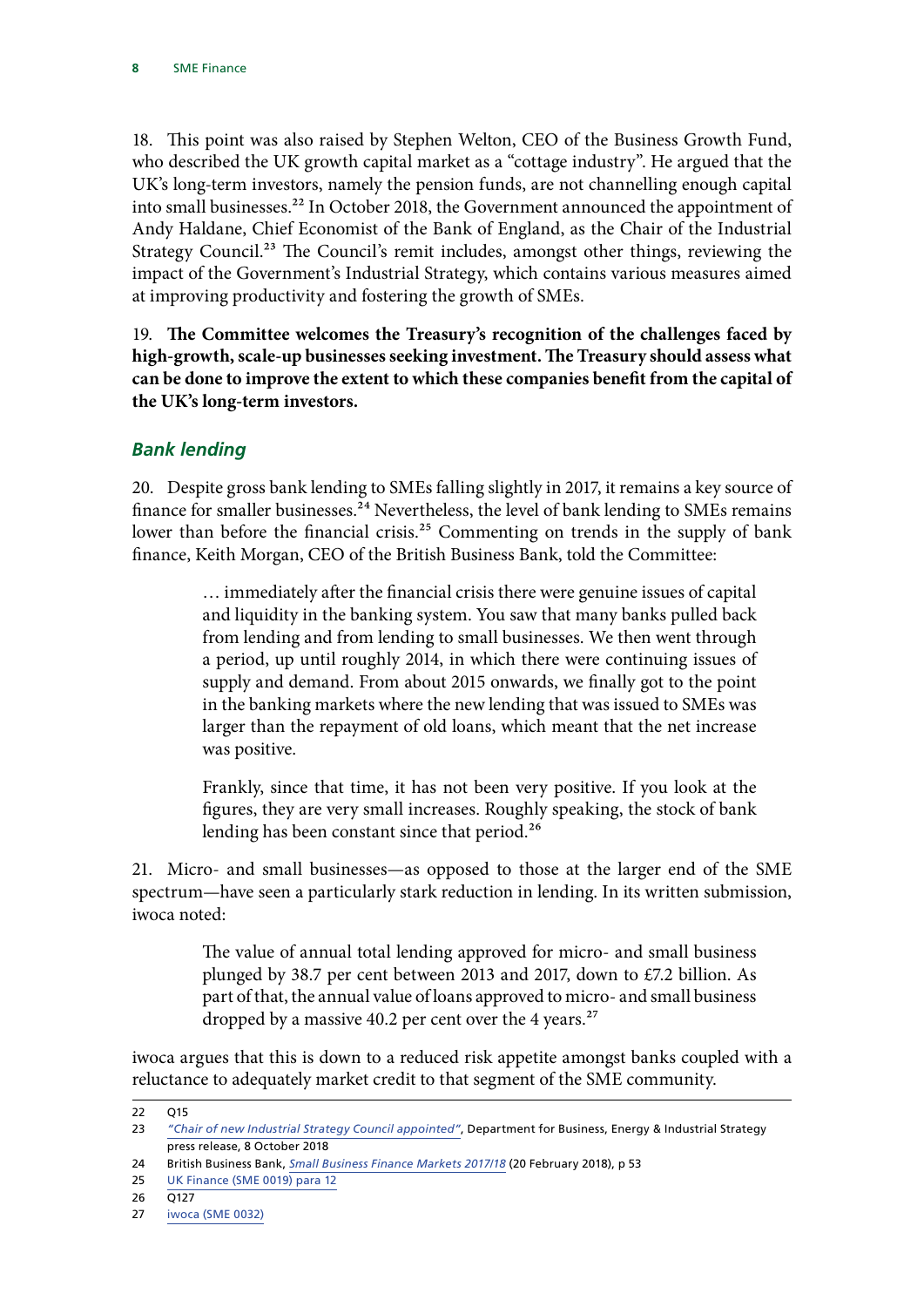<span id="page-9-0"></span>18. This point was also raised by Stephen Welton, CEO of the Business Growth Fund, who described the UK growth capital market as a "cottage industry". He argued that the UK's long-term investors, namely the pension funds, are not channelling enough capital into small businesses.<sup>22</sup> In October 2018, the Government announced the appointment of Andy Haldane, Chief Economist of the Bank of England, as the Chair of the Industrial Strategy Council.<sup>23</sup> The Council's remit includes, amongst other things, reviewing the impact of the Government's Industrial Strategy, which contains various measures aimed at improving productivity and fostering the growth of SMEs.

19. **The Committee welcomes the Treasury's recognition of the challenges faced by high-growth, scale-up businesses seeking investment. The Treasury should assess what can be done to improve the extent to which these companies benefit from the capital of the UK's long-term investors.**

# *Bank lending*

20. Despite gross bank lending to SMEs falling slightly in 2017, it remains a key source of finance for smaller businesses.<sup>24</sup> Nevertheless, the level of bank lending to SMEs remains lower than before the financial crisis.<sup>25</sup> Commenting on trends in the supply of bank finance, Keith Morgan, CEO of the British Business Bank, told the Committee:

> … immediately after the financial crisis there were genuine issues of capital and liquidity in the banking system. You saw that many banks pulled back from lending and from lending to small businesses. We then went through a period, up until roughly 2014, in which there were continuing issues of supply and demand. From about 2015 onwards, we finally got to the point in the banking markets where the new lending that was issued to SMEs was larger than the repayment of old loans, which meant that the net increase was positive.

> Frankly, since that time, it has not been very positive. If you look at the figures, they are very small increases. Roughly speaking, the stock of bank lending has been constant since that period.<sup>26</sup>

21. Micro- and small businesses—as opposed to those at the larger end of the SME spectrum—have seen a particularly stark reduction in lending. In its written submission, iwoca noted:

> The value of annual total lending approved for micro- and small business plunged by 38.7 per cent between 2013 and 2017, down to £7.2 billion. As part of that, the annual value of loans approved to micro- and small business dropped by a massive 40.2 per cent over the 4 years.<sup>27</sup>

iwoca argues that this is down to a reduced risk appetite amongst banks coupled with a reluctance to adequately market credit to that segment of the SME community.

<sup>22</sup> Q15

<sup>23</sup> *["Chair of new Industrial Strategy Council appointed"](https://www.gov.uk/government/news/chair-of-new-industrial-strategy-council-appointed)*, Department for Business, Energy & Industrial Strategy press release, 8 October 2018

<sup>24</sup> British Business Bank, *[Small Business Finance Markets 2017/18](https://www.british-business-bank.co.uk/wp-content/uploads/2018/02/Small-Business-Finance-Markets-2018-Report-web.pdf)* (20 February 2018), p 53

<sup>25</sup> [UK Finance \(SME 0019\) para 12](http://data.parliament.uk/writtenevidence/committeeevidence.svc/evidencedocument/treasury-committee/sme-finance/written/81034.pdf)

<sup>26</sup> Q127

<sup>27</sup> [iwoca \(SME 0032\)](http://data.parliament.uk/writtenevidence/committeeevidence.svc/evidencedocument/treasury-committee/sme-finance/written/81034.html)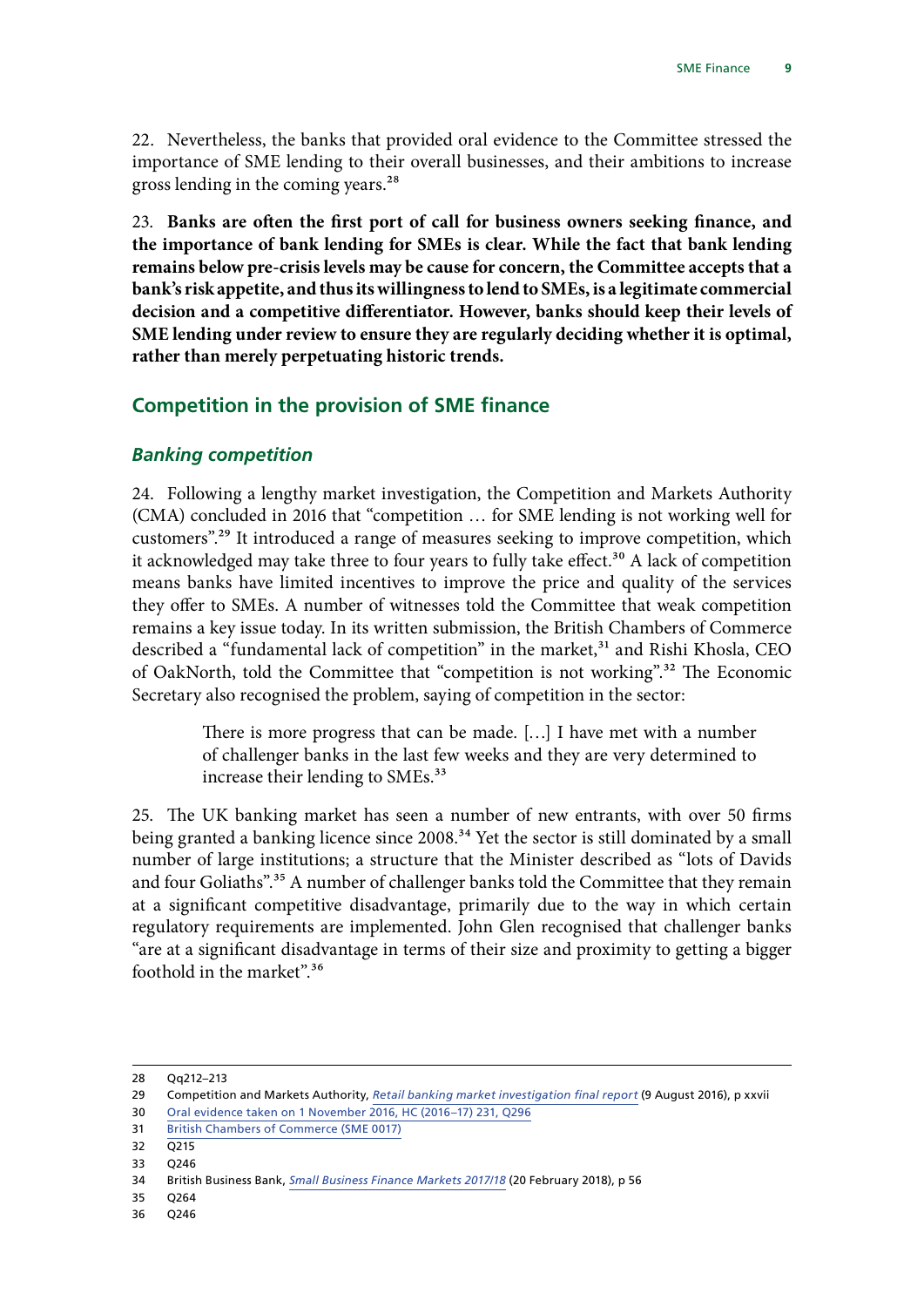<span id="page-10-0"></span>22. Nevertheless, the banks that provided oral evidence to the Committee stressed the importance of SME lending to their overall businesses, and their ambitions to increase gross lending in the coming years.<sup>28</sup>

23. **Banks are often the first port of call for business owners seeking finance, and the importance of bank lending for SMEs is clear. While the fact that bank lending remains below pre-crisis levels may be cause for concern, the Committee accepts that a bank's risk appetite, and thus its willingness to lend to SMEs, is a legitimate commercial decision and a competitive differentiator. However, banks should keep their levels of SME lending under review to ensure they are regularly deciding whether it is optimal, rather than merely perpetuating historic trends.**

### **Competition in the provision of SME finance**

#### *Banking competition*

24. Following a lengthy market investigation, the Competition and Markets Authority (CMA) concluded in 2016 that "competition … for SME lending is not working well for customers".29 It introduced a range of measures seeking to improve competition, which it acknowledged may take three to four years to fully take effect.<sup>30</sup> A lack of competition means banks have limited incentives to improve the price and quality of the services they offer to SMEs. A number of witnesses told the Committee that weak competition remains a key issue today. In its written submission, the British Chambers of Commerce described a "fundamental lack of competition" in the market,<sup>31</sup> and Rishi Khosla, CEO of OakNorth, told the Committee that "competition is not working".32 The Economic Secretary also recognised the problem, saying of competition in the sector:

> There is more progress that can be made. […] I have met with a number of challenger banks in the last few weeks and they are very determined to increase their lending to SMEs.<sup>33</sup>

25. The UK banking market has seen a number of new entrants, with over 50 firms being granted a banking licence since 2008.<sup>34</sup> Yet the sector is still dominated by a small number of large institutions; a structure that the Minister described as "lots of Davids and four Goliaths".<sup>35</sup> A number of challenger banks told the Committee that they remain at a significant competitive disadvantage, primarily due to the way in which certain regulatory requirements are implemented. John Glen recognised that challenger banks "are at a significant disadvantage in terms of their size and proximity to getting a bigger foothold in the market".36

<sup>28</sup> Qq212–213

<sup>29</sup> Competition and Markets Authority, *[Retail banking market investigation final report](https://assets.publishing.service.gov.uk/media/57ac9667e5274a0f6c00007a/retail-banking-market-investigation-full-final-report.pdf)* (9 August 2016), p xxvii

<sup>30</sup> [Oral evidence taken on 1 November 2016, HC \(2016–17\) 231, Q296](http://data.parliament.uk/writtenevidence/committeeevidence.svc/evidencedocument/treasury-committee/retail-banking-market-review/oral/42595.html)

<sup>31</sup> [British Chambers of Commerce \(SME 0017\)](http://data.parliament.uk/writtenevidence/committeeevidence.svc/evidencedocument/treasury-committee/sme-finance/written/80990.html)

<sup>32</sup> Q215

<sup>33</sup> Q246

<sup>34</sup> British Business Bank, *[Small Business Finance Markets 2017/18](https://www.british-business-bank.co.uk/wp-content/uploads/2018/02/Small-Business-Finance-Markets-2018-Report-web.pdf)* (20 February 2018), p 56

<sup>35</sup> Q264

<sup>36</sup> Q246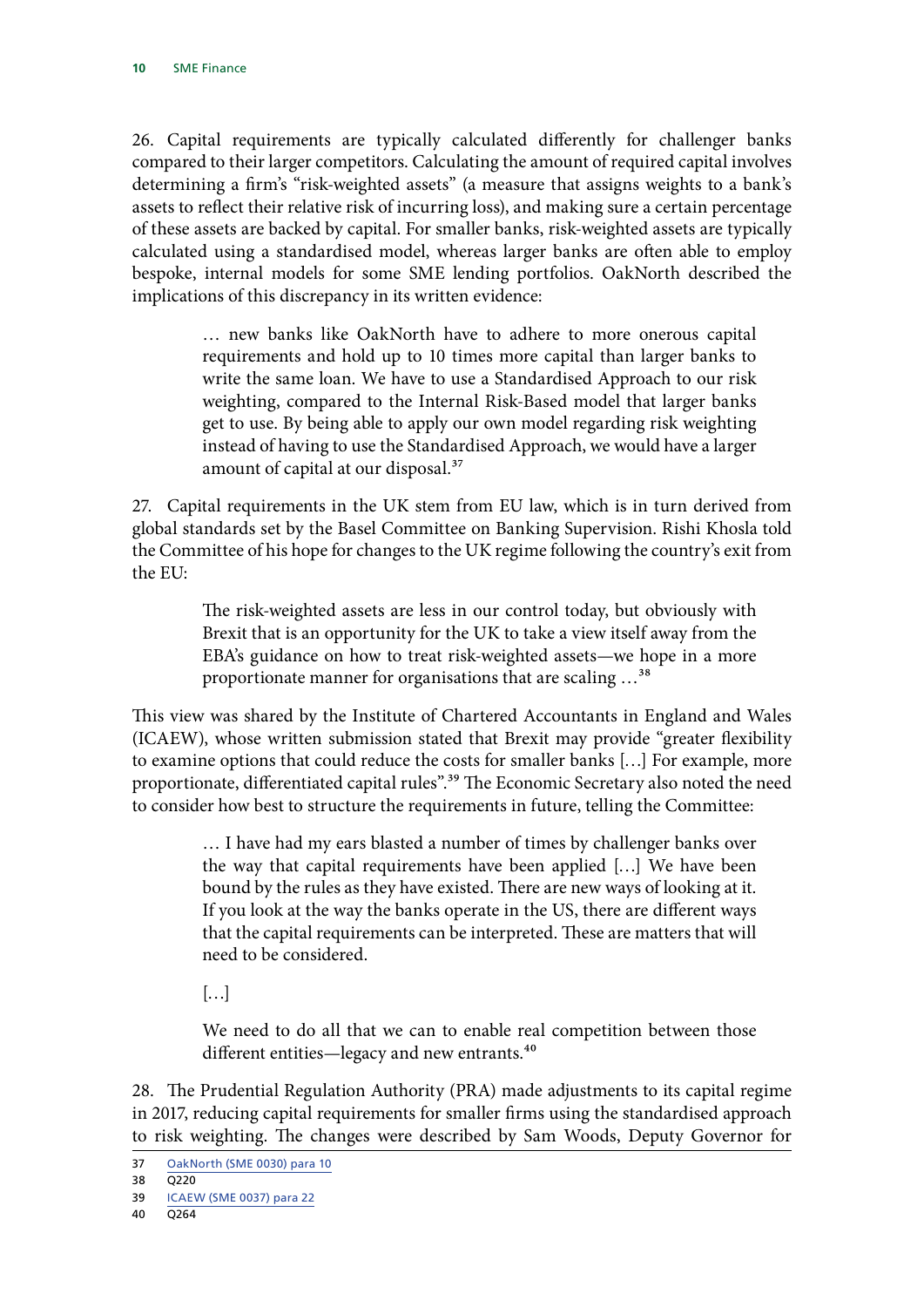26. Capital requirements are typically calculated differently for challenger banks compared to their larger competitors. Calculating the amount of required capital involves determining a firm's "risk-weighted assets" (a measure that assigns weights to a bank's assets to reflect their relative risk of incurring loss), and making sure a certain percentage of these assets are backed by capital. For smaller banks, risk-weighted assets are typically calculated using a standardised model, whereas larger banks are often able to employ bespoke, internal models for some SME lending portfolios. OakNorth described the implications of this discrepancy in its written evidence:

> … new banks like OakNorth have to adhere to more onerous capital requirements and hold up to 10 times more capital than larger banks to write the same loan. We have to use a Standardised Approach to our risk weighting, compared to the Internal Risk-Based model that larger banks get to use. By being able to apply our own model regarding risk weighting instead of having to use the Standardised Approach, we would have a larger amount of capital at our disposal.<sup>37</sup>

27. Capital requirements in the UK stem from EU law, which is in turn derived from global standards set by the Basel Committee on Banking Supervision. Rishi Khosla told the Committee of his hope for changes to the UK regime following the country's exit from the EU:

> The risk-weighted assets are less in our control today, but obviously with Brexit that is an opportunity for the UK to take a view itself away from the EBA's guidance on how to treat risk-weighted assets—we hope in a more proportionate manner for organisations that are scaling …38

This view was shared by the Institute of Chartered Accountants in England and Wales (ICAEW), whose written submission stated that Brexit may provide "greater flexibility to examine options that could reduce the costs for smaller banks […] For example, more proportionate, differentiated capital rules".<sup>39</sup> The Economic Secretary also noted the need to consider how best to structure the requirements in future, telling the Committee:

> … I have had my ears blasted a number of times by challenger banks over the way that capital requirements have been applied […] We have been bound by the rules as they have existed. There are new ways of looking at it. If you look at the way the banks operate in the US, there are different ways that the capital requirements can be interpreted. These are matters that will need to be considered.

 $\left[\ldots\right]$ 

We need to do all that we can to enable real competition between those different entities—legacy and new entrants.<sup>40</sup>

28. The Prudential Regulation Authority (PRA) made adjustments to its capital regime in 2017, reducing capital requirements for smaller firms using the standardised approach to risk weighting. The changes were described by Sam Woods, Deputy Governor for

<sup>37</sup> [OakNorth \(SME 0030\) para 10](http://data.parliament.uk/writtenevidence/committeeevidence.svc/evidencedocument/treasury-committee/sme-finance/written/81031.html)

<sup>38</sup> Q220

<sup>39</sup> [ICAEW \(SME 0037\) para 22](http://data.parliament.uk/writtenevidence/committeeevidence.svc/evidencedocument/treasury-committee/sme-finance/written/82466.html)

<sup>40</sup> Q264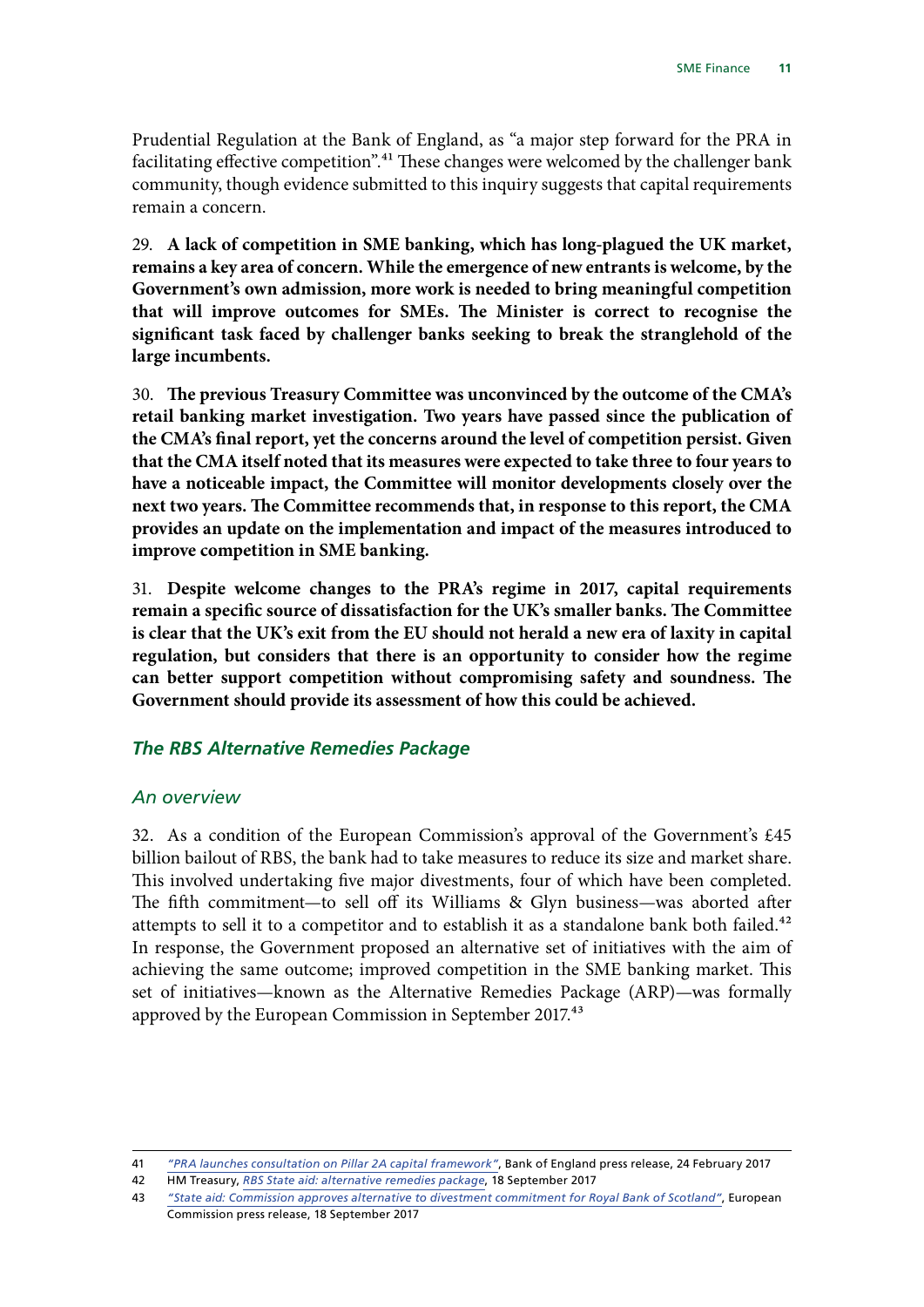<span id="page-12-0"></span>Prudential Regulation at the Bank of England, as "a major step forward for the PRA in facilitating effective competition".<sup>41</sup> These changes were welcomed by the challenger bank community, though evidence submitted to this inquiry suggests that capital requirements remain a concern.

29. **A lack of competition in SME banking, which has long-plagued the UK market, remains a key area of concern. While the emergence of new entrants is welcome, by the Government's own admission, more work is needed to bring meaningful competition that will improve outcomes for SMEs. The Minister is correct to recognise the significant task faced by challenger banks seeking to break the stranglehold of the large incumbents.**

30. **The previous Treasury Committee was unconvinced by the outcome of the CMA's retail banking market investigation. Two years have passed since the publication of the CMA's final report, yet the concerns around the level of competition persist. Given that the CMA itself noted that its measures were expected to take three to four years to have a noticeable impact, the Committee will monitor developments closely over the next two years. The Committee recommends that, in response to this report, the CMA provides an update on the implementation and impact of the measures introduced to improve competition in SME banking.**

31. **Despite welcome changes to the PRA's regime in 2017, capital requirements remain a specific source of dissatisfaction for the UK's smaller banks. The Committee is clear that the UK's exit from the EU should not herald a new era of laxity in capital regulation, but considers that there is an opportunity to consider how the regime can better support competition without compromising safety and soundness. The Government should provide its assessment of how this could be achieved.**

### *The RBS Alternative Remedies Package*

#### *An overview*

32. As a condition of the European Commission's approval of the Government's £45 billion bailout of RBS, the bank had to take measures to reduce its size and market share. This involved undertaking five major divestments, four of which have been completed. The fifth commitment—to sell off its Williams & Glyn business—was aborted after attempts to sell it to a competitor and to establish it as a standalone bank both failed.<sup>42</sup> In response, the Government proposed an alternative set of initiatives with the aim of achieving the same outcome; improved competition in the SME banking market. This set of initiatives—known as the Alternative Remedies Package (ARP)—was formally approved by the European Commission in September 2017.<sup>43</sup>

<sup>41</sup> *["PRA launches consultation on Pillar 2A capital framework"](https://www.bankofengland.co.uk/news/2017/february/pra-launches-consultation-on-pillar-2a-capital-framework)*, Bank of England press release, 24 February 2017

<sup>42</sup> HM Treasury, *[RBS State aid: alternative remedies package](https://www.gov.uk/government/publications/rbs-state-aid-alternative-remedies-package)*, 18 September 2017

<sup>43</sup> *["State aid: Commission approves alternative to divestment commitment for Royal Bank of Scotland"](http://europa.eu/rapid/press-release_IP-17-3307_en.htm)*, European Commission press release, 18 September 2017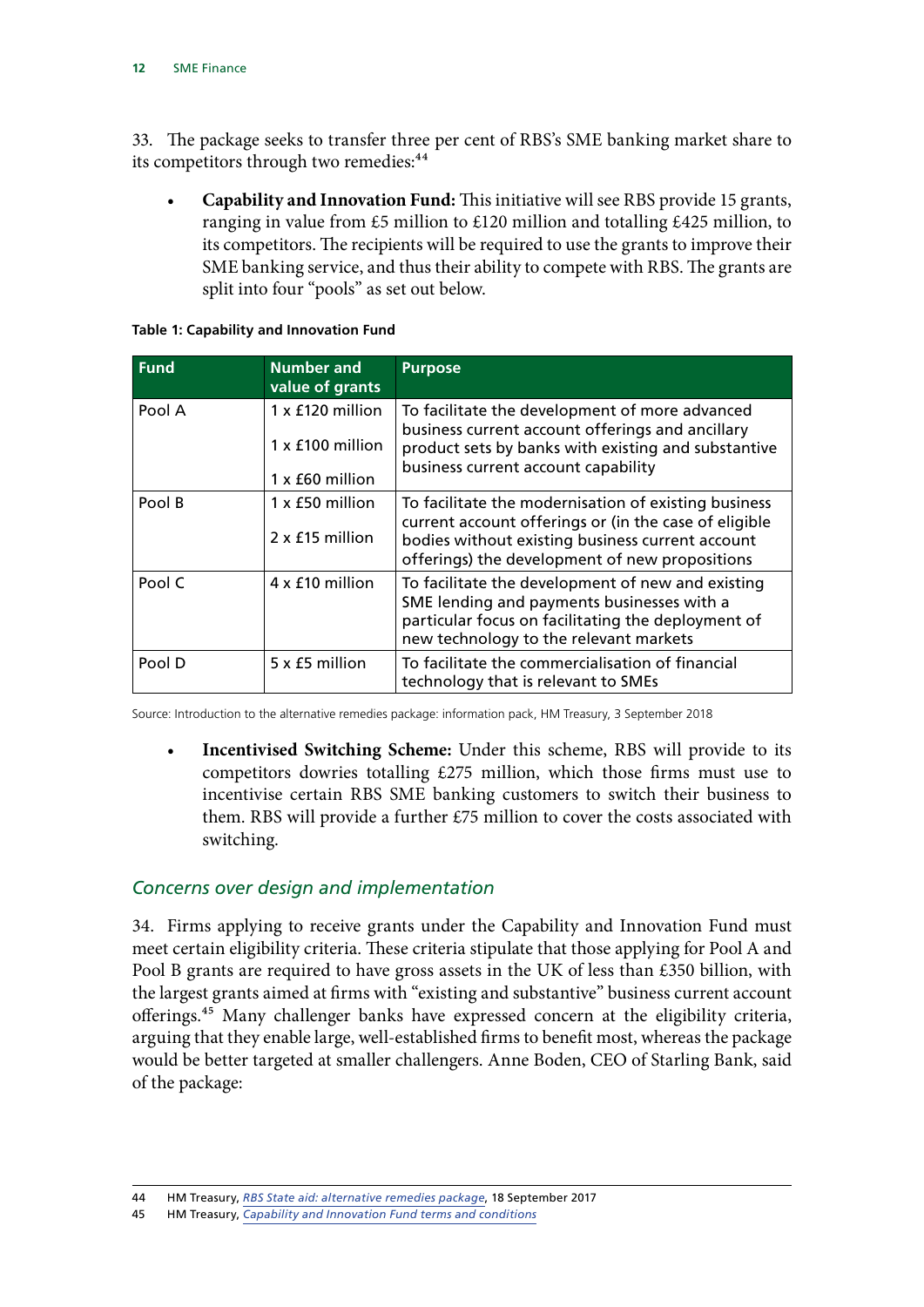33. The package seeks to transfer three per cent of RBS's SME banking market share to its competitors through two remedies:<sup>44</sup>

• **Capability and Innovation Fund:** This initiative will see RBS provide 15 grants, ranging in value from £5 million to £120 million and totalling £425 million, to its competitors. The recipients will be required to use the grants to improve their SME banking service, and thus their ability to compete with RBS. The grants are split into four "pools" as set out below.

| <b>Fund</b> | <b>Number and</b><br>value of grants                    | <b>Purpose</b>                                                                                                                                                                                                      |
|-------------|---------------------------------------------------------|---------------------------------------------------------------------------------------------------------------------------------------------------------------------------------------------------------------------|
| Pool A      | 1 x £120 million<br>1 x £100 million<br>1 x £60 million | To facilitate the development of more advanced<br>business current account offerings and ancillary<br>product sets by banks with existing and substantive<br>business current account capability                    |
| Pool B      | 1 x £50 million<br>2 x £15 million                      | To facilitate the modernisation of existing business<br>current account offerings or (in the case of eligible<br>bodies without existing business current account<br>offerings) the development of new propositions |
| Pool C      | 4 x £10 million                                         | To facilitate the development of new and existing<br>SME lending and payments businesses with a<br>particular focus on facilitating the deployment of<br>new technology to the relevant markets                     |
| Pool D      | 5 x £5 million                                          | To facilitate the commercialisation of financial<br>technology that is relevant to SMEs                                                                                                                             |

**Table 1: Capability and Innovation Fund**

Source: Introduction to the alternative remedies package: information pack, HM Treasury, 3 September 2018

• **Incentivised Switching Scheme:** Under this scheme, RBS will provide to its competitors dowries totalling £275 million, which those firms must use to incentivise certain RBS SME banking customers to switch their business to them. RBS will provide a further £75 million to cover the costs associated with switching.

#### *Concerns over design and implementation*

34. Firms applying to receive grants under the Capability and Innovation Fund must meet certain eligibility criteria. These criteria stipulate that those applying for Pool A and Pool B grants are required to have gross assets in the UK of less than £350 billion, with the largest grants aimed at firms with "existing and substantive" business current account offerings.45 Many challenger banks have expressed concern at the eligibility criteria, arguing that they enable large, well-established firms to benefit most, whereas the package would be better targeted at smaller challengers. Anne Boden, CEO of Starling Bank, said of the package:

<sup>44</sup> HM Treasury, *[RBS State aid: alternative remedies package](https://www.gov.uk/government/publications/rbs-state-aid-alternative-remedies-package)*, 18 September 2017

<sup>45</sup> HM Treasury, *[Capability and Innovation Fund terms and conditions](https://assets.publishing.service.gov.uk/government/uploads/system/uploads/attachment_data/file/704287/Annex_1_-_Capability_and_Innovation_Fund_terms_and_conditions_redline.pdf)*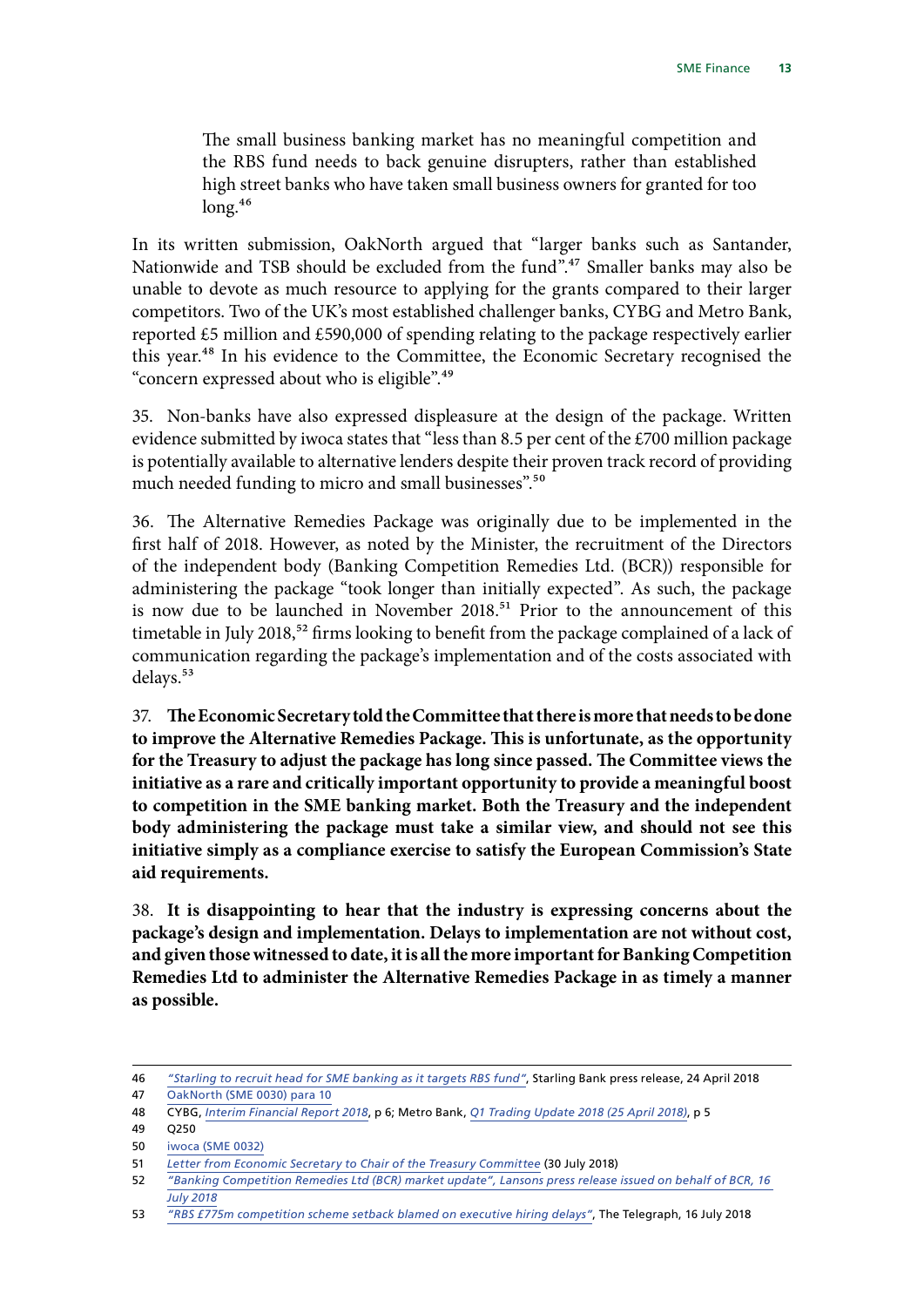The small business banking market has no meaningful competition and the RBS fund needs to back genuine disrupters, rather than established high street banks who have taken small business owners for granted for too  $long.<sup>46</sup>$ 

In its written submission, OakNorth argued that "larger banks such as Santander, Nationwide and TSB should be excluded from the fund".<sup>47</sup> Smaller banks may also be unable to devote as much resource to applying for the grants compared to their larger competitors. Two of the UK's most established challenger banks, CYBG and Metro Bank, reported £5 million and £590,000 of spending relating to the package respectively earlier this year.48 In his evidence to the Committee, the Economic Secretary recognised the "concern expressed about who is eligible".49

35. Non-banks have also expressed displeasure at the design of the package. Written evidence submitted by iwoca states that "less than 8.5 per cent of the  $\text{\textsterling}700$  million package is potentially available to alternative lenders despite their proven track record of providing much needed funding to micro and small businesses".<sup>50</sup>

36. The Alternative Remedies Package was originally due to be implemented in the first half of 2018. However, as noted by the Minister, the recruitment of the Directors of the independent body (Banking Competition Remedies Ltd. (BCR)) responsible for administering the package "took longer than initially expected". As such, the package is now due to be launched in November 2018.<sup>51</sup> Prior to the announcement of this timetable in July 2018,<sup>52</sup> firms looking to benefit from the package complained of a lack of communication regarding the package's implementation and of the costs associated with delays.<sup>53</sup>

37. **The Economic Secretary told the Committee that there is more that needs to be done to improve the Alternative Remedies Package. This is unfortunate, as the opportunity for the Treasury to adjust the package has long since passed. The Committee views the initiative as a rare and critically important opportunity to provide a meaningful boost to competition in the SME banking market. Both the Treasury and the independent body administering the package must take a similar view, and should not see this initiative simply as a compliance exercise to satisfy the European Commission's State aid requirements.**

38. **It is disappointing to hear that the industry is expressing concerns about the package's design and implementation. Delays to implementation are not without cost, and given those witnessed to date, it is all the more important for Banking Competition Remedies Ltd to administer the Alternative Remedies Package in as timely a manner as possible.**

<sup>46</sup> *["Starling to recruit head for SME banking as it targets RBS fund"](https://www.starlingbank.com/news/head-sme-banking-to-target-rbs-fund/)*, Starling Bank press release, 24 April 2018

<sup>47</sup> [OakNorth \(SME 0030\) para 10](http://data.parliament.uk/writtenevidence/committeeevidence.svc/evidencedocument/treasury-committee/sme-finance/written/81031.html)

<sup>48</sup> CYBG, *[Interim Financial Report 2018](https://www.cybg.com/resources/7bab377c-1b6f-4c26-88d2-8d40d9289ac4/CYBG+PLC+2018+IFR+14_5_18+%28Final%29.pdf)*, p 6; Metro Bank, *[Q1 Trading Update 2018](https://www.metrobankonline.co.uk/globalassets/documents/investor_documents/metro-bank-q1-2018-results-announcement.pdf) (25 April 2018)*, p 5

<sup>49</sup> Q250

<sup>50</sup> [iwoca \(SME 0032\)](http://data.parliament.uk/writtenevidence/committeeevidence.svc/evidencedocument/treasury-committee/sme-finance/written/81034.html)

<sup>51</sup> *[Letter from Economic Secretary to Chair of the Treasury Committee](https://www.parliament.uk/documents/commons-committees/treasury/Correspondence/2017-19/180730-Economic-Secretary-to%20Chair-re-BCR.pdf)* (30 July 2018)

<sup>52</sup> *["Banking Competition Remedies Ltd \(BCR\) market update",](https://www.lansons.com/bcr-market-update/) Lansons press release issued on behalf of BCR, 16 July 2018*

<sup>53</sup> *["RBS £775m competition scheme setback blamed on executive hiring delays"](https://www.telegraph.co.uk/business/2018/07/16/challenger-banks-angry-delays-775m-rbs-funding-scheme/)*, The Telegraph, 16 July 2018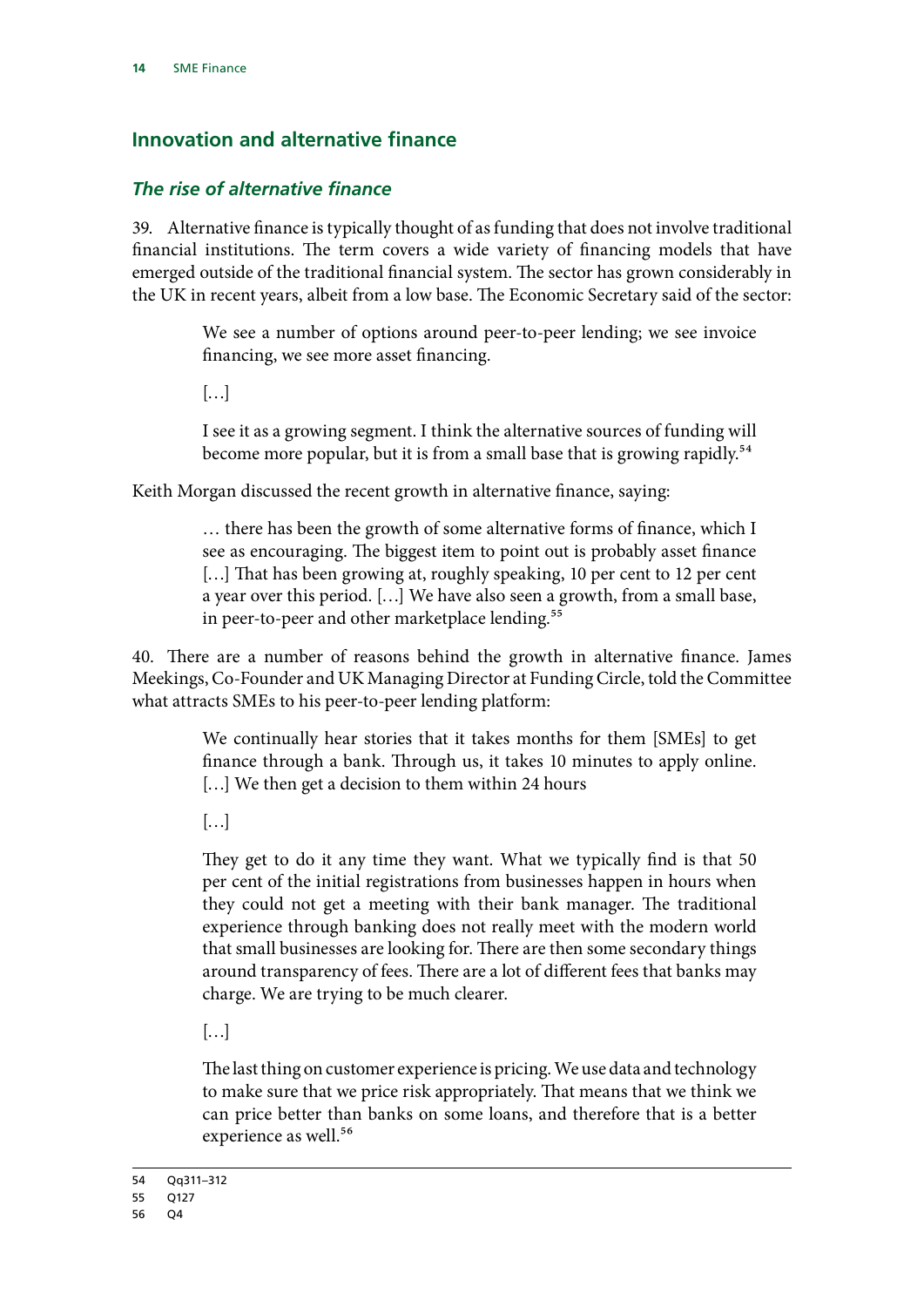# <span id="page-15-0"></span>**Innovation and alternative finance**

#### *The rise of alternative finance*

39. Alternative finance is typically thought of as funding that does not involve traditional financial institutions. The term covers a wide variety of financing models that have emerged outside of the traditional financial system. The sector has grown considerably in the UK in recent years, albeit from a low base. The Economic Secretary said of the sector:

> We see a number of options around peer-to-peer lending; we see invoice financing, we see more asset financing.

 $\left[\ldots\right]$ 

I see it as a growing segment. I think the alternative sources of funding will become more popular, but it is from a small base that is growing rapidly.<sup>54</sup>

Keith Morgan discussed the recent growth in alternative finance, saying:

… there has been the growth of some alternative forms of finance, which I see as encouraging. The biggest item to point out is probably asset finance [...] That has been growing at, roughly speaking, 10 per cent to 12 per cent a year over this period. […] We have also seen a growth, from a small base, in peer-to-peer and other marketplace lending.<sup>55</sup>

40. There are a number of reasons behind the growth in alternative finance. James Meekings, Co-Founder and UK Managing Director at Funding Circle, told the Committee what attracts SMEs to his peer-to-peer lending platform:

> We continually hear stories that it takes months for them [SMEs] to get finance through a bank. Through us, it takes 10 minutes to apply online. [...] We then get a decision to them within 24 hours

 $\left[\ldots\right]$ 

They get to do it any time they want. What we typically find is that 50 per cent of the initial registrations from businesses happen in hours when they could not get a meeting with their bank manager. The traditional experience through banking does not really meet with the modern world that small businesses are looking for. There are then some secondary things around transparency of fees. There are a lot of different fees that banks may charge. We are trying to be much clearer.

 $[...]$ 

The last thing on customer experience is pricing. We use data and technology to make sure that we price risk appropriately. That means that we think we can price better than banks on some loans, and therefore that is a better experience as well.<sup>56</sup>

<sup>54</sup> Qq311–312

<sup>55</sup> Q127

<sup>56</sup> Q4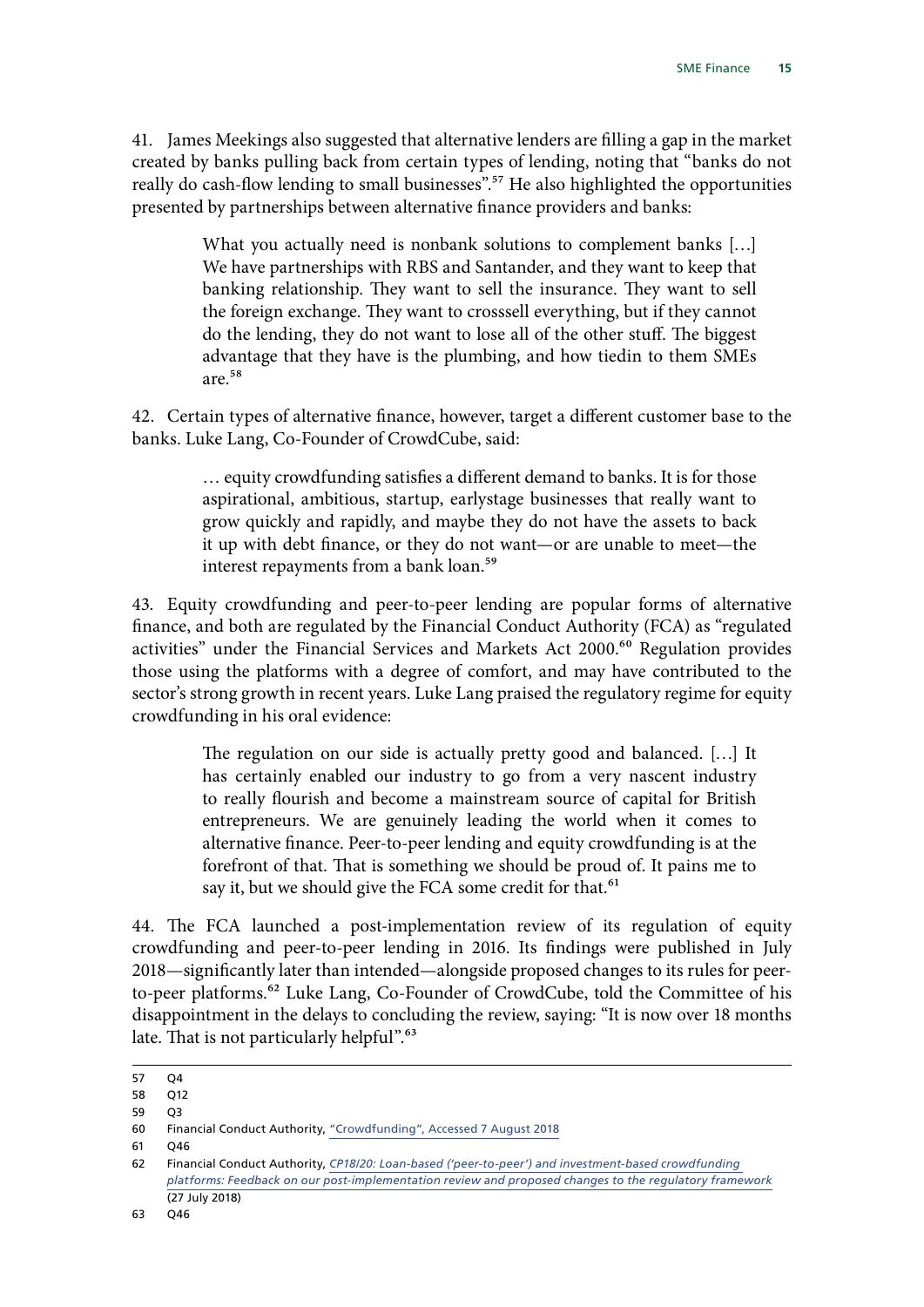41. James Meekings also suggested that alternative lenders are filling a gap in the market created by banks pulling back from certain types of lending, noting that "banks do not really do cash-flow lending to small businesses".<sup>57</sup> He also highlighted the opportunities presented by partnerships between alternative finance providers and banks:

> What you actually need is nonbank solutions to complement banks […] We have partnerships with RBS and Santander, and they want to keep that banking relationship. They want to sell the insurance. They want to sell the foreign exchange. They want to crosssell everything, but if they cannot do the lending, they do not want to lose all of the other stuff. The biggest advantage that they have is the plumbing, and how tiedin to them SMEs are.58

42. Certain types of alternative finance, however, target a different customer base to the banks. Luke Lang, Co-Founder of CrowdCube, said:

> … equity crowdfunding satisfies a different demand to banks. It is for those aspirational, ambitious, startup, earlystage businesses that really want to grow quickly and rapidly, and maybe they do not have the assets to back it up with debt finance, or they do not want—or are unable to meet—the interest repayments from a bank loan.<sup>59</sup>

43. Equity crowdfunding and peer-to-peer lending are popular forms of alternative finance, and both are regulated by the Financial Conduct Authority (FCA) as "regulated activities" under the Financial Services and Markets Act 2000.<sup>60</sup> Regulation provides those using the platforms with a degree of comfort, and may have contributed to the sector's strong growth in recent years. Luke Lang praised the regulatory regime for equity crowdfunding in his oral evidence:

> The regulation on our side is actually pretty good and balanced. […] It has certainly enabled our industry to go from a very nascent industry to really flourish and become a mainstream source of capital for British entrepreneurs. We are genuinely leading the world when it comes to alternative finance. Peer-to-peer lending and equity crowdfunding is at the forefront of that. That is something we should be proud of. It pains me to say it, but we should give the FCA some credit for that.<sup>61</sup>

44. The FCA launched a post-implementation review of its regulation of equity crowdfunding and peer-to-peer lending in 2016. Its findings were published in July 2018—significantly later than intended—alongside proposed changes to its rules for peerto-peer platforms.<sup>62</sup> Luke Lang, Co-Founder of CrowdCube, told the Committee of his disappointment in the delays to concluding the review, saying: "It is now over 18 months late. That is not particularly helpful".<sup>63</sup>

<sup>57</sup> Q4

<sup>58</sup> Q12

<sup>59</sup> Q3

<sup>60</sup> Financial Conduct Authority, ["Crowdfunding",](https://www.fca.org.uk/consumers/crowdfunding) Accessed 7 August 2018

<sup>61</sup> Q46

<sup>62</sup> Financial Conduct Authority, *[CP18/20: Loan-based \('peer-to-peer'\) and investment-based crowdfunding](https://www.fca.org.uk/publication/consultation/cp18-20.pdf)  [platforms: Feedback on our post-implementation review and proposed changes to the regulatory framework](https://www.fca.org.uk/publication/consultation/cp18-20.pdf)* (27 July 2018)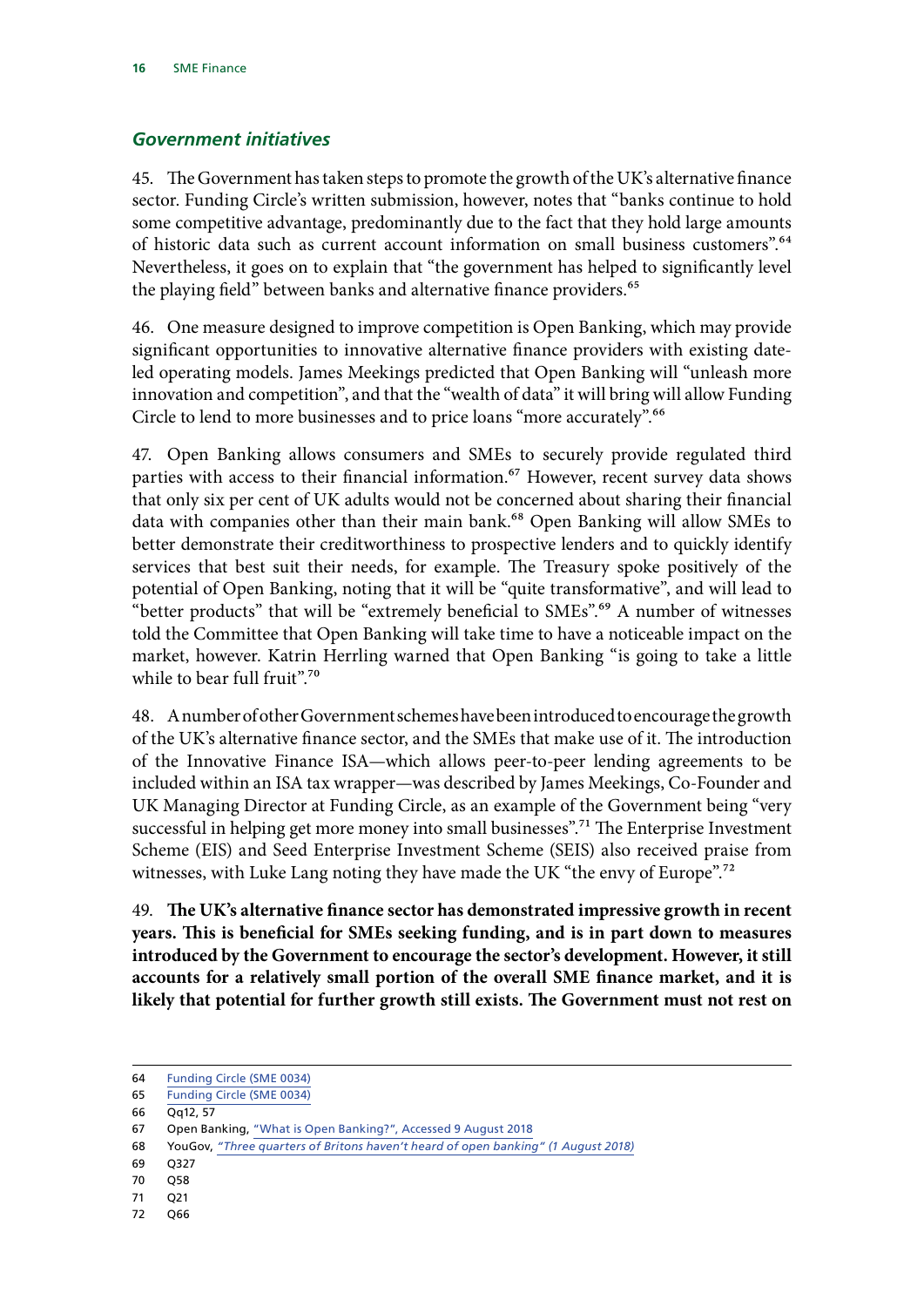#### <span id="page-17-0"></span>*Government initiatives*

45. The Government has taken steps to promote the growth of the UK's alternative finance sector. Funding Circle's written submission, however, notes that "banks continue to hold some competitive advantage, predominantly due to the fact that they hold large amounts of historic data such as current account information on small business customers".64 Nevertheless, it goes on to explain that "the government has helped to significantly level the playing field" between banks and alternative finance providers.<sup>65</sup>

46. One measure designed to improve competition is Open Banking, which may provide significant opportunities to innovative alternative finance providers with existing dateled operating models. James Meekings predicted that Open Banking will "unleash more innovation and competition", and that the "wealth of data" it will bring will allow Funding Circle to lend to more businesses and to price loans "more accurately".66

47. Open Banking allows consumers and SMEs to securely provide regulated third parties with access to their financial information.<sup>67</sup> However, recent survey data shows that only six per cent of UK adults would not be concerned about sharing their financial data with companies other than their main bank.<sup>68</sup> Open Banking will allow SMEs to better demonstrate their creditworthiness to prospective lenders and to quickly identify services that best suit their needs, for example. The Treasury spoke positively of the potential of Open Banking, noting that it will be "quite transformative", and will lead to "better products" that will be "extremely beneficial to SMEs".<sup>69</sup> A number of witnesses told the Committee that Open Banking will take time to have a noticeable impact on the market, however. Katrin Herrling warned that Open Banking "is going to take a little while to bear full fruit".<sup>70</sup>

48. A number of other Government schemes have been introduced to encourage the growth of the UK's alternative finance sector, and the SMEs that make use of it. The introduction of the Innovative Finance ISA—which allows peer-to-peer lending agreements to be included within an ISA tax wrapper—was described by James Meekings, Co-Founder and UK Managing Director at Funding Circle, as an example of the Government being "very successful in helping get more money into small businesses".<sup>71</sup> The Enterprise Investment Scheme (EIS) and Seed Enterprise Investment Scheme (SEIS) also received praise from witnesses, with Luke Lang noting they have made the UK "the envy of Europe".<sup>72</sup>

49. **The UK's alternative finance sector has demonstrated impressive growth in recent years. This is beneficial for SMEs seeking funding, and is in part down to measures introduced by the Government to encourage the sector's development. However, it still accounts for a relatively small portion of the overall SME finance market, and it is likely that potential for further growth still exists. The Government must not rest on** 

<sup>64</sup> [Funding Circle \(SME 0034\)](http://data.parliament.uk/writtenevidence/committeeevidence.svc/evidencedocument/treasury-committee/sme-finance/written/81118.html)

<sup>65</sup> [Funding Circle \(SME 0034\)](http://data.parliament.uk/writtenevidence/committeeevidence.svc/evidencedocument/treasury-committee/sme-finance/written/81118.html)

<sup>66</sup> Qq12, 57

<sup>67</sup> Open Banking, ["What is Open Banking?",](https://www.openbanking.org.uk/customers/what-is-open-banking/) Accessed 9 August 2018

<sup>68</sup> YouGov, *["Three quarters of Britons haven't heard of open banking"](https://yougov.co.uk/news/2018/08/01/three-quarters-britons-havent-heard-open-banking/) (1 August 2018)*

<sup>69 0327</sup> 

<sup>70</sup> Q58

<sup>71</sup> Q21

<sup>72</sup> Q66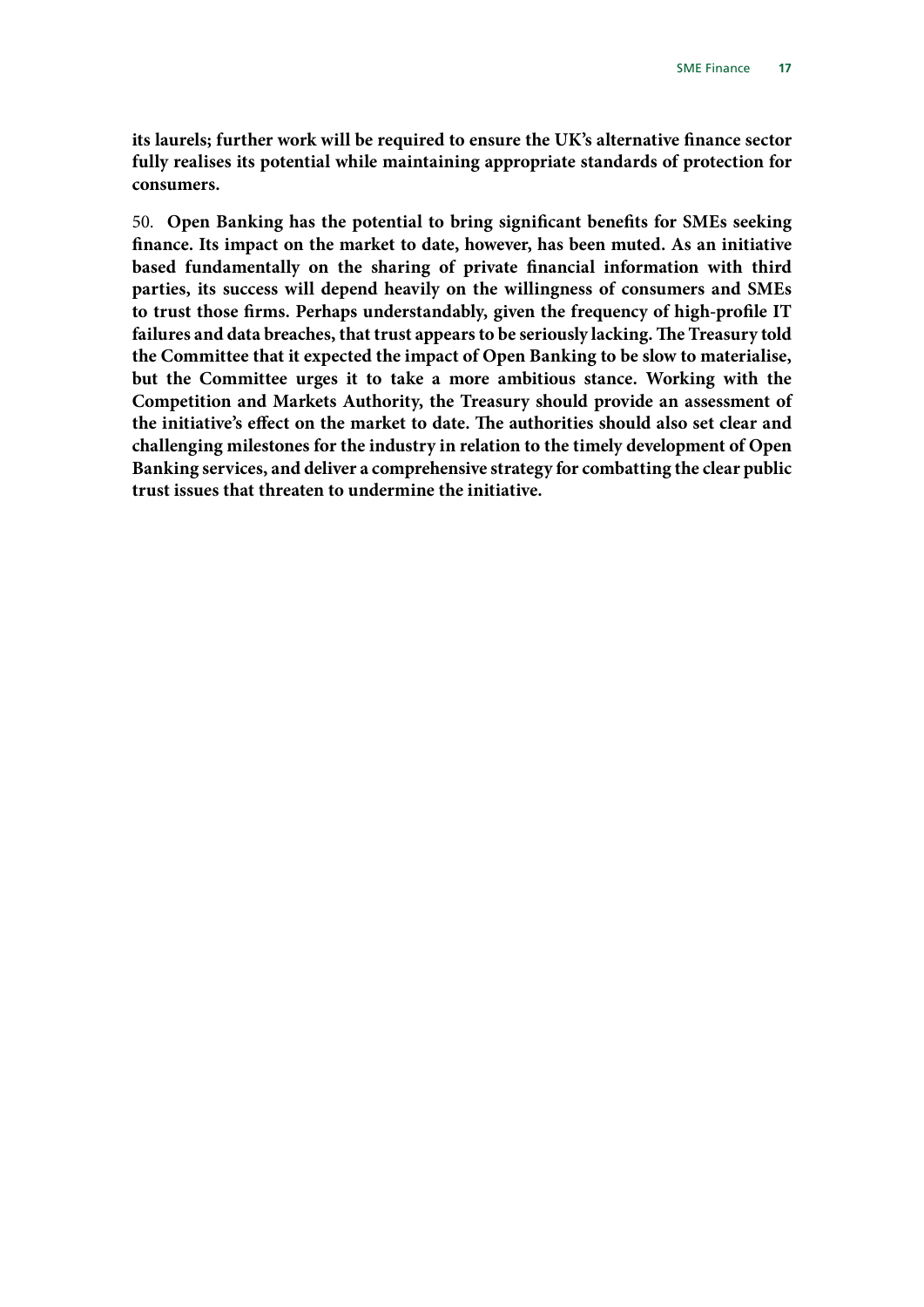**its laurels; further work will be required to ensure the UK's alternative finance sector fully realises its potential while maintaining appropriate standards of protection for consumers.**

50. **Open Banking has the potential to bring significant benefits for SMEs seeking finance. Its impact on the market to date, however, has been muted. As an initiative based fundamentally on the sharing of private financial information with third parties, its success will depend heavily on the willingness of consumers and SMEs to trust those firms. Perhaps understandably, given the frequency of high-profile IT failures and data breaches, that trust appears to be seriously lacking. The Treasury told the Committee that it expected the impact of Open Banking to be slow to materialise, but the Committee urges it to take a more ambitious stance. Working with the Competition and Markets Authority, the Treasury should provide an assessment of the initiative's effect on the market to date. The authorities should also set clear and challenging milestones for the industry in relation to the timely development of Open Banking services, and deliver a comprehensive strategy for combatting the clear public trust issues that threaten to undermine the initiative.**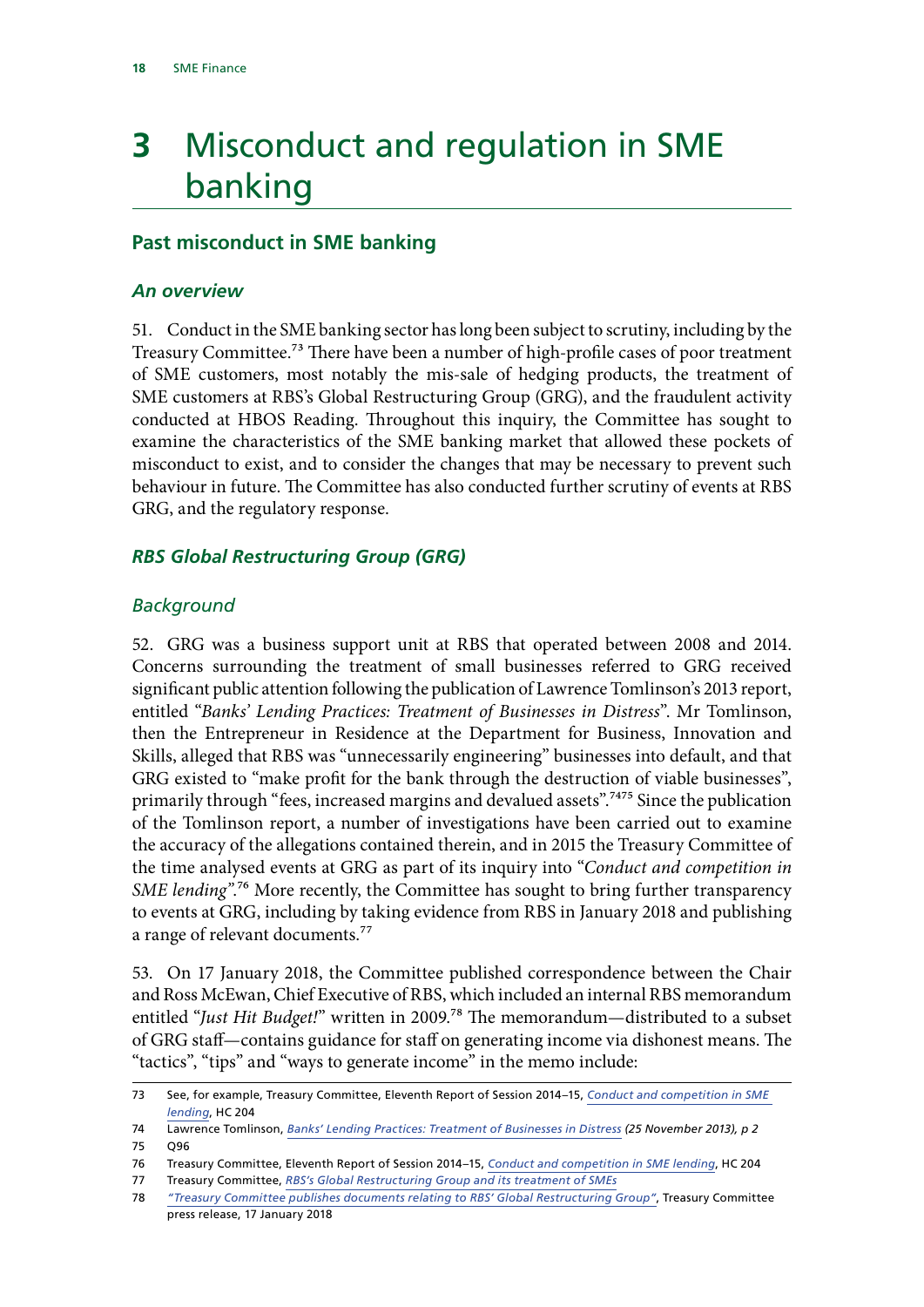# <span id="page-19-0"></span>**3** Misconduct and regulation in SME banking

### **Past misconduct in SME banking**

#### *An overview*

51. Conduct in the SME banking sector has long been subject to scrutiny, including by the Treasury Committee.<sup>73</sup> There have been a number of high-profile cases of poor treatment of SME customers, most notably the mis-sale of hedging products, the treatment of SME customers at RBS's Global Restructuring Group (GRG), and the fraudulent activity conducted at HBOS Reading. Throughout this inquiry, the Committee has sought to examine the characteristics of the SME banking market that allowed these pockets of misconduct to exist, and to consider the changes that may be necessary to prevent such behaviour in future. The Committee has also conducted further scrutiny of events at RBS GRG, and the regulatory response.

### *RBS Global Restructuring Group (GRG)*

#### *Background*

52. GRG was a business support unit at RBS that operated between 2008 and 2014. Concerns surrounding the treatment of small businesses referred to GRG received significant public attention following the publication of Lawrence Tomlinson's 2013 report, entitled "*Banks' Lending Practices: Treatment of Businesses in Distress*". Mr Tomlinson, then the Entrepreneur in Residence at the Department for Business, Innovation and Skills, alleged that RBS was "unnecessarily engineering" businesses into default, and that GRG existed to "make profit for the bank through the destruction of viable businesses", primarily through "fees, increased margins and devalued assets".<sup>7475</sup> Since the publication of the Tomlinson report, a number of investigations have been carried out to examine the accuracy of the allegations contained therein, and in 2015 the Treasury Committee of the time analysed events at GRG as part of its inquiry into "*Conduct and competition in SME lending"*.76 More recently, the Committee has sought to bring further transparency to events at GRG, including by taking evidence from RBS in January 2018 and publishing a range of relevant documents.<sup>77</sup>

53. On 17 January 2018, the Committee published correspondence between the Chair and Ross McEwan, Chief Executive of RBS, which included an internal RBS memorandum entitled "*Just Hit Budget!*" written in 2009.78 The memorandum—distributed to a subset of GRG staff—contains guidance for staff on generating income via dishonest means. The "tactics", "tips" and "ways to generate income" in the memo include:

<sup>73</sup> See, for example, Treasury Committee, Eleventh Report of Session 2014–15, *[Conduct and competition in SME](https://www.parliament.uk/documents/commons-committees/treasury/Conduct_and_Competition_in_SME_lending.pdf)  [lending](https://www.parliament.uk/documents/commons-committees/treasury/Conduct_and_Competition_in_SME_lending.pdf)*, HC 204

<sup>74</sup> Lawrence Tomlinson, *[Banks' Lending Practices: Treatment of Businesses in Distress](http://www.tomlinsonreport.com/docs/tomlinsonReport.pdf) (25 November 2013), p 2* 75 Q96

<sup>76</sup> Treasury Committee, Eleventh Report of Session 2014–15, *[Conduct and competition in SME lending](https://www.parliament.uk/documents/commons-committees/treasury/Conduct_and_Competition_in_SME_lending.pdf)*, HC 204

<sup>77</sup> Treasury Committee, *[RBS's Global Restructuring Group and its treatment of SMEs](https://www.parliament.uk/business/committees/committees-a-z/commons-select/treasury-committee/inquiries1/parliament-2017/rbs-global-restructuring-group-17-19/)*

<sup>78</sup> *["Treasury Committee publishes documents relating to RBS' Global Restructuring Group"](https://www.parliament.uk/business/committees/committees-a-z/commons-select/treasury-committee/news-parliament-2017/rbs-global-restructuring-group-letters-evidence-17-19/)*, Treasury Committee press release, 17 January 2018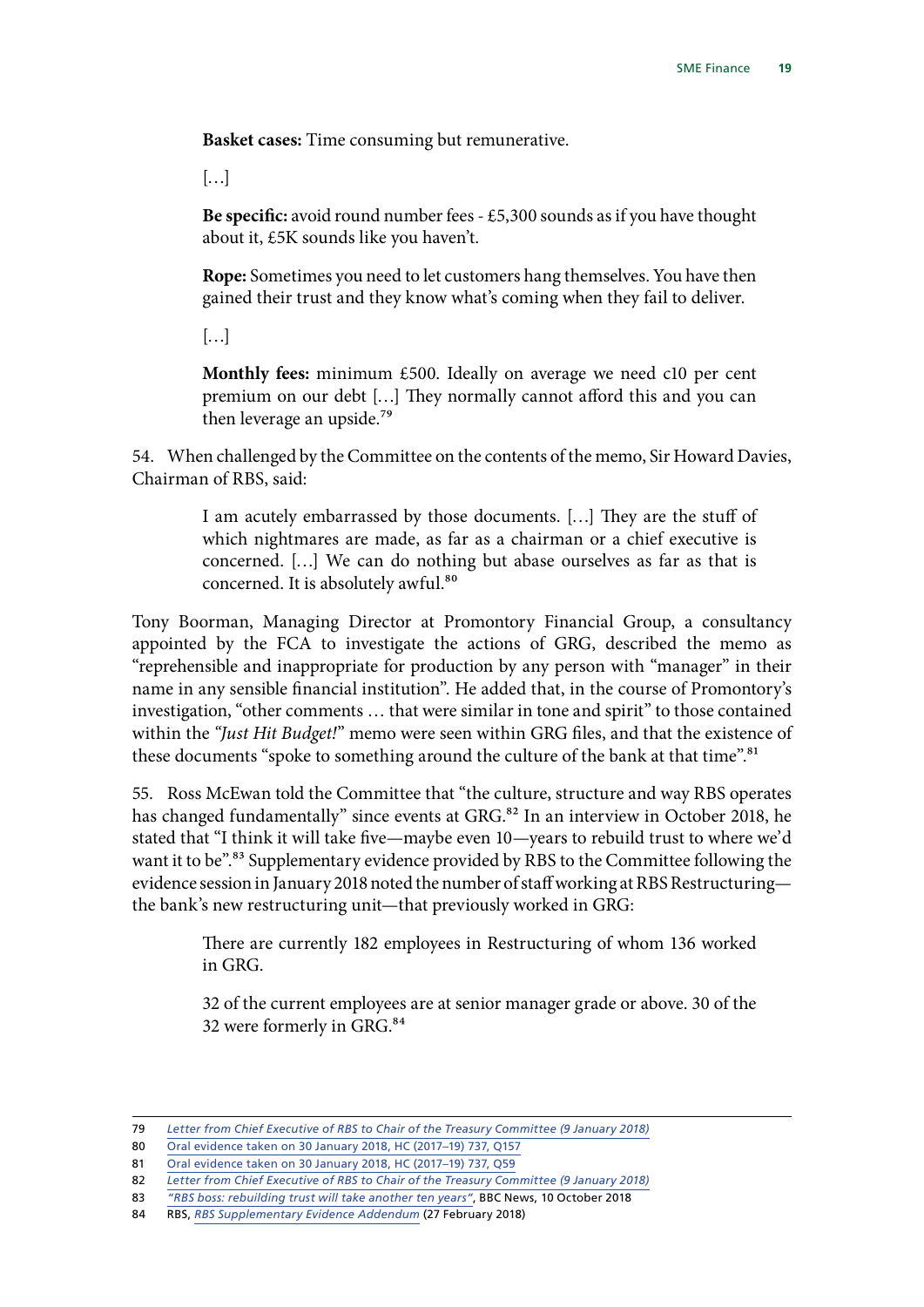**Basket cases:** Time consuming but remunerative.

[…]

**Be specific:** avoid round number fees - £5,300 sounds as if you have thought about it, £5K sounds like you haven't.

**Rope:** Sometimes you need to let customers hang themselves. You have then gained their trust and they know what's coming when they fail to deliver.

[…]

**Monthly fees:** minimum £500. Ideally on average we need c10 per cent premium on our debt […] They normally cannot afford this and you can then leverage an upside.79

54. When challenged by the Committee on the contents of the memo, Sir Howard Davies, Chairman of RBS, said:

> I am acutely embarrassed by those documents. […] They are the stuff of which nightmares are made, as far as a chairman or a chief executive is concerned. […] We can do nothing but abase ourselves as far as that is concerned. It is absolutely awful.<sup>80</sup>

Tony Boorman, Managing Director at Promontory Financial Group, a consultancy appointed by the FCA to investigate the actions of GRG, described the memo as "reprehensible and inappropriate for production by any person with "manager" in their name in any sensible financial institution". He added that, in the course of Promontory's investigation, "other comments … that were similar in tone and spirit" to those contained within the *"Just Hit Budget!*" memo were seen within GRG files, and that the existence of these documents "spoke to something around the culture of the bank at that time".<sup>81</sup>

55. Ross McEwan told the Committee that "the culture, structure and way RBS operates has changed fundamentally" since events at GRG.<sup>82</sup> In an interview in October 2018, he stated that "I think it will take five—maybe even 10—years to rebuild trust to where we'd want it to be".<sup>83</sup> Supplementary evidence provided by RBS to the Committee following the evidence session in January 2018 noted the number of staff working at RBS Restructuring the bank's new restructuring unit—that previously worked in GRG:

> There are currently 182 employees in Restructuring of whom 136 worked in GRG.

> 32 of the current employees are at senior manager grade or above. 30 of the 32 were formerly in GRG.<sup>84</sup>

<sup>79</sup> *[Letter from Chief Executive of RBS to Chair of the Treasury Committee](https://www.parliament.uk/documents/commons-committees/treasury/Ross-McEwan-RBS-GRG-090118.pdf) (9 January 2018)*

<sup>80</sup> [Oral evidence taken on 30 January 2018, HC \(2017–19\) 737, Q157](http://data.parliament.uk/writtenevidence/committeeevidence.svc/evidencedocument/treasury-committee/rbs-global-restructuring-group-and-its-treatment-of-smes/oral/77683.html)

<sup>81</sup> [Oral evidence taken on 30 January 2018, HC \(2017–19\) 737, Q59](http://data.parliament.uk/writtenevidence/committeeevidence.svc/evidencedocument/treasury-committee/rbs-global-restructuring-group-and-its-treatment-of-smes/oral/77683.html)

<sup>82</sup> *[Letter from Chief Executive of RBS to Chair of the Treasury Committee](https://www.parliament.uk/documents/commons-committees/treasury/Ross-McEwan-RBS-GRG-090118.pdf) (9 January 2018)*

<sup>83</sup> *["RBS boss: rebuilding trust will take another ten years"](https://www.bbc.co.uk/news/business-45799410)*, BBC News, 10 October 2018

<sup>84</sup> RBS, *[RBS Supplementary Evidence Addendum](https://www.parliament.uk/documents/commons-committees/treasury/Correspondence/RBS-Supplementary-Evidence-Addendum.pdf)* (27 February 2018)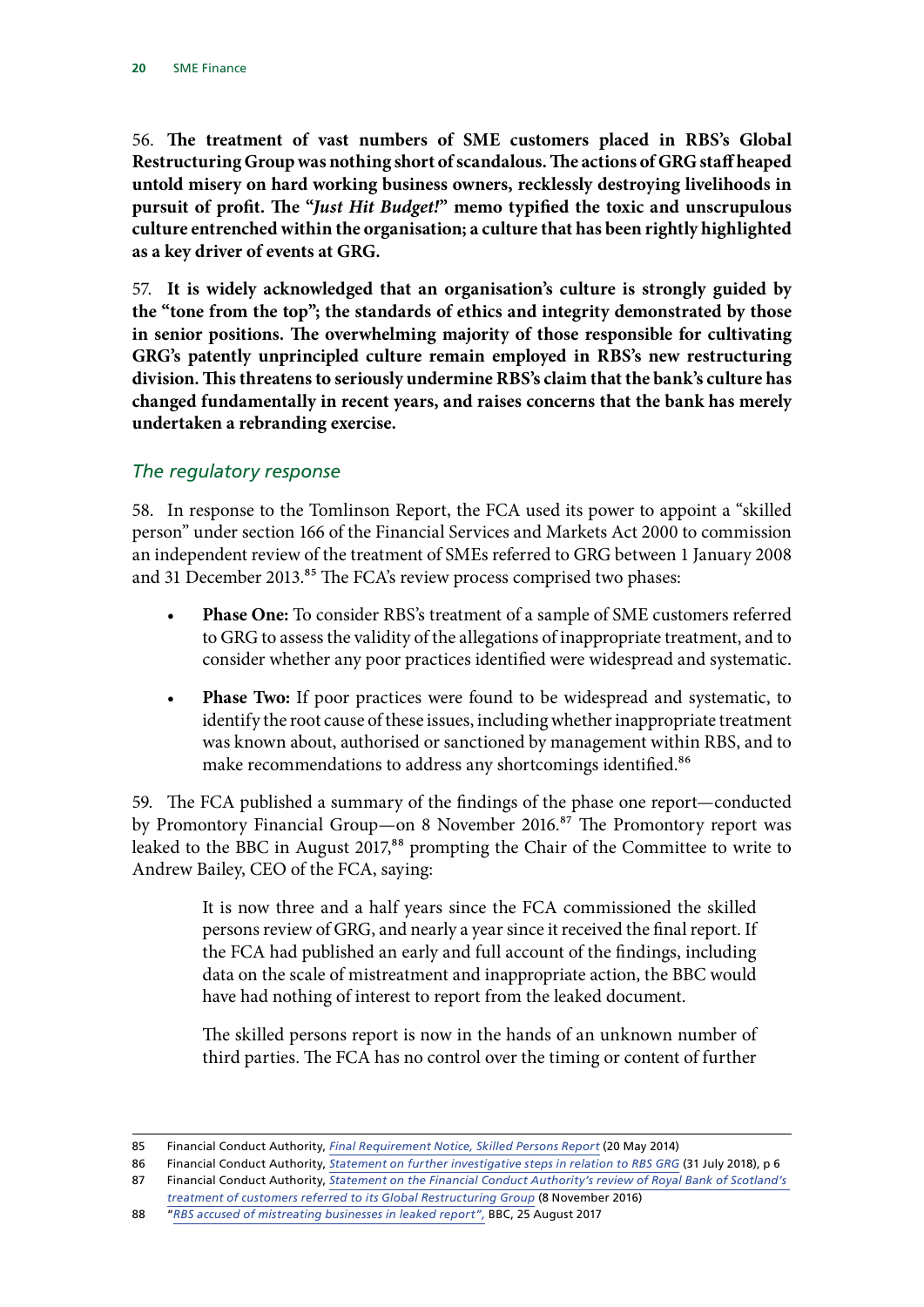56. **The treatment of vast numbers of SME customers placed in RBS's Global Restructuring Group was nothing short of scandalous. The actions of GRG staff heaped untold misery on hard working business owners, recklessly destroying livelihoods in pursuit of profit. The "***Just Hit Budget!***" memo typified the toxic and unscrupulous culture entrenched within the organisation; a culture that has been rightly highlighted as a key driver of events at GRG.**

57. **It is widely acknowledged that an organisation's culture is strongly guided by the "tone from the top"; the standards of ethics and integrity demonstrated by those in senior positions. The overwhelming majority of those responsible for cultivating GRG's patently unprincipled culture remain employed in RBS's new restructuring division. This threatens to seriously undermine RBS's claim that the bank's culture has changed fundamentally in recent years, and raises concerns that the bank has merely undertaken a rebranding exercise.**

#### *The regulatory response*

58. In response to the Tomlinson Report, the FCA used its power to appoint a "skilled person" under section 166 of the Financial Services and Markets Act 2000 to commission an independent review of the treatment of SMEs referred to GRG between 1 January 2008 and 31 December 2013.<sup>85</sup> The FCA's review process comprised two phases:

- **Phase One:** To consider RBS's treatment of a sample of SME customers referred to GRG to assess the validity of the allegations of inappropriate treatment, and to consider whether any poor practices identified were widespread and systematic.
- **Phase Two:** If poor practices were found to be widespread and systematic, to identify the root cause of these issues, including whether inappropriate treatment was known about, authorised or sanctioned by management within RBS, and to make recommendations to address any shortcomings identified.<sup>86</sup>

59. The FCA published a summary of the findings of the phase one report—conducted by Promontory Financial Group—on 8 November 2016.<sup>87</sup> The Promontory report was leaked to the BBC in August 2017,<sup>88</sup> prompting the Chair of the Committee to write to Andrew Bailey, CEO of the FCA, saying:

> It is now three and a half years since the FCA commissioned the skilled persons review of GRG, and nearly a year since it received the final report. If the FCA had published an early and full account of the findings, including data on the scale of mistreatment and inappropriate action, the BBC would have had nothing of interest to report from the leaked document.

> The skilled persons report is now in the hands of an unknown number of third parties. The FCA has no control over the timing or content of further

<sup>85</sup> Financial Conduct Authority, *[Final Requirement Notice, Skilled Persons Report](https://www.fca.org.uk/publication/foi/foi3462-information-provided-1.pdf)* (20 May 2014)

<sup>86</sup> Financial Conduct Authority, *[Statement on further investigative steps in relation to RBS GRG](https://www.fca.org.uk/publication/corporate/statement-on-fcas-further-investigative-steps-in-relation-to-rbs-grg.pdf)* (31 July 2018), p 6 87 Financial Conduct Authority, *[Statement on the Financial Conduct Authority's review of Royal Bank of Scotland's](https://www.fca.org.uk/news/press-releases/review-royal-bank-scotland-treatment-customers-referred-global-restructuring-group)* 

*[treatment of customers referred to its Global Restructuring Group](https://www.fca.org.uk/news/press-releases/review-royal-bank-scotland-treatment-customers-referred-global-restructuring-group)* (8 November 2016)

<sup>88</sup> "*[RBS accused of mistreating businesses in leaked report](https://www.bbc.co.uk/news/business-41048691)",* BBC, 25 August 2017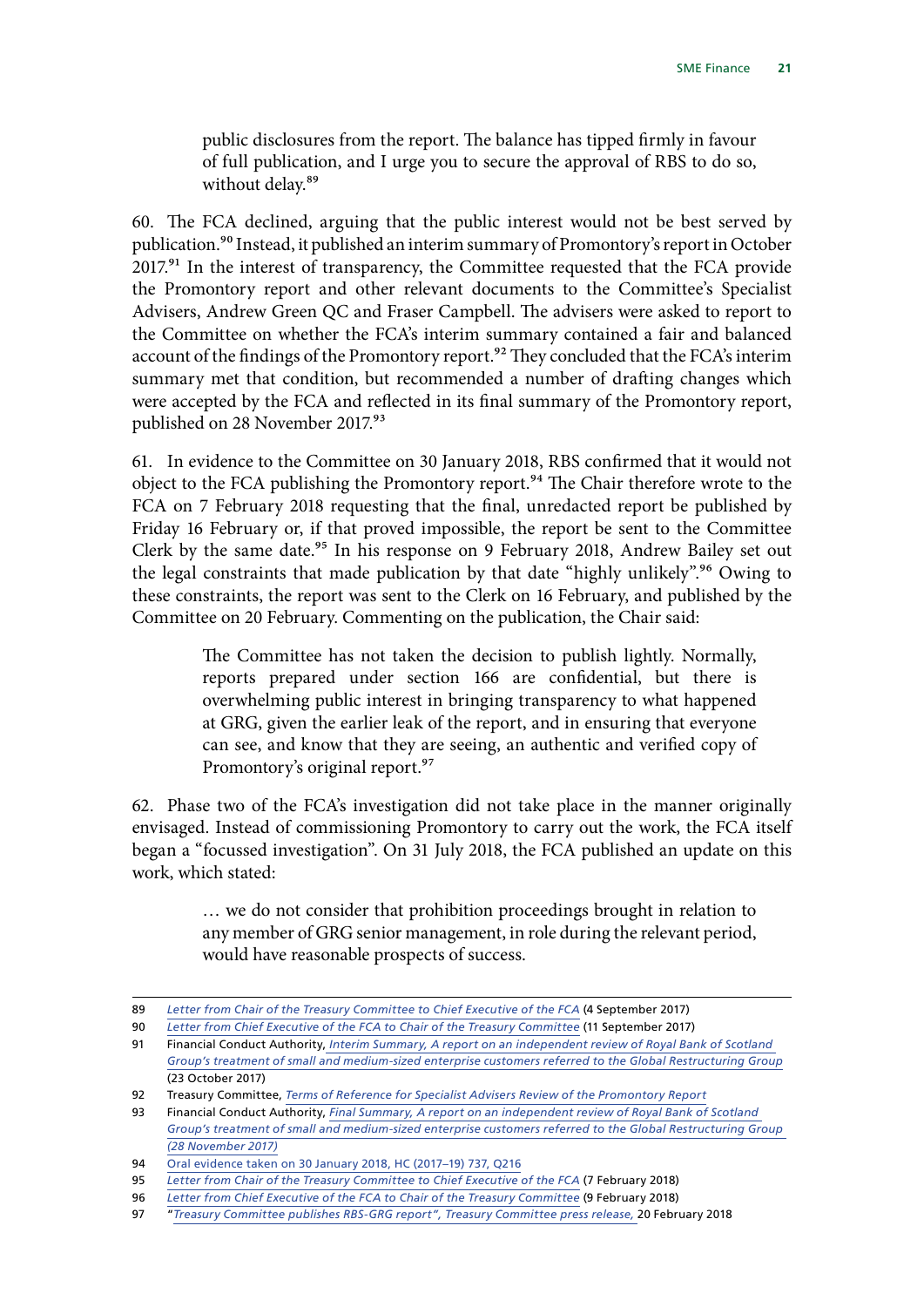public disclosures from the report. The balance has tipped firmly in favour of full publication, and I urge you to secure the approval of RBS to do so, without delay.<sup>89</sup>

60. The FCA declined, arguing that the public interest would not be best served by publication.<sup>90</sup> Instead, it published an interim summary of Promontory's report in October 2017.<sup>91</sup> In the interest of transparency, the Committee requested that the FCA provide the Promontory report and other relevant documents to the Committee's Specialist Advisers, Andrew Green QC and Fraser Campbell. The advisers were asked to report to the Committee on whether the FCA's interim summary contained a fair and balanced account of the findings of the Promontory report.<sup>92</sup> They concluded that the FCA's interim summary met that condition, but recommended a number of drafting changes which were accepted by the FCA and reflected in its final summary of the Promontory report, published on 28 November 2017.93

61. In evidence to the Committee on 30 January 2018, RBS confirmed that it would not object to the FCA publishing the Promontory report.<sup>94</sup> The Chair therefore wrote to the FCA on 7 February 2018 requesting that the final, unredacted report be published by Friday 16 February or, if that proved impossible, the report be sent to the Committee Clerk by the same date.<sup>95</sup> In his response on 9 February 2018, Andrew Bailey set out the legal constraints that made publication by that date "highly unlikely".96 Owing to these constraints, the report was sent to the Clerk on 16 February, and published by the Committee on 20 February. Commenting on the publication, the Chair said:

> The Committee has not taken the decision to publish lightly. Normally, reports prepared under section 166 are confidential, but there is overwhelming public interest in bringing transparency to what happened at GRG, given the earlier leak of the report, and in ensuring that everyone can see, and know that they are seeing, an authentic and verified copy of Promontory's original report.<sup>97</sup>

62. Phase two of the FCA's investigation did not take place in the manner originally envisaged. Instead of commissioning Promontory to carry out the work, the FCA itself began a "focussed investigation". On 31 July 2018, the FCA published an update on this work, which stated:

> … we do not consider that prohibition proceedings brought in relation to any member of GRG senior management, in role during the relevant period, would have reasonable prospects of success.

<sup>89</sup> *[Letter from Chair of the Treasury Committee to Chief Executive of the FCA](https://www.parliament.uk/documents/commons-committees/treasury/Chair-to-Andrew-Bailey-FCA-re-GRG-leak.pdf)* (4 September 2017)

<sup>90</sup> *[Letter from Chief Executive of the FCA to Chair of the Treasury Committee](https://www.parliament.uk/documents/commons-committees/treasury/Bailey-Morgan-GRG-110917.pdf)* (11 September 2017)

<sup>91</sup> Financial Conduct Authority, *[Interim Summary, A report on an independent review of Royal Bank of Scotland](https://www.fca.org.uk/publication/corporate/interim-summary-independent-review-rbs-grg.pdf)  [Group's treatment of small and medium-sized enterprise customers referred to the Global Restructuring Group](https://www.fca.org.uk/publication/corporate/interim-summary-independent-review-rbs-grg.pdf)* (23 October 2017)

<sup>92</sup> Treasury Committee, *[Terms of Reference for Specialist Advisers Review of the Promontory Report](https://www.parliament.uk/documents/commons-committees/treasury/Correspondence/2017-19/fca-tsc-tor.pdf)*

<sup>93</sup> Financial Conduct Authority, *[Final Summary, A report on an independent review of Royal Bank of Scotland](https://www.fca.org.uk/publication/corporate/final-summary-independent-review-rbs-grg.pdf)  [Group's treatment of small and medium-sized enterprise customers referred to the Global Restructuring Group](https://www.fca.org.uk/publication/corporate/final-summary-independent-review-rbs-grg.pdf) (28 November 2017)*

<sup>94</sup> [Oral evidence taken on 30 January 2018, HC \(2017–19\) 737, Q216](http://data.parliament.uk/writtenevidence/committeeevidence.svc/evidencedocument/treasury-committee/rbs-global-restructuring-group-and-its-treatment-of-smes/oral/77683.html)

<sup>95</sup> *[Letter from Chair of the Treasury Committee to Chief Executive of the FCA](https://www.parliament.uk/documents/commons-committees/treasury/Correspondence/2017-19/letter-Andrew-Bailey-070218.pdf)* (7 February 2018)

<sup>96</sup> *[Letter from Chief Executive of the FCA to Chair of the Treasury Committee](https://www.fca.org.uk/publication/correspondence/grg-letter-7-feb-2018.pdf)* (9 February 2018)

<sup>97</sup> "*[Treasury Committee publishes RBS-GRG report](https://www.parliament.uk/business/committees/committees-a-z/commons-select/treasury-committee/news-parliament-2017/rbs-global-restructuring-group-s166-report-17-19/)", Treasury Committee press release,* 20 February 2018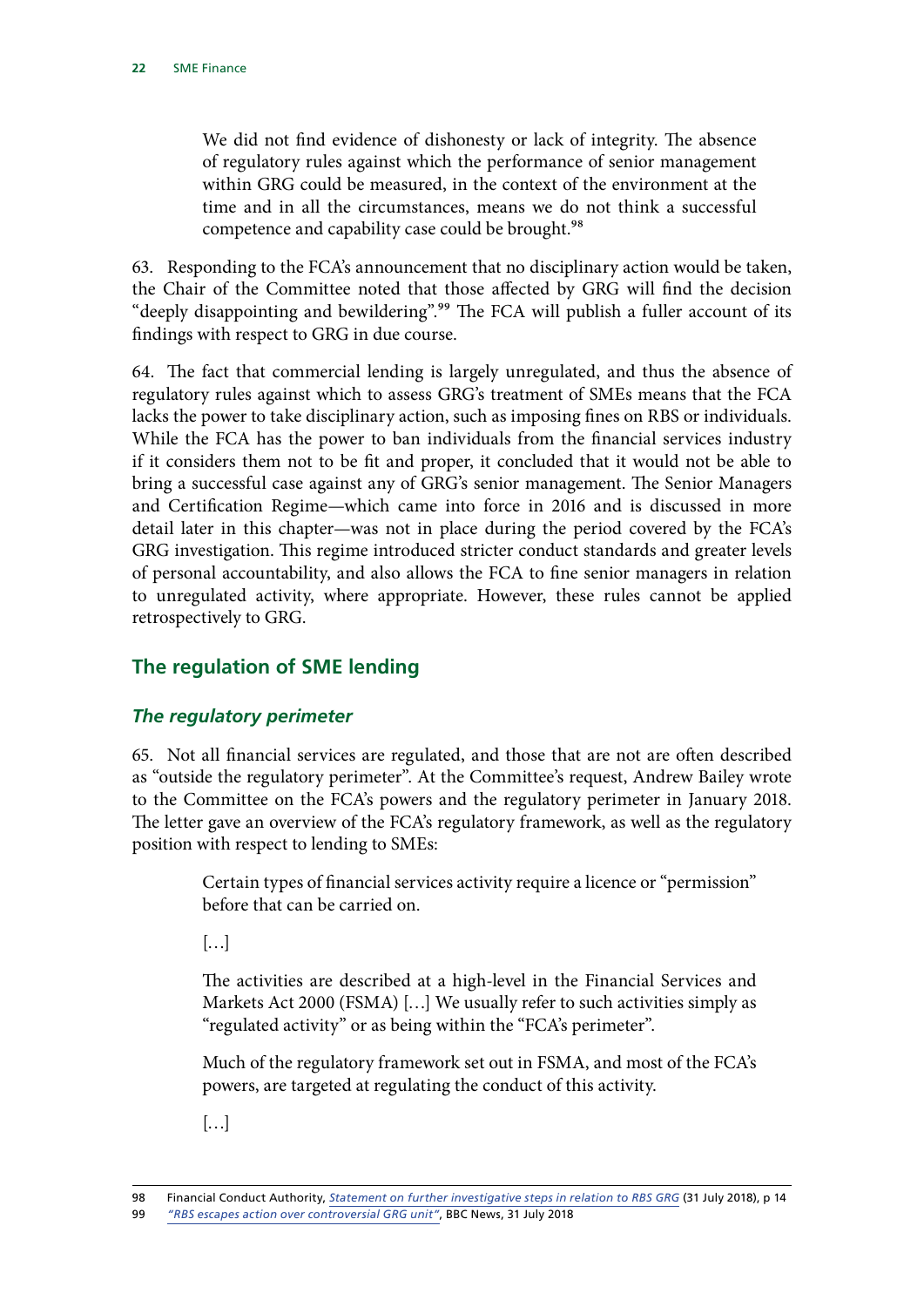<span id="page-23-0"></span>We did not find evidence of dishonesty or lack of integrity. The absence of regulatory rules against which the performance of senior management within GRG could be measured, in the context of the environment at the time and in all the circumstances, means we do not think a successful competence and capability case could be brought.<sup>98</sup>

63. Responding to the FCA's announcement that no disciplinary action would be taken, the Chair of the Committee noted that those affected by GRG will find the decision "deeply disappointing and bewildering".<sup>99</sup> The FCA will publish a fuller account of its findings with respect to GRG in due course.

64. The fact that commercial lending is largely unregulated, and thus the absence of regulatory rules against which to assess GRG's treatment of SMEs means that the FCA lacks the power to take disciplinary action, such as imposing fines on RBS or individuals. While the FCA has the power to ban individuals from the financial services industry if it considers them not to be fit and proper, it concluded that it would not be able to bring a successful case against any of GRG's senior management. The Senior Managers and Certification Regime—which came into force in 2016 and is discussed in more detail later in this chapter—was not in place during the period covered by the FCA's GRG investigation. This regime introduced stricter conduct standards and greater levels of personal accountability, and also allows the FCA to fine senior managers in relation to unregulated activity, where appropriate. However, these rules cannot be applied retrospectively to GRG.

# **The regulation of SME lending**

# *The regulatory perimeter*

65. Not all financial services are regulated, and those that are not are often described as "outside the regulatory perimeter". At the Committee's request, Andrew Bailey wrote to the Committee on the FCA's powers and the regulatory perimeter in January 2018. The letter gave an overview of the FCA's regulatory framework, as well as the regulatory position with respect to lending to SMEs:

> Certain types of financial services activity require a licence or "permission" before that can be carried on.

 $\left[\ldots\right]$ 

The activities are described at a high-level in the Financial Services and Markets Act 2000 (FSMA) […] We usually refer to such activities simply as "regulated activity" or as being within the "FCA's perimeter".

Much of the regulatory framework set out in FSMA, and most of the FCA's powers, are targeted at regulating the conduct of this activity.

[…]

<sup>98</sup> Financial Conduct Authority, *[Statement on further investigative steps in relation to RBS GRG](https://www.fca.org.uk/publication/corporate/statement-on-fcas-further-investigative-steps-in-relation-to-rbs-grg.pdf)* (31 July 2018), p 14 99 *["RBS escapes action over controversial GRG unit"](https://www.bbc.co.uk/news/business-45018743)*, BBC News, 31 July 2018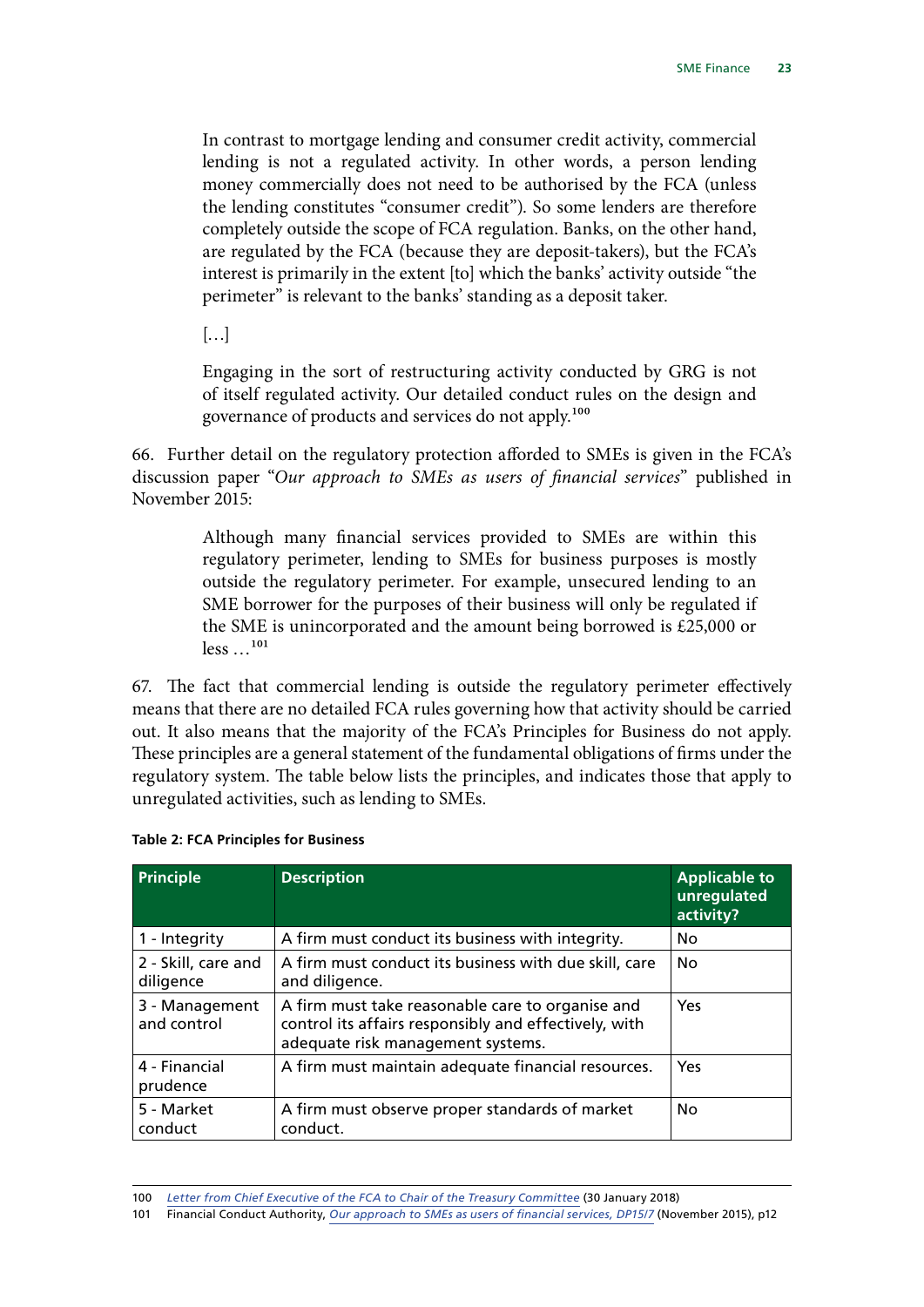In contrast to mortgage lending and consumer credit activity, commercial lending is not a regulated activity. In other words, a person lending money commercially does not need to be authorised by the FCA (unless the lending constitutes "consumer credit"). So some lenders are therefore completely outside the scope of FCA regulation. Banks, on the other hand, are regulated by the FCA (because they are deposit-takers), but the FCA's interest is primarily in the extent [to] which the banks' activity outside "the perimeter" is relevant to the banks' standing as a deposit taker.

 $\left[\ldots\right]$ 

Engaging in the sort of restructuring activity conducted by GRG is not of itself regulated activity. Our detailed conduct rules on the design and governance of products and services do not apply.100

66. Further detail on the regulatory protection afforded to SMEs is given in the FCA's discussion paper "*Our approach to SMEs as users of financial services*" published in November 2015:

> Although many financial services provided to SMEs are within this regulatory perimeter, lending to SMEs for business purposes is mostly outside the regulatory perimeter. For example, unsecured lending to an SME borrower for the purposes of their business will only be regulated if the SME is unincorporated and the amount being borrowed is £25,000 or less …101

67. The fact that commercial lending is outside the regulatory perimeter effectively means that there are no detailed FCA rules governing how that activity should be carried out. It also means that the majority of the FCA's Principles for Business do not apply. These principles are a general statement of the fundamental obligations of firms under the regulatory system. The table below lists the principles, and indicates those that apply to unregulated activities, such as lending to SMEs.

| <b>Principle</b>                 | <b>Description</b>                                                                                                                             | <b>Applicable to</b><br>unregulated<br>activity? |
|----------------------------------|------------------------------------------------------------------------------------------------------------------------------------------------|--------------------------------------------------|
| 1 - Integrity                    | A firm must conduct its business with integrity.                                                                                               | No                                               |
| 2 - Skill, care and<br>diligence | A firm must conduct its business with due skill, care<br>and diligence.                                                                        | <b>No</b>                                        |
| 3 - Management<br>and control    | A firm must take reasonable care to organise and<br>control its affairs responsibly and effectively, with<br>adequate risk management systems. | Yes                                              |
| 4 - Financial<br>prudence        | A firm must maintain adequate financial resources.                                                                                             | Yes                                              |
| 5 - Market<br>conduct            | A firm must observe proper standards of market<br>conduct.                                                                                     | No.                                              |

#### **Table 2: FCA Principles for Business**

<sup>100</sup> *[Letter from Chief Executive of the FCA to Chair of the Treasury Committee](https://www.parliament.uk/documents/commons-committees/treasury/Correspondence/2017-19/FCA-powers-perimeter-300118.pdf)* (30 January 2018)

<sup>101</sup> Financial Conduct Authority, *[Our approach to SMEs as users of financial services, DP15/7](https://www.fca.org.uk/publication/discussion/dp15-07.pdf)* (November 2015), p12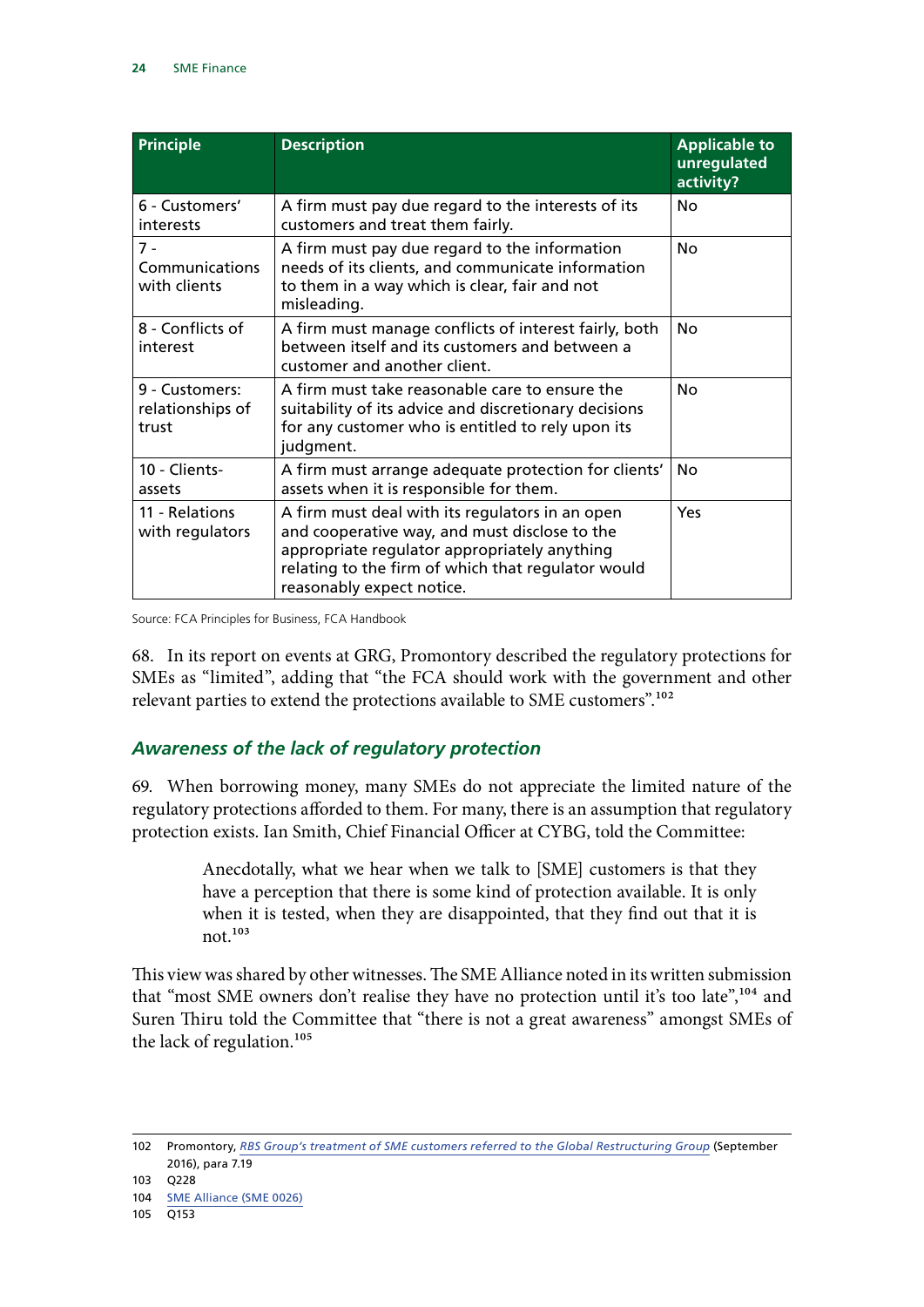<span id="page-25-0"></span>

| <b>Principle</b>                            | <b>Description</b>                                                                                                                                                                                                                  | <b>Applicable to</b><br>unregulated<br>activity? |
|---------------------------------------------|-------------------------------------------------------------------------------------------------------------------------------------------------------------------------------------------------------------------------------------|--------------------------------------------------|
| 6 - Customers'<br>interests                 | A firm must pay due regard to the interests of its<br>customers and treat them fairly.                                                                                                                                              | Nο                                               |
| $7 -$<br>Communications<br>with clients     | A firm must pay due regard to the information<br>needs of its clients, and communicate information<br>to them in a way which is clear, fair and not<br>misleading.                                                                  | No                                               |
| 8 - Conflicts of<br>interest                | A firm must manage conflicts of interest fairly, both<br>between itself and its customers and between a<br>customer and another client.                                                                                             | Nο                                               |
| 9 - Customers:<br>relationships of<br>trust | A firm must take reasonable care to ensure the<br>suitability of its advice and discretionary decisions<br>for any customer who is entitled to rely upon its<br>judgment.                                                           | No                                               |
| 10 - Clients-<br>assets                     | A firm must arrange adequate protection for clients'<br>assets when it is responsible for them.                                                                                                                                     | Nο                                               |
| 11 - Relations<br>with regulators           | A firm must deal with its regulators in an open<br>and cooperative way, and must disclose to the<br>appropriate regulator appropriately anything<br>relating to the firm of which that regulator would<br>reasonably expect notice. | Yes                                              |

Source: FCA Principles for Business, FCA Handbook

68. In its report on events at GRG, Promontory described the regulatory protections for SMEs as "limited", adding that "the FCA should work with the government and other relevant parties to extend the protections available to SME customers".<sup>102</sup>

# *Awareness of the lack of regulatory protection*

69. When borrowing money, many SMEs do not appreciate the limited nature of the regulatory protections afforded to them. For many, there is an assumption that regulatory protection exists. Ian Smith, Chief Financial Officer at CYBG, told the Committee:

> Anecdotally, what we hear when we talk to [SME] customers is that they have a perception that there is some kind of protection available. It is only when it is tested, when they are disappointed, that they find out that it is not. $103$

This view was shared by other witnesses. The SME Alliance noted in its written submission that "most SME owners don't realise they have no protection until it's too late",<sup>104</sup> and Suren Thiru told the Committee that "there is not a great awareness" amongst SMEs of the lack of regulation.105

<sup>102</sup> Promontory, *[RBS Group's treatment of SME customers referred to the Global Restructuring Group](https://www.parliament.uk/documents/commons-committees/treasury/s166-rbs-grg.pdf)* (September 2016), para 7.19

<sup>103</sup> Q228

<sup>104</sup> [SME Alliance \(SME 0026\)](http://data.parliament.uk/writtenevidence/committeeevidence.svc/evidencedocument/treasury-committee/sme-finance/written/81025.html)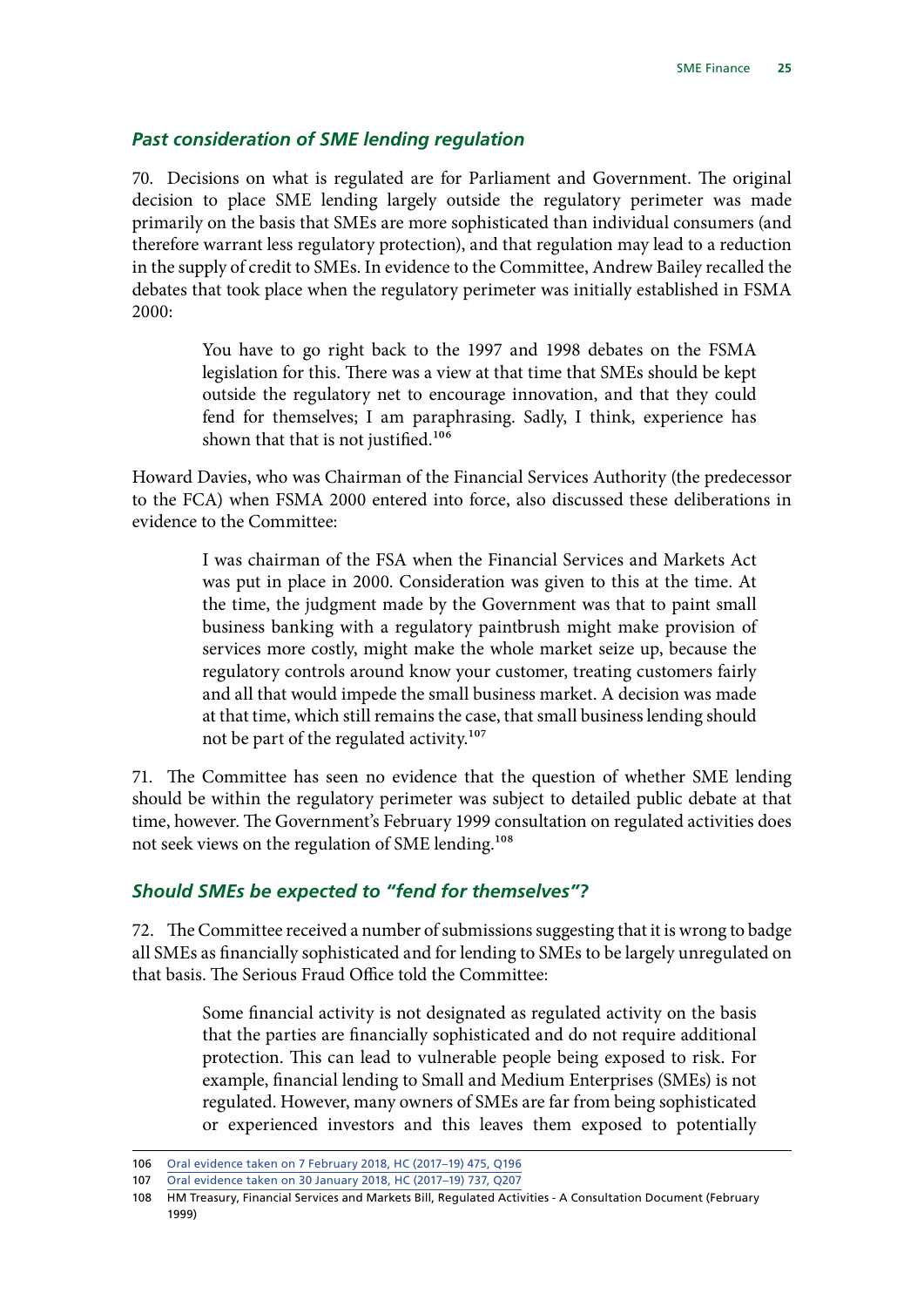#### <span id="page-26-0"></span>*Past consideration of SME lending regulation*

70. Decisions on what is regulated are for Parliament and Government. The original decision to place SME lending largely outside the regulatory perimeter was made primarily on the basis that SMEs are more sophisticated than individual consumers (and therefore warrant less regulatory protection), and that regulation may lead to a reduction in the supply of credit to SMEs. In evidence to the Committee, Andrew Bailey recalled the debates that took place when the regulatory perimeter was initially established in FSMA 2000:

> You have to go right back to the 1997 and 1998 debates on the FSMA legislation for this. There was a view at that time that SMEs should be kept outside the regulatory net to encourage innovation, and that they could fend for themselves; I am paraphrasing. Sadly, I think, experience has shown that that is not justified.<sup>106</sup>

Howard Davies, who was Chairman of the Financial Services Authority (the predecessor to the FCA) when FSMA 2000 entered into force, also discussed these deliberations in evidence to the Committee:

> I was chairman of the FSA when the Financial Services and Markets Act was put in place in 2000. Consideration was given to this at the time. At the time, the judgment made by the Government was that to paint small business banking with a regulatory paintbrush might make provision of services more costly, might make the whole market seize up, because the regulatory controls around know your customer, treating customers fairly and all that would impede the small business market. A decision was made at that time, which still remains the case, that small business lending should not be part of the regulated activity.107

71. The Committee has seen no evidence that the question of whether SME lending should be within the regulatory perimeter was subject to detailed public debate at that time, however. The Government's February 1999 consultation on regulated activities does not seek views on the regulation of SME lending.<sup>108</sup>

#### *Should SMEs be expected to "fend for themselves"?*

72. The Committee received a number of submissions suggesting that it is wrong to badge all SMEs as financially sophisticated and for lending to SMEs to be largely unregulated on that basis. The Serious Fraud Office told the Committee:

> Some financial activity is not designated as regulated activity on the basis that the parties are financially sophisticated and do not require additional protection. This can lead to vulnerable people being exposed to risk. For example, financial lending to Small and Medium Enterprises (SMEs) is not regulated. However, many owners of SMEs are far from being sophisticated or experienced investors and this leaves them exposed to potentially

<sup>106</sup> [Oral evidence taken on 7 February 2018, HC \(2017–19\) 475, Q196](http://data.parliament.uk/writtenevidence/committeeevidence.svc/evidencedocument/treasury-committee/the-work-of-the-financial-conduct-authority/oral/78106.html)

<sup>107</sup> [Oral evidence taken on 30 January 2018, HC \(2017–19\) 737, Q207](http://data.parliament.uk/writtenevidence/committeeevidence.svc/evidencedocument/treasury-committee/rbs-global-restructuring-group-and-its-treatment-of-smes/oral/77683.html)

<sup>108</sup> HM Treasury, Financial Services and Markets Bill, Regulated Activities - A Consultation Document (February 1999)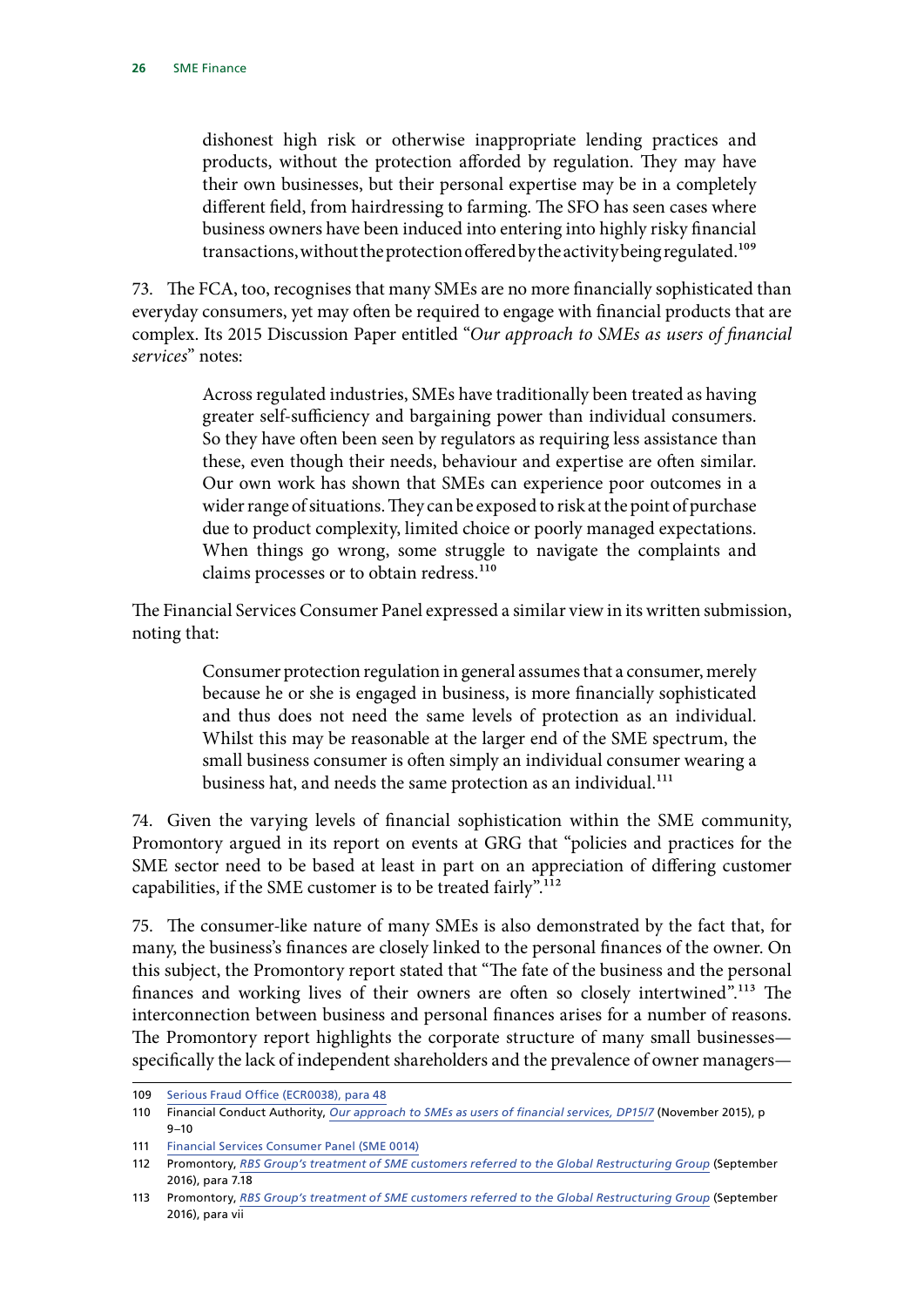dishonest high risk or otherwise inappropriate lending practices and products, without the protection afforded by regulation. They may have their own businesses, but their personal expertise may be in a completely different field, from hairdressing to farming. The SFO has seen cases where business owners have been induced into entering into highly risky financial transactions, without the protection offered by the activity being regulated.<sup>109</sup>

73. The FCA, too, recognises that many SMEs are no more financially sophisticated than everyday consumers, yet may often be required to engage with financial products that are complex. Its 2015 Discussion Paper entitled "*Our approach to SMEs as users of financial services*" notes:

> Across regulated industries, SMEs have traditionally been treated as having greater self-sufficiency and bargaining power than individual consumers. So they have often been seen by regulators as requiring less assistance than these, even though their needs, behaviour and expertise are often similar. Our own work has shown that SMEs can experience poor outcomes in a wider range of situations. They can be exposed to risk at the point of purchase due to product complexity, limited choice or poorly managed expectations. When things go wrong, some struggle to navigate the complaints and claims processes or to obtain redress.<sup>110</sup>

The Financial Services Consumer Panel expressed a similar view in its written submission, noting that:

> Consumer protection regulation in general assumes that a consumer, merely because he or she is engaged in business, is more financially sophisticated and thus does not need the same levels of protection as an individual. Whilst this may be reasonable at the larger end of the SME spectrum, the small business consumer is often simply an individual consumer wearing a business hat, and needs the same protection as an individual.<sup>111</sup>

74. Given the varying levels of financial sophistication within the SME community, Promontory argued in its report on events at GRG that "policies and practices for the SME sector need to be based at least in part on an appreciation of differing customer capabilities, if the SME customer is to be treated fairly".<sup>112</sup>

75. The consumer-like nature of many SMEs is also demonstrated by the fact that, for many, the business's finances are closely linked to the personal finances of the owner. On this subject, the Promontory report stated that "The fate of the business and the personal finances and working lives of their owners are often so closely intertwined".<sup>113</sup> The interconnection between business and personal finances arises for a number of reasons. The Promontory report highlights the corporate structure of many small businesses specifically the lack of independent shareholders and the prevalence of owner managers—

<sup>109</sup> [Serious Fraud Office \(ECR0038\), para 48](http://data.parliament.uk/writtenevidence/committeeevidence.svc/evidencedocument/treasury-committee/economic-crime/written/82482.html)

<sup>110</sup> Financial Conduct Authority, *[Our approach to SMEs as users of financial services, DP15/7](https://www.fca.org.uk/publication/discussion/dp15-07.pdf)* (November 2015), p 9–10

<sup>111</sup> [Financial Services Consumer Panel \(SME 0014\)](http://data.parliament.uk/writtenevidence/committeeevidence.svc/evidencedocument/treasury-committee/sme-finance/written/80960.html)

<sup>112</sup> Promontory, *[RBS Group's treatment of SME customers referred to the Global Restructuring Group](https://www.parliament.uk/documents/commons-committees/treasury/s166-rbs-grg.pdf)* (September 2016), para 7.18

<sup>113</sup> Promontory, *[RBS Group's treatment of SME customers referred to the Global Restructuring Group](https://www.parliament.uk/documents/commons-committees/treasury/s166-rbs-grg.pdf)* (September 2016), para vii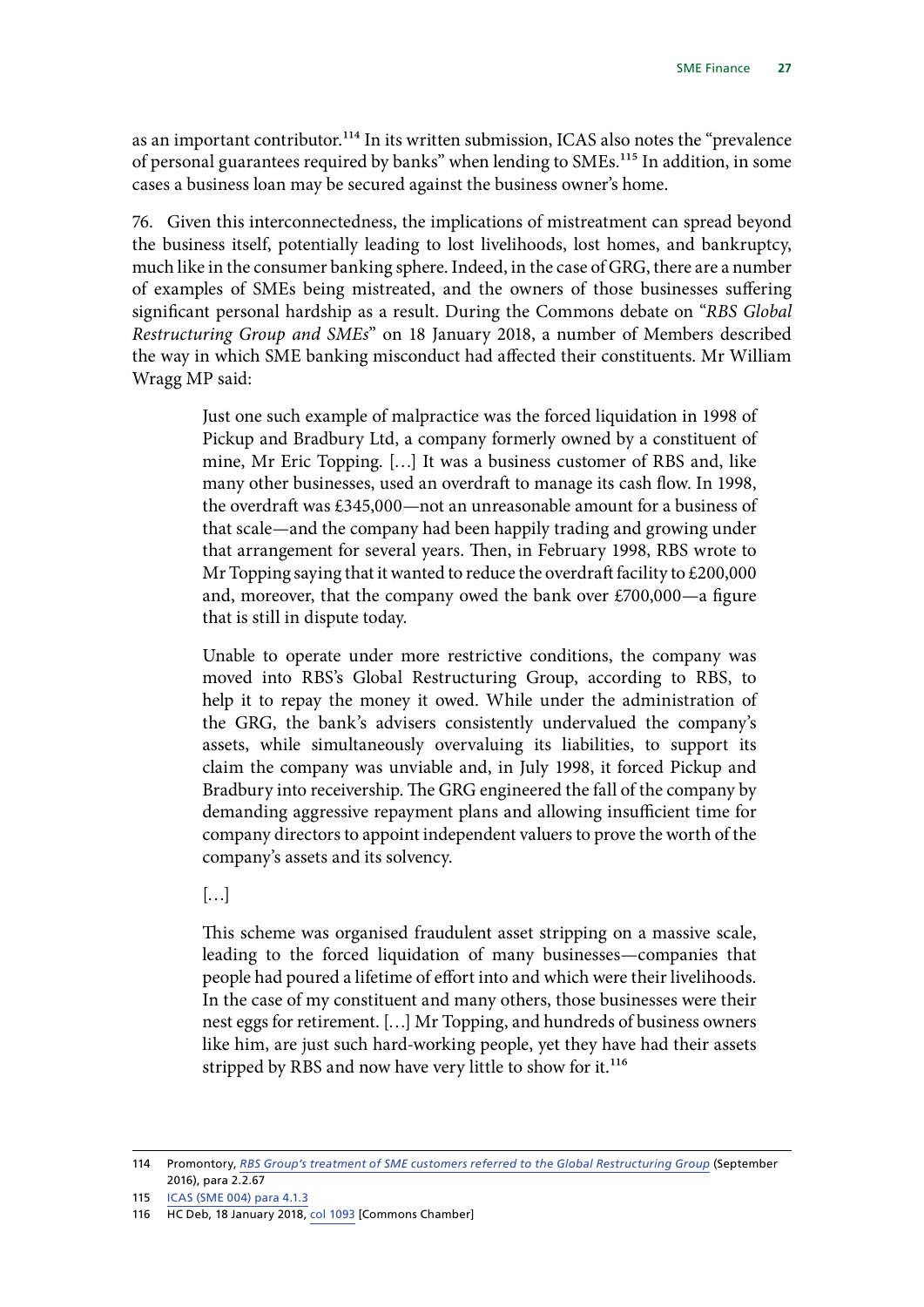as an important contributor.<sup>114</sup> In its written submission, ICAS also notes the "prevalence of personal guarantees required by banks" when lending to SMEs.115 In addition, in some cases a business loan may be secured against the business owner's home.

76. Given this interconnectedness, the implications of mistreatment can spread beyond the business itself, potentially leading to lost livelihoods, lost homes, and bankruptcy, much like in the consumer banking sphere. Indeed, in the case of GRG, there are a number of examples of SMEs being mistreated, and the owners of those businesses suffering significant personal hardship as a result. During the Commons debate on "*RBS Global Restructuring Group and SMEs*" on 18 January 2018, a number of Members described the way in which SME banking misconduct had affected their constituents. Mr William Wragg MP said:

> Just one such example of malpractice was the forced liquidation in 1998 of Pickup and Bradbury Ltd, a company formerly owned by a constituent of mine, Mr Eric Topping. […] It was a business customer of RBS and, like many other businesses, used an overdraft to manage its cash flow. In 1998, the overdraft was £345,000—not an unreasonable amount for a business of that scale—and the company had been happily trading and growing under that arrangement for several years. Then, in February 1998, RBS wrote to Mr Topping saying that it wanted to reduce the overdraft facility to £200,000 and, moreover, that the company owed the bank over £700,000—a figure that is still in dispute today.

> Unable to operate under more restrictive conditions, the company was moved into RBS's Global Restructuring Group, according to RBS, to help it to repay the money it owed. While under the administration of the GRG, the bank's advisers consistently undervalued the company's assets, while simultaneously overvaluing its liabilities, to support its claim the company was unviable and, in July 1998, it forced Pickup and Bradbury into receivership. The GRG engineered the fall of the company by demanding aggressive repayment plans and allowing insufficient time for company directors to appoint independent valuers to prove the worth of the company's assets and its solvency.

 $[...]$ 

This scheme was organised fraudulent asset stripping on a massive scale, leading to the forced liquidation of many businesses—companies that people had poured a lifetime of effort into and which were their livelihoods. In the case of my constituent and many others, those businesses were their nest eggs for retirement. […] Mr Topping, and hundreds of business owners like him, are just such hard-working people, yet they have had their assets stripped by RBS and now have very little to show for it.<sup>116</sup>

<sup>114</sup> Promontory, *[RBS Group's treatment of SME customers referred to the Global Restructuring Group](https://www.parliament.uk/documents/commons-committees/treasury/s166-rbs-grg.pdf)* (September 2016), para 2.2.67

<sup>115</sup> [ICAS \(SME 004\) para 4.1.3](http://data.parliament.uk/writtenevidence/committeeevidence.svc/evidencedocument/treasury-committee/sme-finance/written/80648.html)

<sup>116</sup> HC Deb, 18 January 2018, col 1093 [Commons Chamber]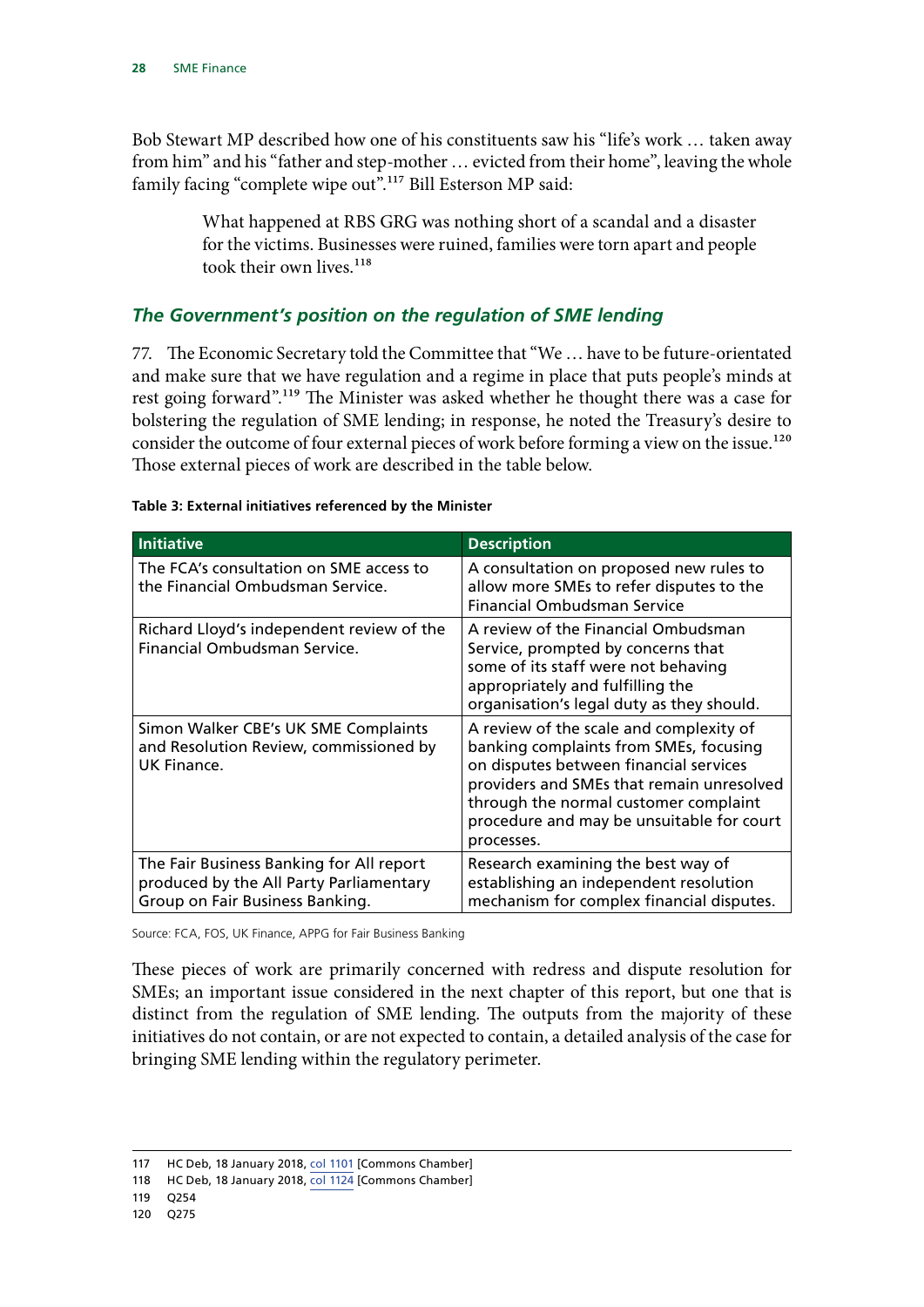<span id="page-29-0"></span>Bob Stewart MP described how one of his constituents saw his "life's work … taken away from him" and his "father and step-mother … evicted from their home", leaving the whole family facing "complete wipe out".<sup>117</sup> Bill Esterson MP said:

> What happened at RBS GRG was nothing short of a scandal and a disaster for the victims. Businesses were ruined, families were torn apart and people took their own lives<sup>118</sup>

### *The Government's position on the regulation of SME lending*

77. The Economic Secretary told the Committee that "We … have to be future-orientated and make sure that we have regulation and a regime in place that puts people's minds at rest going forward".119 The Minister was asked whether he thought there was a case for bolstering the regulation of SME lending; in response, he noted the Treasury's desire to consider the outcome of four external pieces of work before forming a view on the issue.<sup>120</sup> Those external pieces of work are described in the table below.

| <b>Initiative</b>                                                                                                      | <b>Description</b>                                                                                                                                                                                                                                                           |
|------------------------------------------------------------------------------------------------------------------------|------------------------------------------------------------------------------------------------------------------------------------------------------------------------------------------------------------------------------------------------------------------------------|
| The FCA's consultation on SME access to<br>the Financial Ombudsman Service.                                            | A consultation on proposed new rules to<br>allow more SMEs to refer disputes to the<br><b>Financial Ombudsman Service</b>                                                                                                                                                    |
| Richard Lloyd's independent review of the<br>Financial Ombudsman Service.                                              | A review of the Financial Ombudsman<br>Service, prompted by concerns that<br>some of its staff were not behaving<br>appropriately and fulfilling the<br>organisation's legal duty as they should.                                                                            |
| Simon Walker CBE's UK SME Complaints<br>and Resolution Review, commissioned by<br>UK Finance.                          | A review of the scale and complexity of<br>banking complaints from SMEs, focusing<br>on disputes between financial services<br>providers and SMEs that remain unresolved<br>through the normal customer complaint<br>procedure and may be unsuitable for court<br>processes. |
| The Fair Business Banking for All report<br>produced by the All Party Parliamentary<br>Group on Fair Business Banking. | Research examining the best way of<br>establishing an independent resolution<br>mechanism for complex financial disputes.                                                                                                                                                    |

#### **Table 3: External initiatives referenced by the Minister**

Source: FCA, FOS, UK Finance, APPG for Fair Business Banking

These pieces of work are primarily concerned with redress and dispute resolution for SMEs; an important issue considered in the next chapter of this report, but one that is distinct from the regulation of SME lending. The outputs from the majority of these initiatives do not contain, or are not expected to contain, a detailed analysis of the case for bringing SME lending within the regulatory perimeter.

<sup>117</sup> HC Deb, 18 January 2018, col 1101 [Commons Chamber]

<sup>118</sup> HC Deb, 18 January 2018, col 1124 [Commons Chamber]

<sup>119</sup> Q254

<sup>120</sup> Q275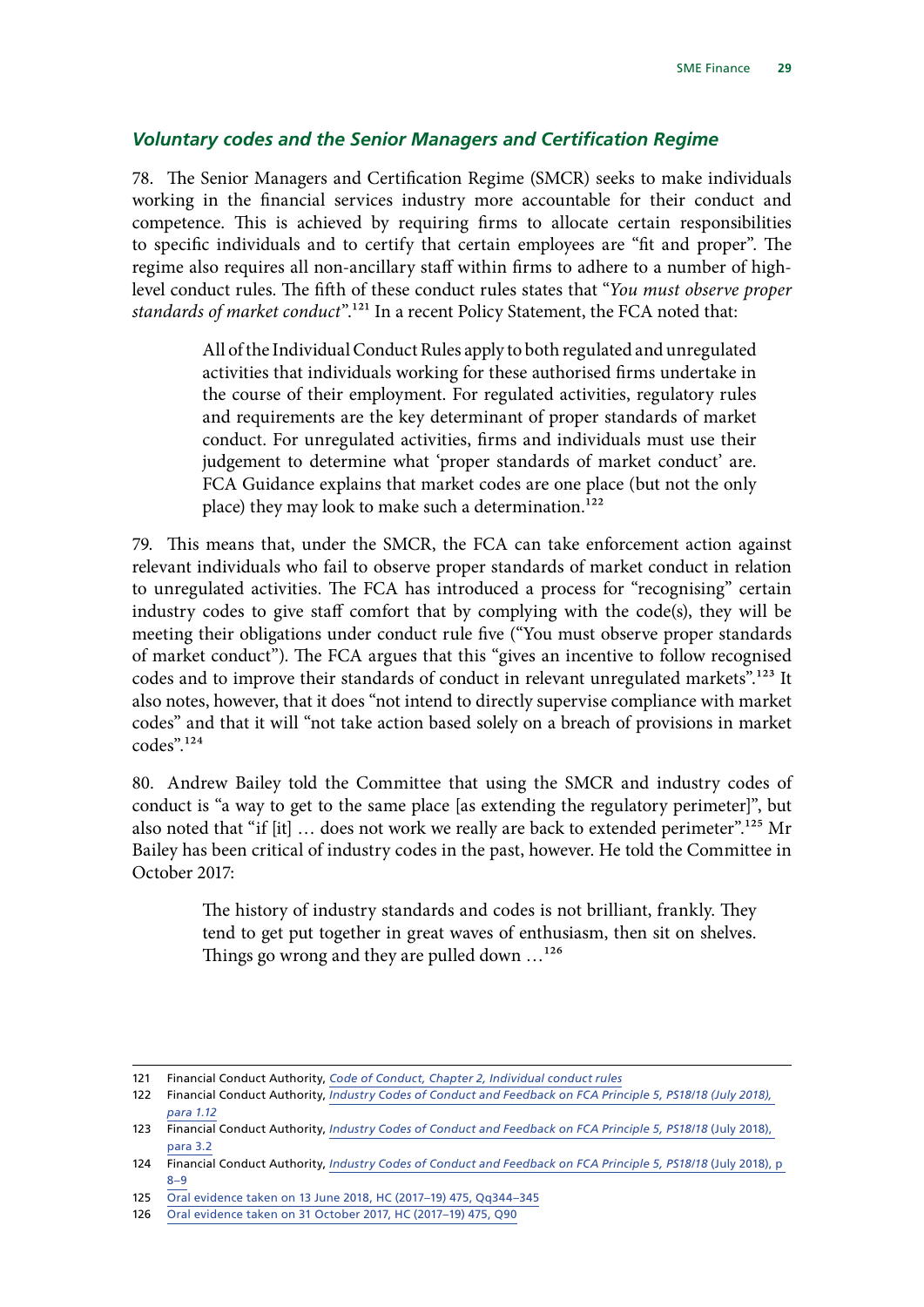#### <span id="page-30-0"></span>*Voluntary codes and the Senior Managers and Certification Regime*

78. The Senior Managers and Certification Regime (SMCR) seeks to make individuals working in the financial services industry more accountable for their conduct and competence. This is achieved by requiring firms to allocate certain responsibilities to specific individuals and to certify that certain employees are "fit and proper". The regime also requires all non-ancillary staff within firms to adhere to a number of highlevel conduct rules. The fifth of these conduct rules states that "*You must observe proper standards of market conduct*".121 In a recent Policy Statement, the FCA noted that:

> All of the Individual Conduct Rules apply to both regulated and unregulated activities that individuals working for these authorised firms undertake in the course of their employment. For regulated activities, regulatory rules and requirements are the key determinant of proper standards of market conduct. For unregulated activities, firms and individuals must use their judgement to determine what 'proper standards of market conduct' are. FCA Guidance explains that market codes are one place (but not the only place) they may look to make such a determination.<sup>122</sup>

79. This means that, under the SMCR, the FCA can take enforcement action against relevant individuals who fail to observe proper standards of market conduct in relation to unregulated activities. The FCA has introduced a process for "recognising" certain industry codes to give staff comfort that by complying with the code(s), they will be meeting their obligations under conduct rule five ("You must observe proper standards of market conduct"). The FCA argues that this "gives an incentive to follow recognised codes and to improve their standards of conduct in relevant unregulated markets".<sup>123</sup> It also notes, however, that it does "not intend to directly supervise compliance with market codes" and that it will "not take action based solely on a breach of provisions in market codes".124

80. Andrew Bailey told the Committee that using the SMCR and industry codes of conduct is "a way to get to the same place [as extending the regulatory perimeter]", but also noted that "if [it] ... does not work we really are back to extended perimeter".<sup>125</sup> Mr Bailey has been critical of industry codes in the past, however. He told the Committee in October 2017:

> The history of industry standards and codes is not brilliant, frankly. They tend to get put together in great waves of enthusiasm, then sit on shelves. Things go wrong and they are pulled down ...<sup>126</sup>

<sup>121</sup> Financial Conduct Authority, *[Code of Conduct, Chapter 2, Individual conduct rules](https://www.handbook.fca.org.uk/handbook/COCON/2.pdf)*

<sup>122</sup> Financial Conduct Authority, *[Industry Codes of Conduct and Feedback on FCA Principle 5, PS18/18 \(July 2018\),](https://www.fca.org.uk/publication/policy/ps18-18.pdf)  [para 1.12](https://www.fca.org.uk/publication/policy/ps18-18.pdf)*

<sup>123</sup> Financial Conduct Authority, *[Industry Codes of Conduct and Feedback on FCA Principle 5, PS18/18](https://www.fca.org.uk/publication/policy/ps18-18.pdf)* (July 2018), [para 3.2](https://www.fca.org.uk/publication/policy/ps18-18.pdf)

<sup>124</sup> Financial Conduct Authority, *[Industry Codes of Conduct and Feedback on FCA Principle 5, PS18/18](https://www.fca.org.uk/publication/policy/ps18-18.pdf)* (July 2018), p [8–9](https://www.fca.org.uk/publication/policy/ps18-18.pdf)

<sup>125</sup> [Oral evidence taken on 13 June 2018, HC \(2017–19\) 475, Qq344–345](http://data.parliament.uk/writtenevidence/committeeevidence.svc/evidencedocument/treasury-committee/the-work-of-the-financial-conduct-authority/oral/85306.html)

<sup>126</sup> [Oral evidence taken on 31 October 2017, HC \(2017–19\) 475, Q90](http://data.parliament.uk/writtenevidence/committeeevidence.svc/evidencedocument/treasury-committee/the-work-of-the-financial-conduct-authority/oral/72428.html)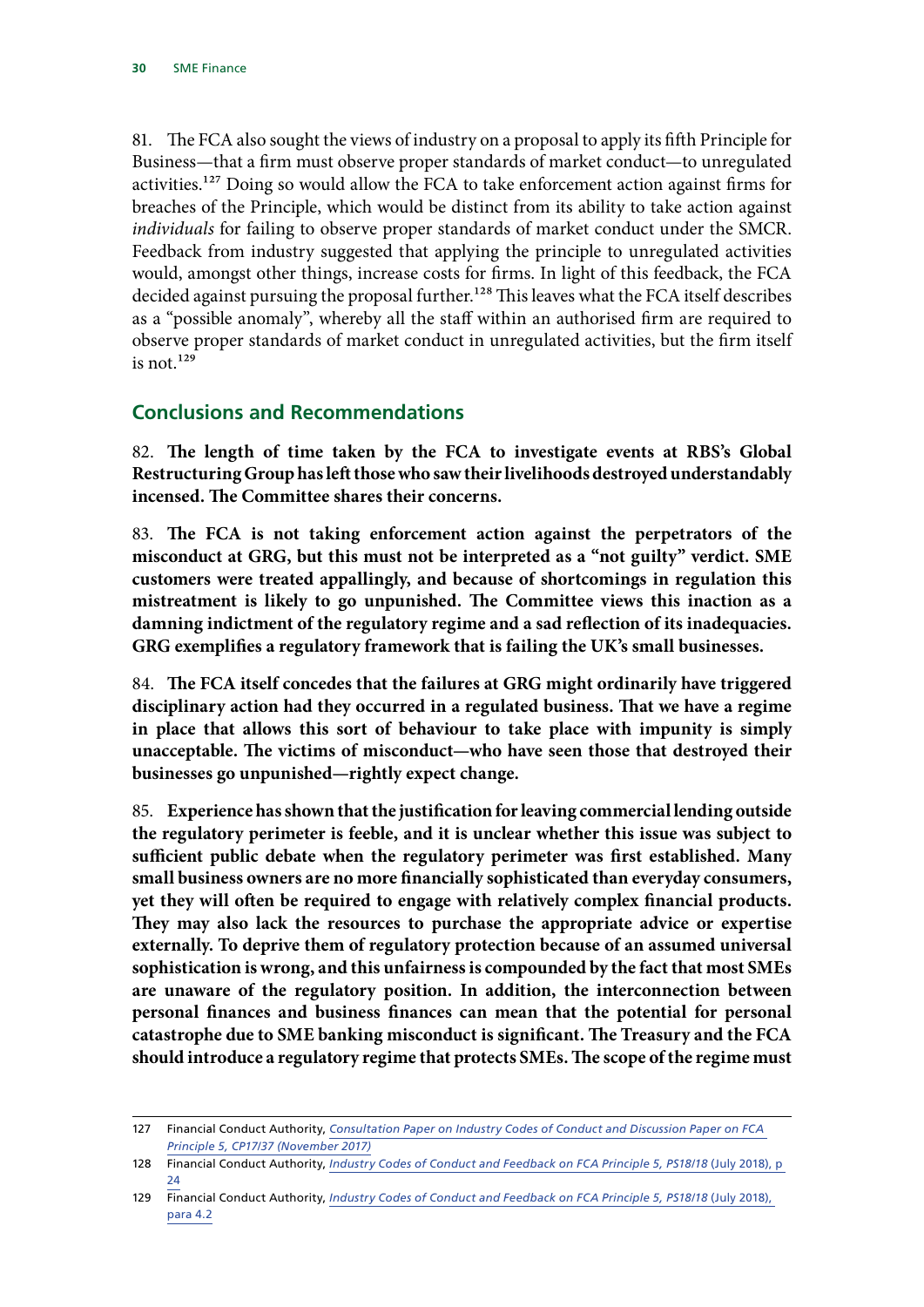<span id="page-31-0"></span>81. The FCA also sought the views of industry on a proposal to apply its fifth Principle for Business—that a firm must observe proper standards of market conduct—to unregulated activities.<sup>127</sup> Doing so would allow the FCA to take enforcement action against firms for breaches of the Principle, which would be distinct from its ability to take action against *individuals* for failing to observe proper standards of market conduct under the SMCR. Feedback from industry suggested that applying the principle to unregulated activities would, amongst other things, increase costs for firms. In light of this feedback, the FCA decided against pursuing the proposal further.<sup>128</sup> This leaves what the FCA itself describes as a "possible anomaly", whereby all the staff within an authorised firm are required to observe proper standards of market conduct in unregulated activities, but the firm itself is not. $129$ 

# **Conclusions and Recommendations**

82. **The length of time taken by the FCA to investigate events at RBS's Global Restructuring Group has left those who saw their livelihoods destroyed understandably incensed. The Committee shares their concerns.**

83. **The FCA is not taking enforcement action against the perpetrators of the misconduct at GRG, but this must not be interpreted as a "not guilty" verdict. SME customers were treated appallingly, and because of shortcomings in regulation this mistreatment is likely to go unpunished. The Committee views this inaction as a damning indictment of the regulatory regime and a sad reflection of its inadequacies. GRG exemplifies a regulatory framework that is failing the UK's small businesses.**

84. **The FCA itself concedes that the failures at GRG might ordinarily have triggered disciplinary action had they occurred in a regulated business. That we have a regime in place that allows this sort of behaviour to take place with impunity is simply unacceptable. The victims of misconduct—who have seen those that destroyed their businesses go unpunished—rightly expect change.**

85. **Experience has shown that the justification for leaving commercial lending outside the regulatory perimeter is feeble, and it is unclear whether this issue was subject to sufficient public debate when the regulatory perimeter was first established. Many small business owners are no more financially sophisticated than everyday consumers, yet they will often be required to engage with relatively complex financial products. They may also lack the resources to purchase the appropriate advice or expertise externally. To deprive them of regulatory protection because of an assumed universal sophistication is wrong, and this unfairness is compounded by the fact that most SMEs are unaware of the regulatory position. In addition, the interconnection between personal finances and business finances can mean that the potential for personal catastrophe due to SME banking misconduct is significant. The Treasury and the FCA should introduce a regulatory regime that protects SMEs. The scope of the regime must** 

<sup>127</sup> Financial Conduct Authority, *[Consultation Paper on Industry Codes of Conduct and Discussion Paper on FCA](https://www.fca.org.uk/publication/consultation/cp17-37.pdf)  [Principle 5, CP17/37 \(November 2017\)](https://www.fca.org.uk/publication/consultation/cp17-37.pdf)*

<sup>128</sup> Financial Conduct Authority, *[Industry Codes of Conduct and Feedback on FCA Principle 5, PS18/18](https://www.fca.org.uk/publication/policy/ps18-18.pdf)* (July 2018), p [24](https://www.fca.org.uk/publication/policy/ps18-18.pdf)

<sup>129</sup> Financial Conduct Authority, *[Industry Codes of Conduct and Feedback on FCA Principle 5, PS18/18](https://www.fca.org.uk/publication/policy/ps18-18.pdf)* (July 2018), [para 4.2](https://www.fca.org.uk/publication/policy/ps18-18.pdf)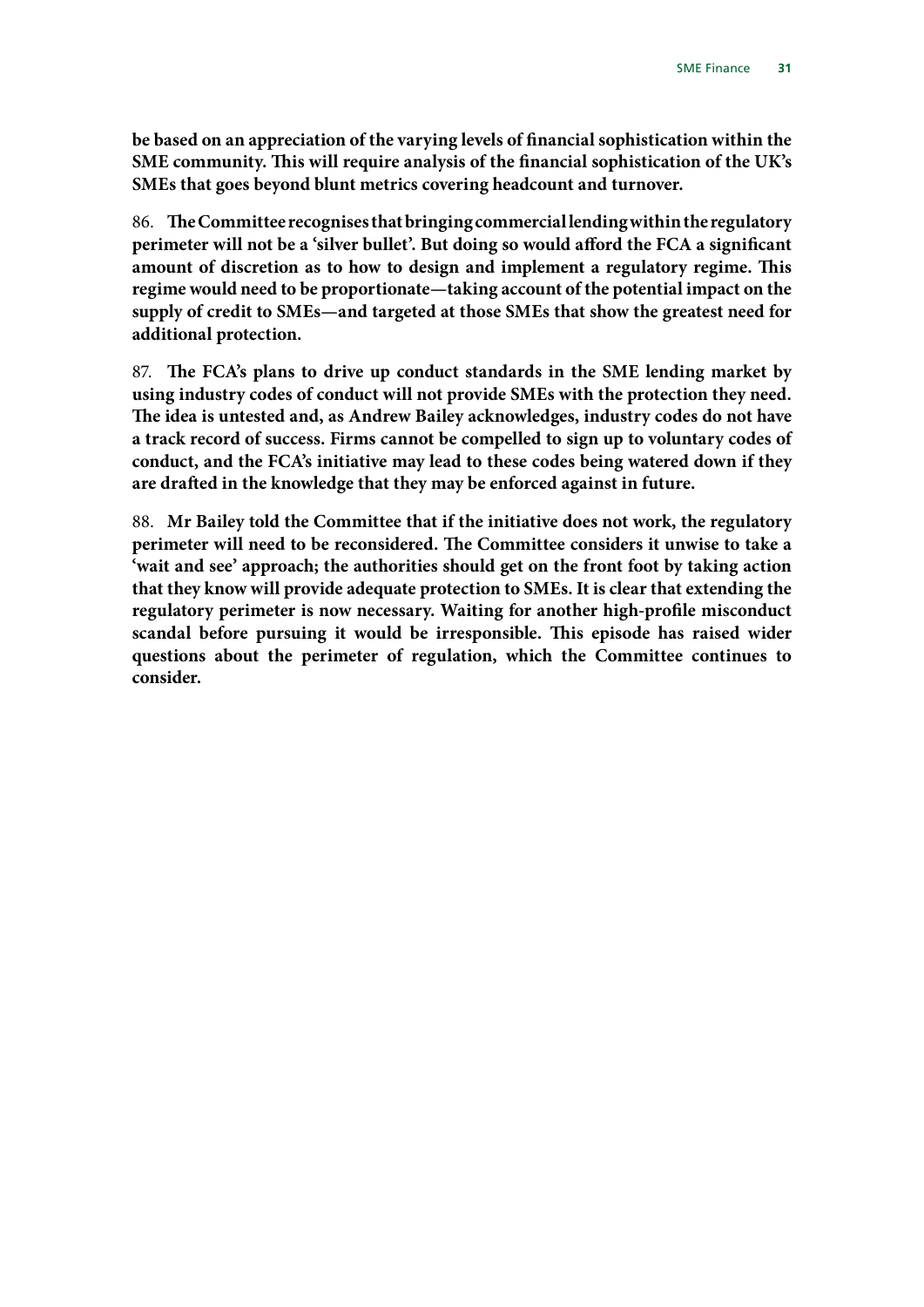**be based on an appreciation of the varying levels of financial sophistication within the SME community. This will require analysis of the financial sophistication of the UK's SMEs that goes beyond blunt metrics covering headcount and turnover.**

86. **The Committee recognises that bringing commercial lending within the regulatory perimeter will not be a 'silver bullet'. But doing so would afford the FCA a significant amount of discretion as to how to design and implement a regulatory regime. This regime would need to be proportionate—taking account of the potential impact on the supply of credit to SMEs—and targeted at those SMEs that show the greatest need for additional protection.**

87. **The FCA's plans to drive up conduct standards in the SME lending market by using industry codes of conduct will not provide SMEs with the protection they need. The idea is untested and, as Andrew Bailey acknowledges, industry codes do not have a track record of success. Firms cannot be compelled to sign up to voluntary codes of conduct, and the FCA's initiative may lead to these codes being watered down if they are drafted in the knowledge that they may be enforced against in future.**

88. **Mr Bailey told the Committee that if the initiative does not work, the regulatory perimeter will need to be reconsidered. The Committee considers it unwise to take a 'wait and see' approach; the authorities should get on the front foot by taking action that they know will provide adequate protection to SMEs. It is clear that extending the regulatory perimeter is now necessary. Waiting for another high-profile misconduct scandal before pursuing it would be irresponsible. This episode has raised wider questions about the perimeter of regulation, which the Committee continues to consider.**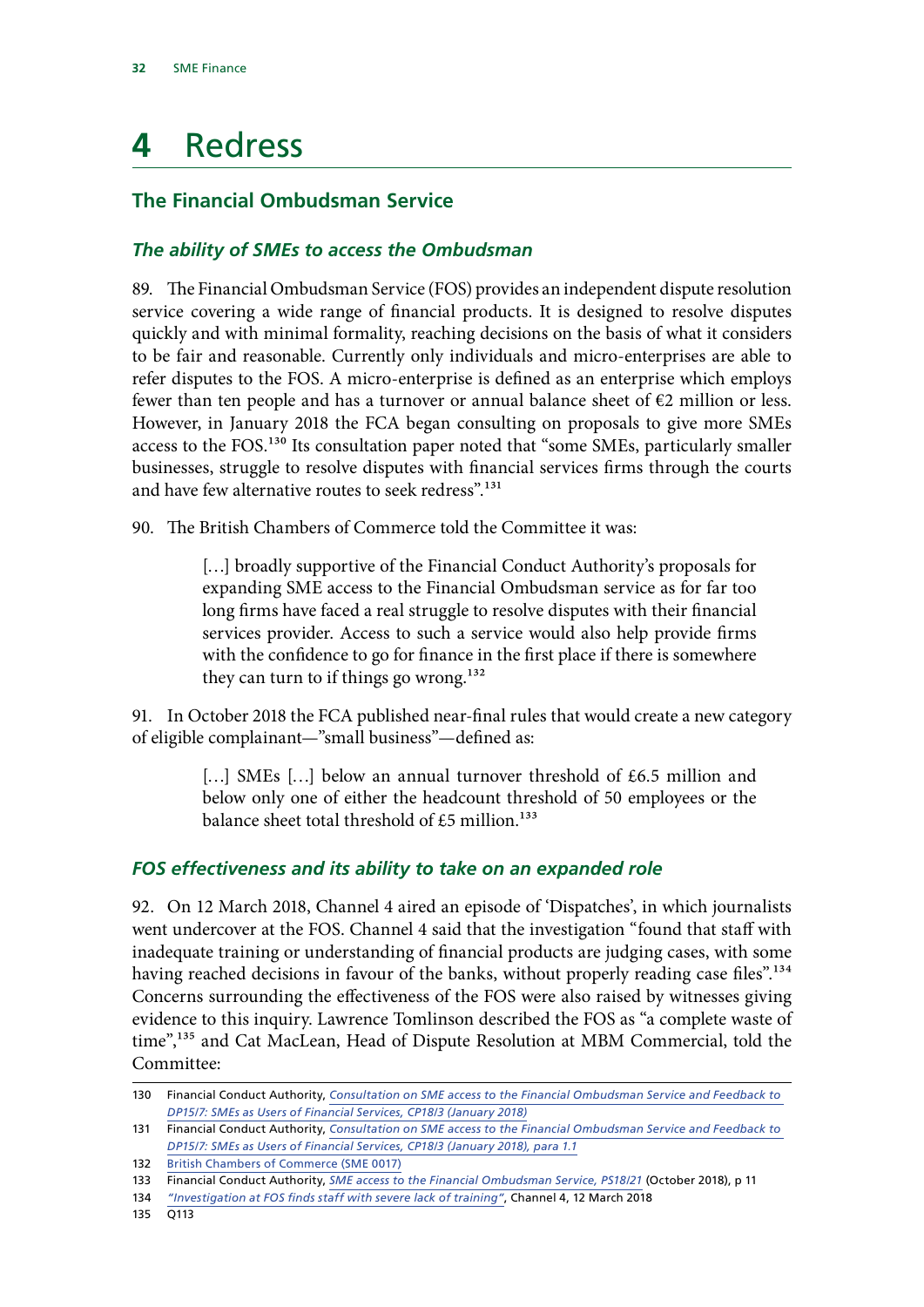# <span id="page-33-0"></span>**4** Redress

# **The Financial Ombudsman Service**

### *The ability of SMEs to access the Ombudsman*

89. The Financial Ombudsman Service (FOS) provides an independent dispute resolution service covering a wide range of financial products. It is designed to resolve disputes quickly and with minimal formality, reaching decisions on the basis of what it considers to be fair and reasonable. Currently only individuals and micro-enterprises are able to refer disputes to the FOS. A micro-enterprise is defined as an enterprise which employs fewer than ten people and has a turnover or annual balance sheet of  $€2$  million or less. However, in January 2018 the FCA began consulting on proposals to give more SMEs access to the FOS.130 Its consultation paper noted that "some SMEs, particularly smaller businesses, struggle to resolve disputes with financial services firms through the courts and have few alternative routes to seek redress".<sup>131</sup>

90. The British Chambers of Commerce told the Committee it was:

[...] broadly supportive of the Financial Conduct Authority's proposals for expanding SME access to the Financial Ombudsman service as for far too long firms have faced a real struggle to resolve disputes with their financial services provider. Access to such a service would also help provide firms with the confidence to go for finance in the first place if there is somewhere they can turn to if things go wrong.<sup>132</sup>

91. In October 2018 the FCA published near-final rules that would create a new category of eligible complainant—"small business"—defined as:

> [...] SMEs [...] below an annual turnover threshold of £6.5 million and below only one of either the headcount threshold of 50 employees or the balance sheet total threshold of  $£5$  million.<sup>133</sup>

### *FOS effectiveness and its ability to take on an expanded role*

92. On 12 March 2018, Channel 4 aired an episode of 'Dispatches', in which journalists went undercover at the FOS. Channel 4 said that the investigation "found that staff with inadequate training or understanding of financial products are judging cases, with some having reached decisions in favour of the banks, without properly reading case files".<sup>134</sup> Concerns surrounding the effectiveness of the FOS were also raised by witnesses giving evidence to this inquiry. Lawrence Tomlinson described the FOS as "a complete waste of time",<sup>135</sup> and Cat MacLean, Head of Dispute Resolution at MBM Commercial, told the Committee:

<sup>130</sup> Financial Conduct Authority, *[Consultation on SME access to the Financial Ombudsman Service and Feedback to](https://www.fca.org.uk/publication/consultation/cp18-03.pdf)  [DP15/7: SMEs as Users of Financial Services, CP18/3](https://www.fca.org.uk/publication/consultation/cp18-03.pdf) (January 2018)*

<sup>131</sup> Financial Conduct Authority, *[Consultation on SME access to the Financial Ombudsman Service and Feedback to](https://www.fca.org.uk/publication/consultation/cp18-03.pdf)  [DP15/7: SMEs as Users of Financial Services, CP18/3](https://www.fca.org.uk/publication/consultation/cp18-03.pdf) (January 2018), para 1.1*

<sup>132</sup> [British Chambers of Commerce \(SME 0017\)](http://data.parliament.uk/writtenevidence/committeeevidence.svc/evidencedocument/treasury-committee/sme-finance/written/80990.html)

<sup>133</sup> Financial Conduct Authority, *[SME access to the Financial Ombudsman Service, PS18/21](https://www.fca.org.uk/publication/policy/ps18-21.pdf)* (October 2018), p 11

<sup>134</sup> *["Investigation at FOS finds staff with severe lack of training"](https://www.channel4.com/info/press/news/investigation-at-fos-finds-staff-with-severe-lack-of-training)*, Channel 4, 12 March 2018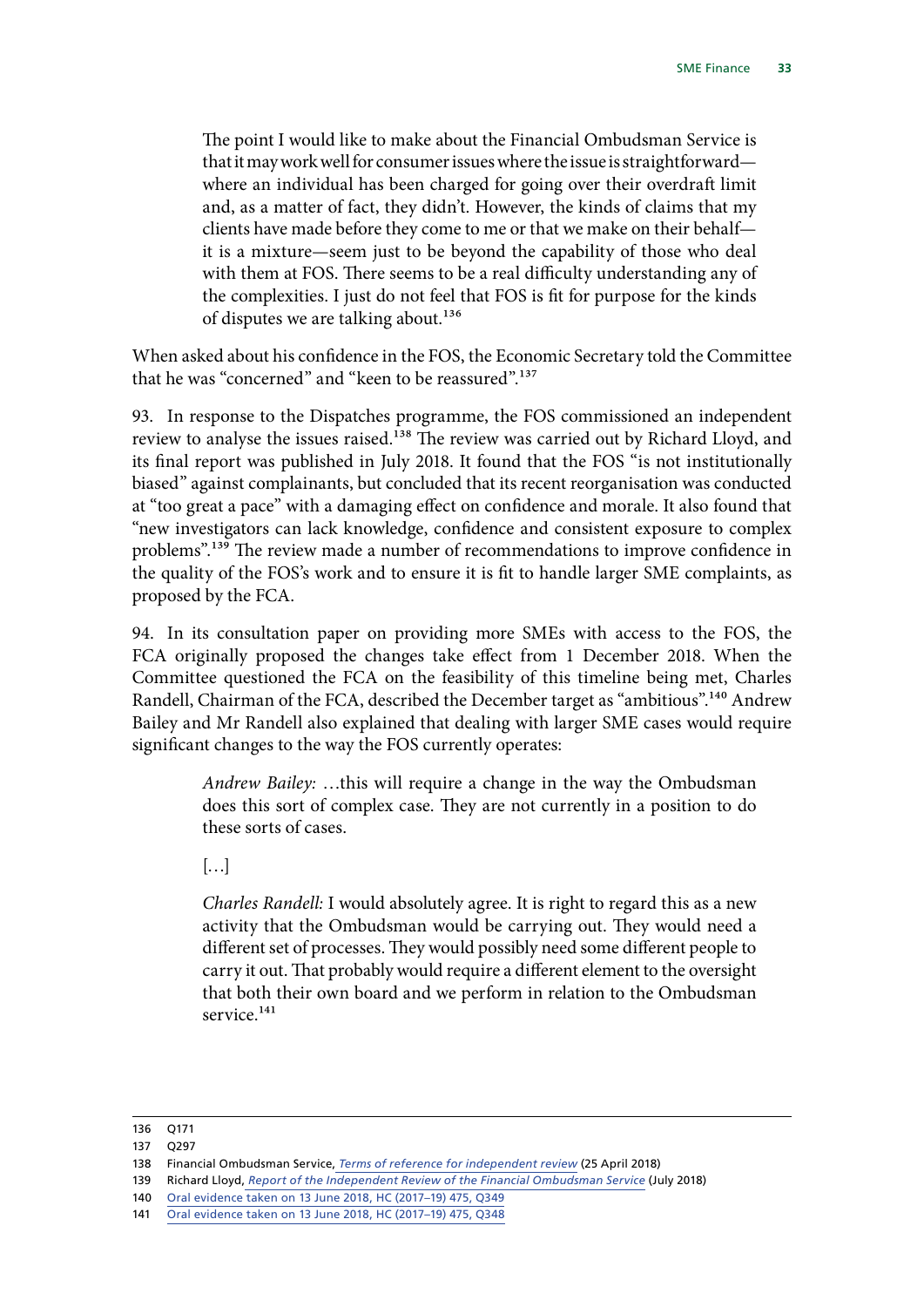The point I would like to make about the Financial Ombudsman Service is that it may work well for consumer issues where the issue is straightforward where an individual has been charged for going over their overdraft limit and, as a matter of fact, they didn't. However, the kinds of claims that my clients have made before they come to me or that we make on their behalf it is a mixture—seem just to be beyond the capability of those who deal with them at FOS. There seems to be a real difficulty understanding any of the complexities. I just do not feel that FOS is fit for purpose for the kinds of disputes we are talking about.<sup>136</sup>

When asked about his confidence in the FOS, the Economic Secretary told the Committee that he was "concerned" and "keen to be reassured".<sup>137</sup>

93. In response to the Dispatches programme, the FOS commissioned an independent review to analyse the issues raised.<sup>138</sup> The review was carried out by Richard Lloyd, and its final report was published in July 2018. It found that the FOS "is not institutionally biased" against complainants, but concluded that its recent reorganisation was conducted at "too great a pace" with a damaging effect on confidence and morale. It also found that "new investigators can lack knowledge, confidence and consistent exposure to complex problems".139 The review made a number of recommendations to improve confidence in the quality of the FOS's work and to ensure it is fit to handle larger SME complaints, as proposed by the FCA.

94. In its consultation paper on providing more SMEs with access to the FOS, the FCA originally proposed the changes take effect from 1 December 2018. When the Committee questioned the FCA on the feasibility of this timeline being met, Charles Randell, Chairman of the FCA, described the December target as "ambitious".<sup>140</sup> Andrew Bailey and Mr Randell also explained that dealing with larger SME cases would require significant changes to the way the FOS currently operates:

> *Andrew Bailey:* …this will require a change in the way the Ombudsman does this sort of complex case. They are not currently in a position to do these sorts of cases.

 $\left[\ldots\right]$ 

*Charles Randell:* I would absolutely agree. It is right to regard this as a new activity that the Ombudsman would be carrying out. They would need a different set of processes. They would possibly need some different people to carry it out. That probably would require a different element to the oversight that both their own board and we perform in relation to the Ombudsman service.<sup>141</sup>

<sup>136</sup> Q171

<sup>137</sup> Q297

<sup>138</sup> Financial Ombudsman Service, *[Terms of reference for independent review](http://www.financial-ombudsman.org/publications/pdf/independent-review-terms-of-reference.pdf)* (25 April 2018)

<sup>139</sup> Richard Lloyd, *[Report of the Independent Review of the Financial Ombudsman Service](http://www.financial-ombudsman.org.uk/publications/pdf/independent-review-2018.PDF)* (July 2018)

<sup>140</sup> [Oral evidence taken on 13 June 2018, HC \(2017–19\) 475, Q349](http://data.parliament.uk/writtenevidence/committeeevidence.svc/evidencedocument/treasury-committee/the-work-of-the-financial-conduct-authority/oral/85306.html)

<sup>141</sup> [Oral evidence taken on 13 June 2018, HC \(2017–19\) 475, Q348](http://data.parliament.uk/writtenevidence/committeeevidence.svc/evidencedocument/treasury-committee/the-work-of-the-financial-conduct-authority/oral/85306.html)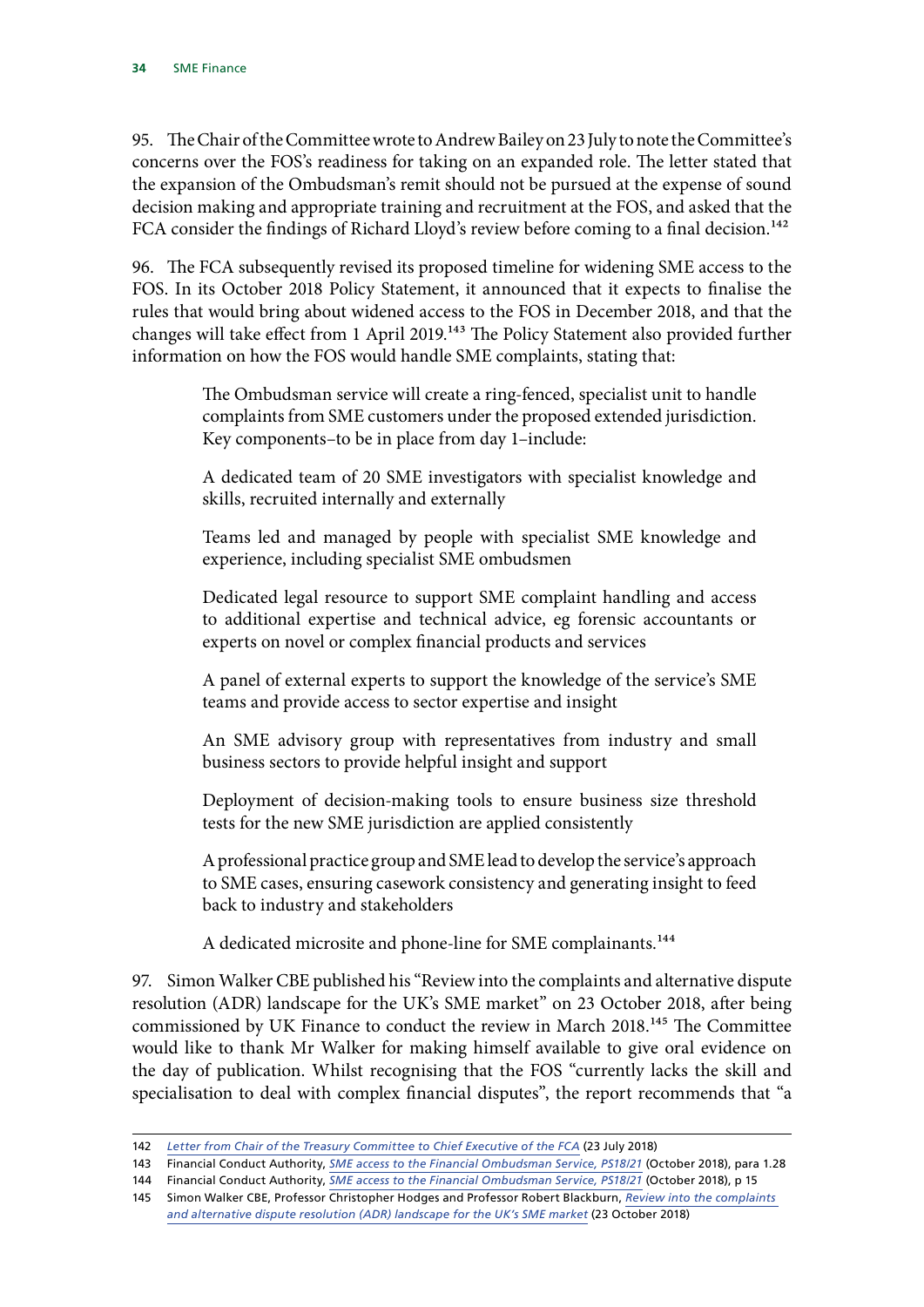95. The Chair of the Committee wrote to Andrew Bailey on 23 July to note the Committee's concerns over the FOS's readiness for taking on an expanded role. The letter stated that the expansion of the Ombudsman's remit should not be pursued at the expense of sound decision making and appropriate training and recruitment at the FOS, and asked that the FCA consider the findings of Richard Lloyd's review before coming to a final decision.<sup>142</sup>

96. The FCA subsequently revised its proposed timeline for widening SME access to the FOS. In its October 2018 Policy Statement, it announced that it expects to finalise the rules that would bring about widened access to the FOS in December 2018, and that the changes will take effect from 1 April 2019.<sup>143</sup> The Policy Statement also provided further information on how the FOS would handle SME complaints, stating that:

> The Ombudsman service will create a ring-fenced, specialist unit to handle complaints from SME customers under the proposed extended jurisdiction. Key components–to be in place from day 1–include:

> A dedicated team of 20 SME investigators with specialist knowledge and skills, recruited internally and externally

> Teams led and managed by people with specialist SME knowledge and experience, including specialist SME ombudsmen

> Dedicated legal resource to support SME complaint handling and access to additional expertise and technical advice, eg forensic accountants or experts on novel or complex financial products and services

> A panel of external experts to support the knowledge of the service's SME teams and provide access to sector expertise and insight

> An SME advisory group with representatives from industry and small business sectors to provide helpful insight and support

> Deployment of decision-making tools to ensure business size threshold tests for the new SME jurisdiction are applied consistently

> A professional practice group and SME lead to develop the service's approach to SME cases, ensuring casework consistency and generating insight to feed back to industry and stakeholders

A dedicated microsite and phone-line for SME complainants.<sup>144</sup>

97. Simon Walker CBE published his "Review into the complaints and alternative dispute resolution (ADR) landscape for the UK's SME market" on 23 October 2018, after being commissioned by UK Finance to conduct the review in March 2018.<sup>145</sup> The Committee would like to thank Mr Walker for making himself available to give oral evidence on the day of publication. Whilst recognising that the FOS "currently lacks the skill and specialisation to deal with complex financial disputes", the report recommends that "a

<sup>142</sup> *[Letter from Chair of the Treasury Committee to Chief Executive of the FCA](https://www.parliament.uk/documents/commons-committees/treasury/Correspondence/Letter-Chair-to-FCA-23-July-18.pdf)* (23 July 2018)

<sup>143</sup> Financial Conduct Authority, *[SME access to the Financial Ombudsman Service, PS18/21](https://www.fca.org.uk/publication/policy/ps18-21.pdf)* (October 2018), para 1.28

<sup>144</sup> Financial Conduct Authority, *[SME access to the Financial Ombudsman Service, PS18/21](https://www.fca.org.uk/publication/policy/ps18-21.pdf)* (October 2018), p 15

<sup>145</sup> Simon Walker CBE, Professor Christopher Hodges and Professor Robert Blackburn, *[Review into the complaints](https://www.ukfinance.org.uk/wp-content/uploads/2018/10/Review-into-the-complaints-and-alternative-dispute-resolution-ADR-landscape-for-the-UK%E2%80%99s-SME-market.pdf)  [and alternative dispute resolution \(ADR\) landscape for the UK's SME market](https://www.ukfinance.org.uk/wp-content/uploads/2018/10/Review-into-the-complaints-and-alternative-dispute-resolution-ADR-landscape-for-the-UK%E2%80%99s-SME-market.pdf)* (23 October 2018)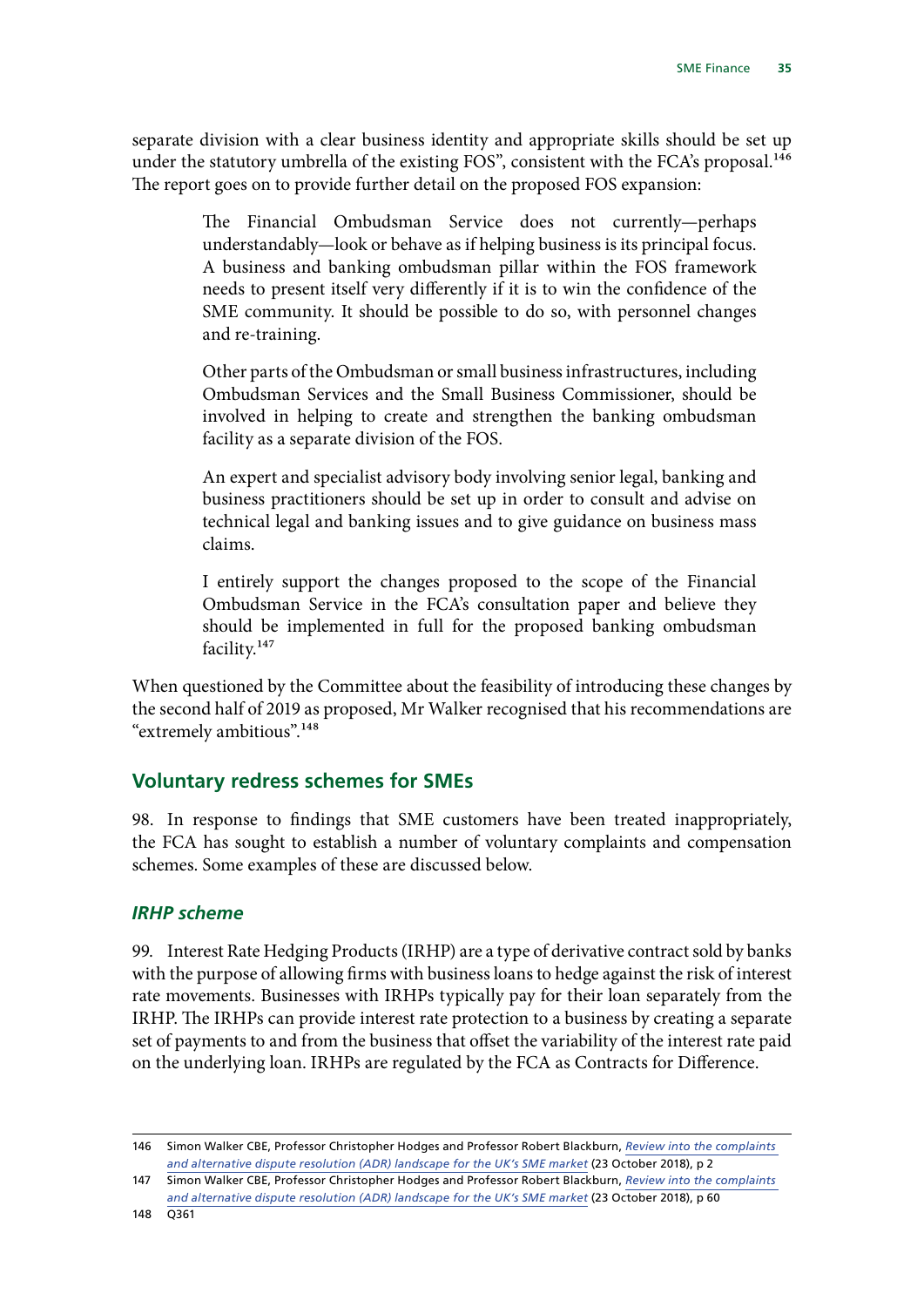<span id="page-36-0"></span>separate division with a clear business identity and appropriate skills should be set up under the statutory umbrella of the existing FOS", consistent with the FCA's proposal.<sup>146</sup> The report goes on to provide further detail on the proposed FOS expansion:

> The Financial Ombudsman Service does not currently—perhaps understandably—look or behave as if helping business is its principal focus. A business and banking ombudsman pillar within the FOS framework needs to present itself very differently if it is to win the confidence of the SME community. It should be possible to do so, with personnel changes and re-training.

> Other parts of the Ombudsman or small business infrastructures, including Ombudsman Services and the Small Business Commissioner, should be involved in helping to create and strengthen the banking ombudsman facility as a separate division of the FOS.

> An expert and specialist advisory body involving senior legal, banking and business practitioners should be set up in order to consult and advise on technical legal and banking issues and to give guidance on business mass claims.

> I entirely support the changes proposed to the scope of the Financial Ombudsman Service in the FCA's consultation paper and believe they should be implemented in full for the proposed banking ombudsman facility.147

When questioned by the Committee about the feasibility of introducing these changes by the second half of 2019 as proposed, Mr Walker recognised that his recommendations are "extremely ambitious".148

### **Voluntary redress schemes for SMEs**

98. In response to findings that SME customers have been treated inappropriately, the FCA has sought to establish a number of voluntary complaints and compensation schemes. Some examples of these are discussed below.

#### *IRHP scheme*

99. Interest Rate Hedging Products (IRHP) are a type of derivative contract sold by banks with the purpose of allowing firms with business loans to hedge against the risk of interest rate movements. Businesses with IRHPs typically pay for their loan separately from the IRHP. The IRHPs can provide interest rate protection to a business by creating a separate set of payments to and from the business that offset the variability of the interest rate paid on the underlying loan. IRHPs are regulated by the FCA as Contracts for Difference.

<sup>146</sup> Simon Walker CBE, Professor Christopher Hodges and Professor Robert Blackburn, *[Review into the complaints](https://www.ukfinance.org.uk/wp-content/uploads/2018/10/Review-into-the-complaints-and-alternative-dispute-resolution-ADR-landscape-for-the-UK%E2%80%99s-SME-market.pdf)  [and alternative dispute resolution \(ADR\) landscape for the UK's SME market](https://www.ukfinance.org.uk/wp-content/uploads/2018/10/Review-into-the-complaints-and-alternative-dispute-resolution-ADR-landscape-for-the-UK%E2%80%99s-SME-market.pdf)* (23 October 2018), p 2

<sup>147</sup> Simon Walker CBE, Professor Christopher Hodges and Professor Robert Blackburn, *[Review into the complaints](https://www.ukfinance.org.uk/wp-content/uploads/2018/10/Review-into-the-complaints-and-alternative-dispute-resolution-ADR-landscape-for-the-UK%E2%80%99s-SME-market.pdf)  [and alternative dispute resolution \(ADR\) landscape for the UK's SME market](https://www.ukfinance.org.uk/wp-content/uploads/2018/10/Review-into-the-complaints-and-alternative-dispute-resolution-ADR-landscape-for-the-UK%E2%80%99s-SME-market.pdf)* (23 October 2018), p 60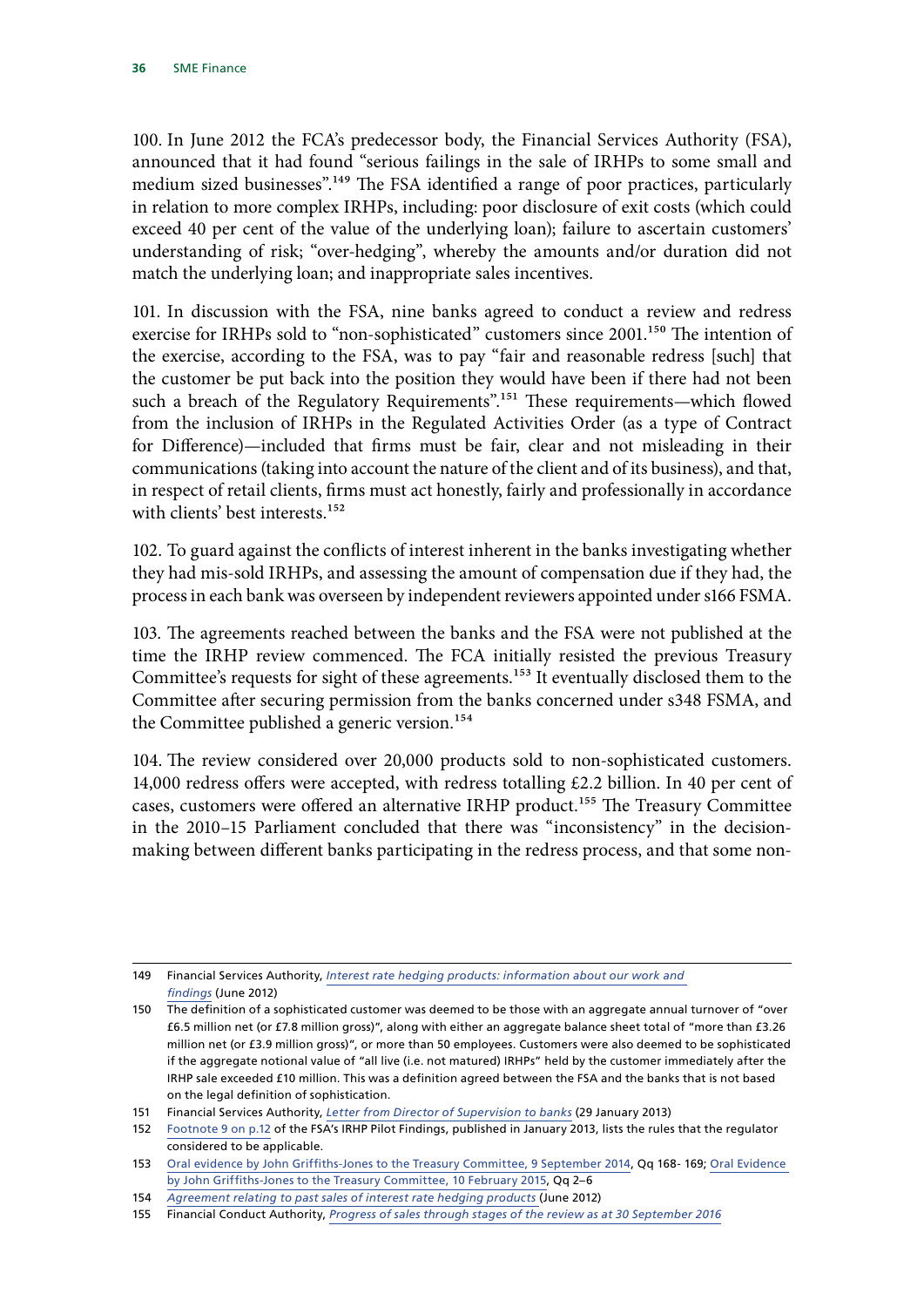100. In June 2012 the FCA's predecessor body, the Financial Services Authority (FSA), announced that it had found "serious failings in the sale of IRHPs to some small and medium sized businesses".<sup>149</sup> The FSA identified a range of poor practices, particularly in relation to more complex IRHPs, including: poor disclosure of exit costs (which could exceed 40 per cent of the value of the underlying loan); failure to ascertain customers' understanding of risk; "over-hedging", whereby the amounts and/or duration did not match the underlying loan; and inappropriate sales incentives.

101. In discussion with the FSA, nine banks agreed to conduct a review and redress exercise for IRHPs sold to "non-sophisticated" customers since 2001.<sup>150</sup> The intention of the exercise, according to the FSA, was to pay "fair and reasonable redress [such] that the customer be put back into the position they would have been if there had not been such a breach of the Regulatory Requirements".<sup>151</sup> These requirements—which flowed from the inclusion of IRHPs in the Regulated Activities Order (as a type of Contract for Difference)—included that firms must be fair, clear and not misleading in their communications (taking into account the nature of the client and of its business), and that, in respect of retail clients, firms must act honestly, fairly and professionally in accordance with clients' best interests.<sup>152</sup>

102. To guard against the conflicts of interest inherent in the banks investigating whether they had mis-sold IRHPs, and assessing the amount of compensation due if they had, the process in each bank was overseen by independent reviewers appointed under s166 FSMA.

103. The agreements reached between the banks and the FSA were not published at the time the IRHP review commenced. The FCA initially resisted the previous Treasury Committee's requests for sight of these agreements.<sup>153</sup> It eventually disclosed them to the Committee after securing permission from the banks concerned under s348 FSMA, and the Committee published a generic version.<sup>154</sup>

104. The review considered over 20,000 products sold to non-sophisticated customers. 14,000 redress offers were accepted, with redress totalling £2.2 billion. In 40 per cent of cases, customers were offered an alternative IRHP product.<sup>155</sup> The Treasury Committee in the 2010–15 Parliament concluded that there was "inconsistency" in the decisionmaking between different banks participating in the redress process, and that some non-

<sup>149</sup> Financial Services Authority, *[Interest rate hedging products: information about our work and](http://www.fsa.gov.uk/static/pubs/other/interest-rate-hedging-products.pdf)  [findings](http://www.fsa.gov.uk/static/pubs/other/interest-rate-hedging-products.pdf)* (June 2012)

<sup>150</sup> The definition of a sophisticated customer was deemed to be those with an aggregate annual turnover of "over £6.5 million net (or £7.8 million gross)", along with either an aggregate balance sheet total of "more than £3.26 million net (or £3.9 million gross)", or more than 50 employees. Customers were also deemed to be sophisticated if the aggregate notional value of "all live (i.e. not matured) IRHPs" held by the customer immediately after the IRHP sale exceeded £10 million. This was a definition agreed between the FSA and the banks that is not based on the legal definition of sophistication.

<sup>151</sup> Financial Services Authority, *[Letter from Director of Supervision to banks](https://www.fca.org.uk/publication/correspondence/irhp-letter-january-2013.pdf)* (29 January 2013)

<sup>152</sup> Footnote 9 on p.12 of the FSA's IRHP Pilot Findings, published in January 2013, lists the rules that the regulator considered to be applicable.

<sup>153</sup> [Oral evidence by John Griffiths-Jones to the Treasury Committee, 9 September 2014,](http://data.parliament.uk/writtenevidence/committeeevidence.svc/evidencedocument/treasury-committee/financial-conduct-authority-hearings/oral/12485.html) Qq 168- 169; [Oral Evidence](http://data.parliament.uk/writtenevidence/committeeevidence.svc/evidencedocument/treasury-committee/financial-conduct-authority-hearings/oral/18119.html)  [by John Griffiths-Jones to the Treasury Committee, 10 February 2015](http://data.parliament.uk/writtenevidence/committeeevidence.svc/evidencedocument/treasury-committee/financial-conduct-authority-hearings/oral/18119.html), Qq 2–6

<sup>154</sup> *[Agreement relating to past sales of interest rate hedging products](https://www.parliament.uk/documents/commons-committees/treasury/Pro_Forma_Agreement_and_Undertaking_(June%202012).pdf)* (June 2012)

<sup>155</sup> Financial Conduct Authority, *[Progress of sales through stages of the review as at 30 September 2016](https://www.fca.org.uk/publication/data/aggregate-progress-final.pdf)*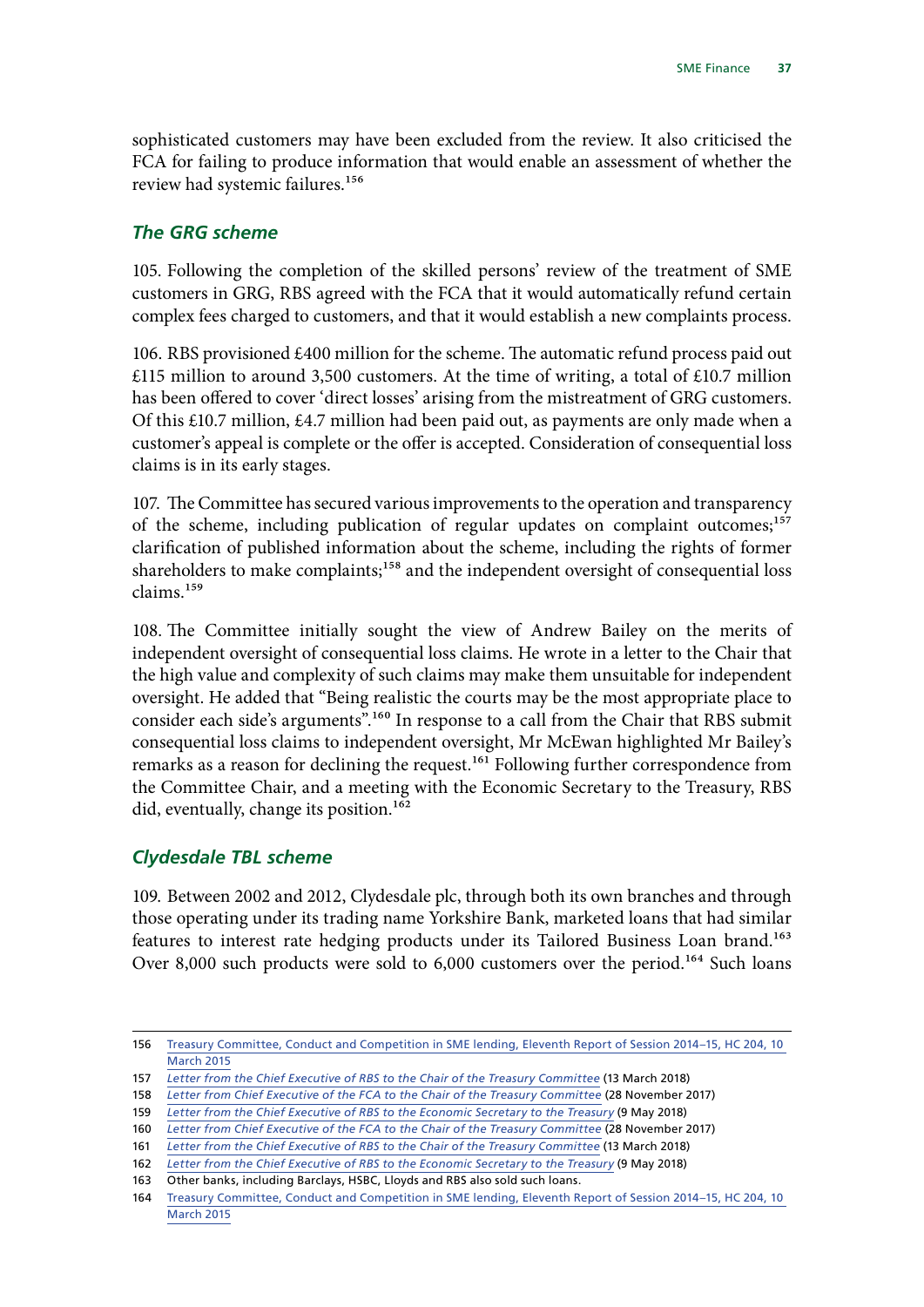<span id="page-38-0"></span>sophisticated customers may have been excluded from the review. It also criticised the FCA for failing to produce information that would enable an assessment of whether the review had systemic failures.156

#### *The GRG scheme*

105. Following the completion of the skilled persons' review of the treatment of SME customers in GRG, RBS agreed with the FCA that it would automatically refund certain complex fees charged to customers, and that it would establish a new complaints process.

106. RBS provisioned £400 million for the scheme. The automatic refund process paid out  $£115$  million to around 3,500 customers. At the time of writing, a total of £10.7 million has been offered to cover 'direct losses' arising from the mistreatment of GRG customers. Of this £10.7 million, £4.7 million had been paid out, as payments are only made when a customer's appeal is complete or the offer is accepted. Consideration of consequential loss claims is in its early stages.

107. The Committee has secured various improvements to the operation and transparency of the scheme, including publication of regular updates on complaint outcomes;<sup>157</sup> clarification of published information about the scheme, including the rights of former shareholders to make complaints;<sup>158</sup> and the independent oversight of consequential loss claims.159

108. The Committee initially sought the view of Andrew Bailey on the merits of independent oversight of consequential loss claims. He wrote in a letter to the Chair that the high value and complexity of such claims may make them unsuitable for independent oversight. He added that "Being realistic the courts may be the most appropriate place to consider each side's arguments".160 In response to a call from the Chair that RBS submit consequential loss claims to independent oversight, Mr McEwan highlighted Mr Bailey's remarks as a reason for declining the request.<sup>161</sup> Following further correspondence from the Committee Chair, and a meeting with the Economic Secretary to the Treasury, RBS did, eventually, change its position.<sup>162</sup>

### *Clydesdale TBL scheme*

109. Between 2002 and 2012, Clydesdale plc, through both its own branches and through those operating under its trading name Yorkshire Bank, marketed loans that had similar features to interest rate hedging products under its Tailored Business Loan brand.<sup>163</sup> Over 8,000 such products were sold to 6,000 customers over the period.<sup>164</sup> Such loans

<sup>156</sup> [Treasury Committee, Conduct and Competition in SME lending, Eleventh Report of Session 2014–15, HC 204, 10](https://www.parliament.uk/documents/commons-committees/treasury/Conduct_and_Competition_in_SME_lending.pdf)  [March 2015](https://www.parliament.uk/documents/commons-committees/treasury/Conduct_and_Competition_in_SME_lending.pdf)

<sup>157</sup> *[Letter from the Chief Executive of RBS to the Chair of the Treasury Committee](https://www.parliament.uk/documents/commons-committees/treasury/Correspondence/2017-19/Ross-McEwan-RBS-follow-up-130318.pdf)* (13 March 2018)

<sup>158</sup> *[Letter from Chief Executive of the FCA to the Chair of the Treasury Committee](https://www.parliament.uk/documents/commons-committees/treasury/Correspondence/2017-19/fca-to-rbs-grg-281117.pdf)* (28 November 2017)

<sup>159</sup> *[Letter from the Chief Executive of RBS to the Economic Secretary to the Treasury](http://data.parliament.uk/DepositedPapers/Files/DEP2018-0510/EST_letter_to_Kirsty_Blackman_20180522.pdf)* (9 May 2018)

<sup>160</sup> *[Letter from Chief Executive of the FCA to the Chair of the Treasury Committee](https://www.parliament.uk/documents/commons-committees/treasury/Correspondence/2017-19/fca-to-rbs-grg-281117.pdf)* (28 November 2017)

<sup>161</sup> *[Letter from the Chief Executive of RBS to the Chair of the Treasury Committee](https://www.parliament.uk/documents/commons-committees/treasury/Correspondence/2017-19/Ross-McEwan-RBS-follow-up-130318.pdf)* (13 March 2018)

<sup>162</sup> *[Letter from the Chief Executive of RBS to the Economic Secretary to the Treasury](http://data.parliament.uk/DepositedPapers/Files/DEP2018-0510/EST_letter_to_Kirsty_Blackman_20180522.pdf)* (9 May 2018)

<sup>163</sup> Other banks, including Barclays, HSBC, Lloyds and RBS also sold such loans.

<sup>164</sup> [Treasury Committee, Conduct and Competition in SME lending, Eleventh Report of Session 2014–15, HC 204, 10](https://www.parliament.uk/documents/commons-committees/treasury/Conduct_and_Competition_in_SME_lending.pdf)  [March 2015](https://www.parliament.uk/documents/commons-committees/treasury/Conduct_and_Competition_in_SME_lending.pdf)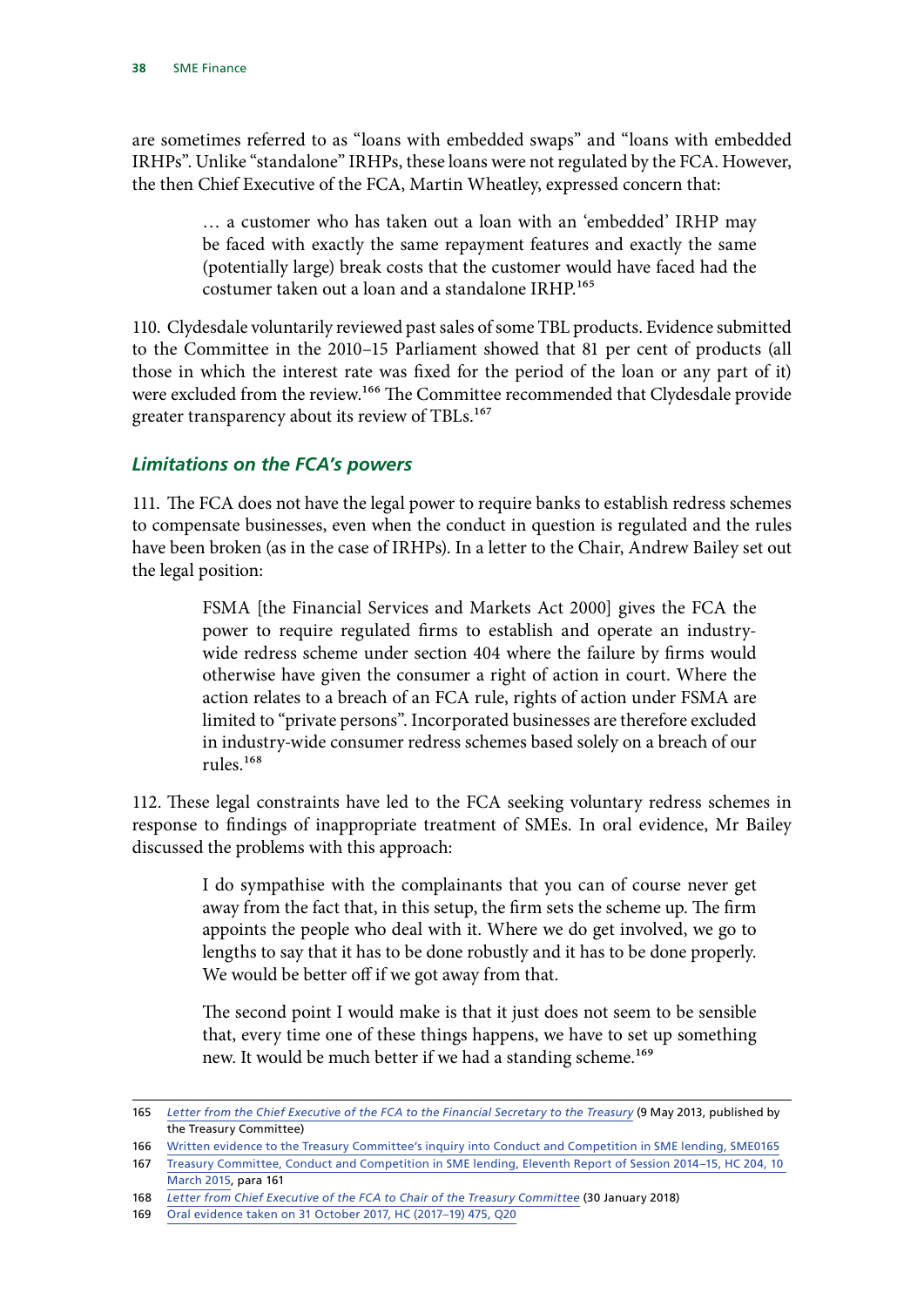<span id="page-39-0"></span>are sometimes referred to as "loans with embedded swaps" and "loans with embedded IRHPs". Unlike "standalone" IRHPs, these loans were not regulated by the FCA. However, the then Chief Executive of the FCA, Martin Wheatley, expressed concern that:

> … a customer who has taken out a loan with an 'embedded' IRHP may be faced with exactly the same repayment features and exactly the same (potentially large) break costs that the customer would have faced had the costumer taken out a loan and a standalone IRHP.165

110. Clydesdale voluntarily reviewed past sales of some TBL products. Evidence submitted to the Committee in the 2010–15 Parliament showed that 81 per cent of products (all those in which the interest rate was fixed for the period of the loan or any part of it) were excluded from the review.<sup>166</sup> The Committee recommended that Clydesdale provide greater transparency about its review of TBLs.<sup>167</sup>

#### *Limitations on the FCA's powers*

111. The FCA does not have the legal power to require banks to establish redress schemes to compensate businesses, even when the conduct in question is regulated and the rules have been broken (as in the case of IRHPs). In a letter to the Chair, Andrew Bailey set out the legal position:

> FSMA [the Financial Services and Markets Act 2000] gives the FCA the power to require regulated firms to establish and operate an industrywide redress scheme under section 404 where the failure by firms would otherwise have given the consumer a right of action in court. Where the action relates to a breach of an FCA rule, rights of action under FSMA are limited to "private persons". Incorporated businesses are therefore excluded in industry-wide consumer redress schemes based solely on a breach of our rules.168

112. These legal constraints have led to the FCA seeking voluntary redress schemes in response to findings of inappropriate treatment of SMEs. In oral evidence, Mr Bailey discussed the problems with this approach:

> I do sympathise with the complainants that you can of course never get away from the fact that, in this setup, the firm sets the scheme up. The firm appoints the people who deal with it. Where we do get involved, we go to lengths to say that it has to be done robustly and it has to be done properly. We would be better off if we got away from that.

> The second point I would make is that it just does not seem to be sensible that, every time one of these things happens, we have to set up something new. It would be much better if we had a standing scheme.<sup>169</sup>

<sup>165</sup> *[Letter from the Chief Executive of the FCA to the Financial Secretary to the Treasury](https://www.parliament.uk/documents/commons-committees/treasury/131112-Mar.pdf)* (9 May 2013, published by the Treasury Committee)

<sup>166</sup> Written evidence to the Treasury Committee's inquiry into Conduct and Competition in SME lending, SME0165

<sup>167</sup> [Treasury Committee, Conduct and Competition in SME lending, Eleventh Report of Session 2014–15, HC 204, 10](https://www.parliament.uk/documents/commons-committees/treasury/Conduct_and_Competition_in_SME_lending.pdf)  [March 2015,](https://www.parliament.uk/documents/commons-committees/treasury/Conduct_and_Competition_in_SME_lending.pdf) para 161

<sup>168</sup> *[Letter from Chief Executive of the FCA to Chair of the Treasury Committee](https://www.parliament.uk/documents/commons-committees/treasury/Correspondence/2017-19/FCA-powers-perimeter-300118.pdf)* (30 January 2018)

<sup>169</sup> [Oral evidence taken on 31 October 2017, HC \(2017–19\) 475, Q20](http://data.parliament.uk/writtenevidence/committeeevidence.svc/evidencedocument/treasury-committee/the-work-of-the-financial-conduct-authority/oral/72428.html)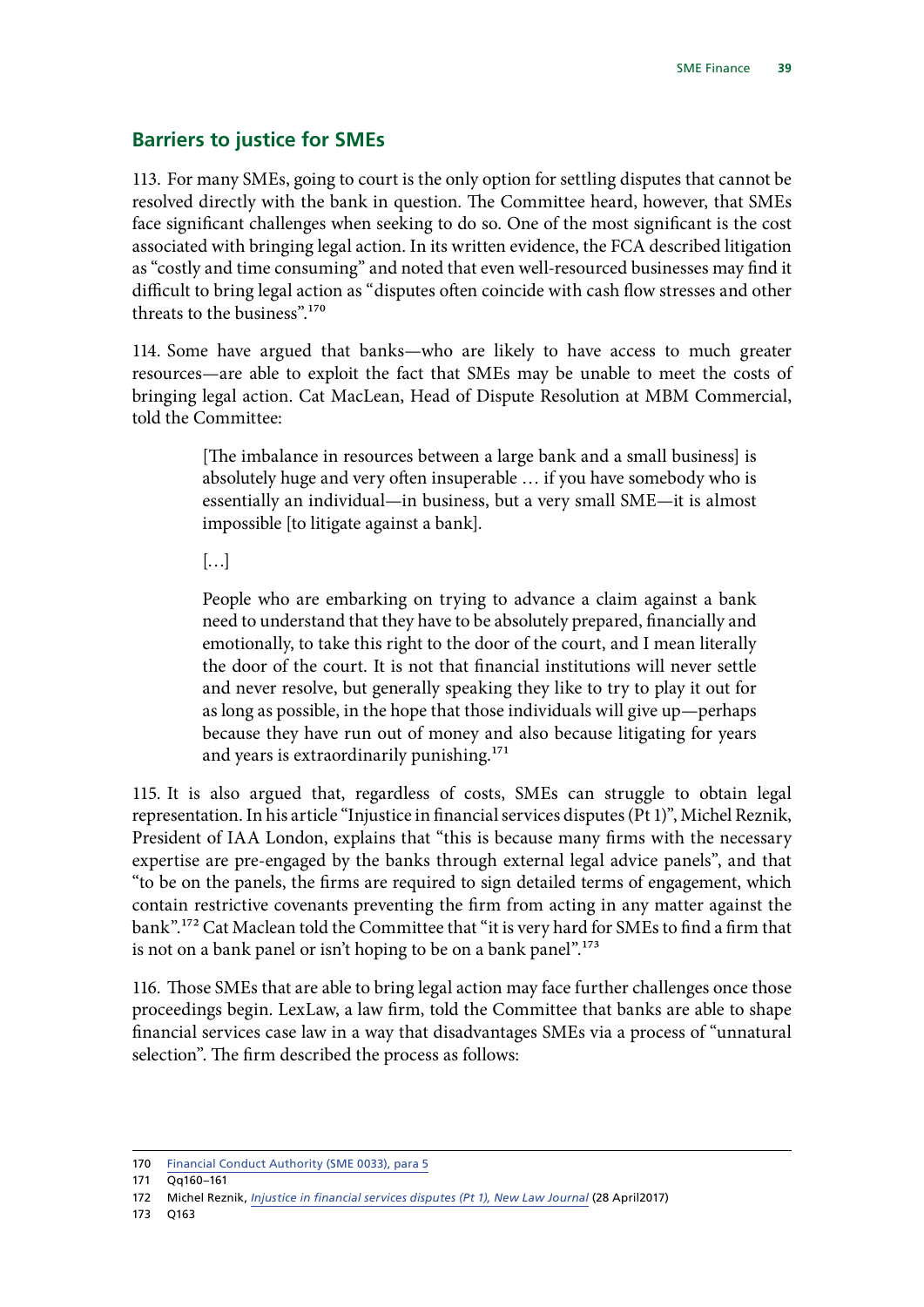### <span id="page-40-0"></span>**Barriers to justice for SMEs**

113. For many SMEs, going to court is the only option for settling disputes that cannot be resolved directly with the bank in question. The Committee heard, however, that SMEs face significant challenges when seeking to do so. One of the most significant is the cost associated with bringing legal action. In its written evidence, the FCA described litigation as "costly and time consuming" and noted that even well-resourced businesses may find it difficult to bring legal action as "disputes often coincide with cash flow stresses and other threats to the business".170

114. Some have argued that banks—who are likely to have access to much greater resources—are able to exploit the fact that SMEs may be unable to meet the costs of bringing legal action. Cat MacLean, Head of Dispute Resolution at MBM Commercial, told the Committee:

> [The imbalance in resources between a large bank and a small business] is absolutely huge and very often insuperable … if you have somebody who is essentially an individual—in business, but a very small SME—it is almost impossible [to litigate against a bank].

 $\left[\ldots\right]$ 

People who are embarking on trying to advance a claim against a bank need to understand that they have to be absolutely prepared, financially and emotionally, to take this right to the door of the court, and I mean literally the door of the court. It is not that financial institutions will never settle and never resolve, but generally speaking they like to try to play it out for as long as possible, in the hope that those individuals will give up—perhaps because they have run out of money and also because litigating for years and years is extraordinarily punishing.<sup>171</sup>

115. It is also argued that, regardless of costs, SMEs can struggle to obtain legal representation. In his article "Injustice in financial services disputes (Pt 1)", Michel Reznik, President of IAA London, explains that "this is because many firms with the necessary expertise are pre-engaged by the banks through external legal advice panels", and that "to be on the panels, the firms are required to sign detailed terms of engagement, which contain restrictive covenants preventing the firm from acting in any matter against the bank".172 Cat Maclean told the Committee that "it is very hard for SMEs to find a firm that is not on a bank panel or isn't hoping to be on a bank panel".<sup>173</sup>

116. Those SMEs that are able to bring legal action may face further challenges once those proceedings begin. LexLaw, a law firm, told the Committee that banks are able to shape financial services case law in a way that disadvantages SMEs via a process of "unnatural selection". The firm described the process as follows:

<sup>170</sup> [Financial Conduct Authority \(SME 0033\), para 5](http://data.parliament.uk/writtenevidence/committeeevidence.svc/evidencedocument/treasury-committee/sme-finance/written/81089.html)

<sup>171</sup> Qq160–161

<sup>172</sup> Michel Reznik, *[Injustice in financial services disputes \(Pt 1\), New Law Journal](https://www.newlawjournal.co.uk/content/injustice-financial-services-disputes-pt-1)* (28 April2017)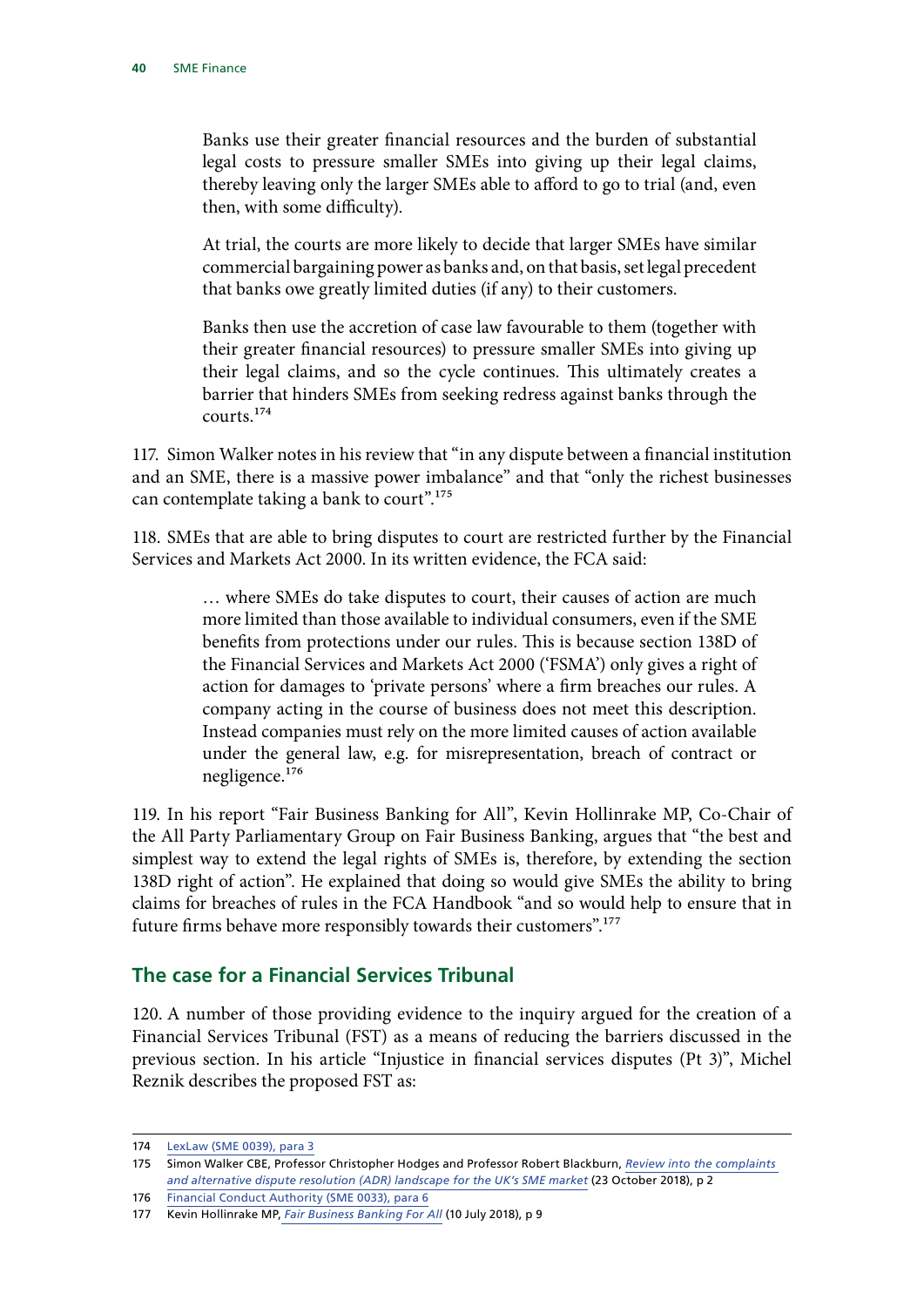<span id="page-41-0"></span>Banks use their greater financial resources and the burden of substantial legal costs to pressure smaller SMEs into giving up their legal claims, thereby leaving only the larger SMEs able to afford to go to trial (and, even then, with some difficulty).

At trial, the courts are more likely to decide that larger SMEs have similar commercial bargaining power as banks and, on that basis, set legal precedent that banks owe greatly limited duties (if any) to their customers.

Banks then use the accretion of case law favourable to them (together with their greater financial resources) to pressure smaller SMEs into giving up their legal claims, and so the cycle continues. This ultimately creates a barrier that hinders SMEs from seeking redress against banks through the courts.174

117. Simon Walker notes in his review that "in any dispute between a financial institution and an SME, there is a massive power imbalance" and that "only the richest businesses can contemplate taking a bank to court".<sup>175</sup>

118. SMEs that are able to bring disputes to court are restricted further by the Financial Services and Markets Act 2000. In its written evidence, the FCA said:

> … where SMEs do take disputes to court, their causes of action are much more limited than those available to individual consumers, even if the SME benefits from protections under our rules. This is because section 138D of the Financial Services and Markets Act 2000 ('FSMA') only gives a right of action for damages to 'private persons' where a firm breaches our rules. A company acting in the course of business does not meet this description. Instead companies must rely on the more limited causes of action available under the general law, e.g. for misrepresentation, breach of contract or negligence.176

119. In his report "Fair Business Banking for All", Kevin Hollinrake MP, Co-Chair of the All Party Parliamentary Group on Fair Business Banking, argues that "the best and simplest way to extend the legal rights of SMEs is, therefore, by extending the section 138D right of action". He explained that doing so would give SMEs the ability to bring claims for breaches of rules in the FCA Handbook "and so would help to ensure that in future firms behave more responsibly towards their customers".177

### **The case for a Financial Services Tribunal**

120. A number of those providing evidence to the inquiry argued for the creation of a Financial Services Tribunal (FST) as a means of reducing the barriers discussed in the previous section. In his article "Injustice in financial services disputes (Pt 3)", Michel Reznik describes the proposed FST as:

<sup>174</sup> [LexLaw \(SME 0039\), para 3](http://data.parliament.uk/writtenevidence/committeeevidence.svc/evidencedocument/treasury-committee/sme-finance/written/86001.html)

<sup>175</sup> Simon Walker CBE, Professor Christopher Hodges and Professor Robert Blackburn, *[Review into the complaints](https://www.ukfinance.org.uk/wp-content/uploads/2018/10/Review-into-the-complaints-and-alternative-dispute-resolution-ADR-landscape-for-the-UK%E2%80%99s-SME-market.pdf)  [and alternative dispute resolution \(ADR\) landscape for the UK's SME market](https://www.ukfinance.org.uk/wp-content/uploads/2018/10/Review-into-the-complaints-and-alternative-dispute-resolution-ADR-landscape-for-the-UK%E2%80%99s-SME-market.pdf)* (23 October 2018), p 2

<sup>176</sup> [Financial Conduct Authority \(SME 0033\), para 6](http://data.parliament.uk/writtenevidence/committeeevidence.svc/evidencedocument/treasury-committee/sme-finance/written/81089.html)

<sup>177</sup> Kevin Hollinrake MP, *[Fair Business Banking For All](https://www.cps.org.uk/files/reports/original/180710122917-FairBusinessBankingforAll.pdf)* (10 July 2018), p 9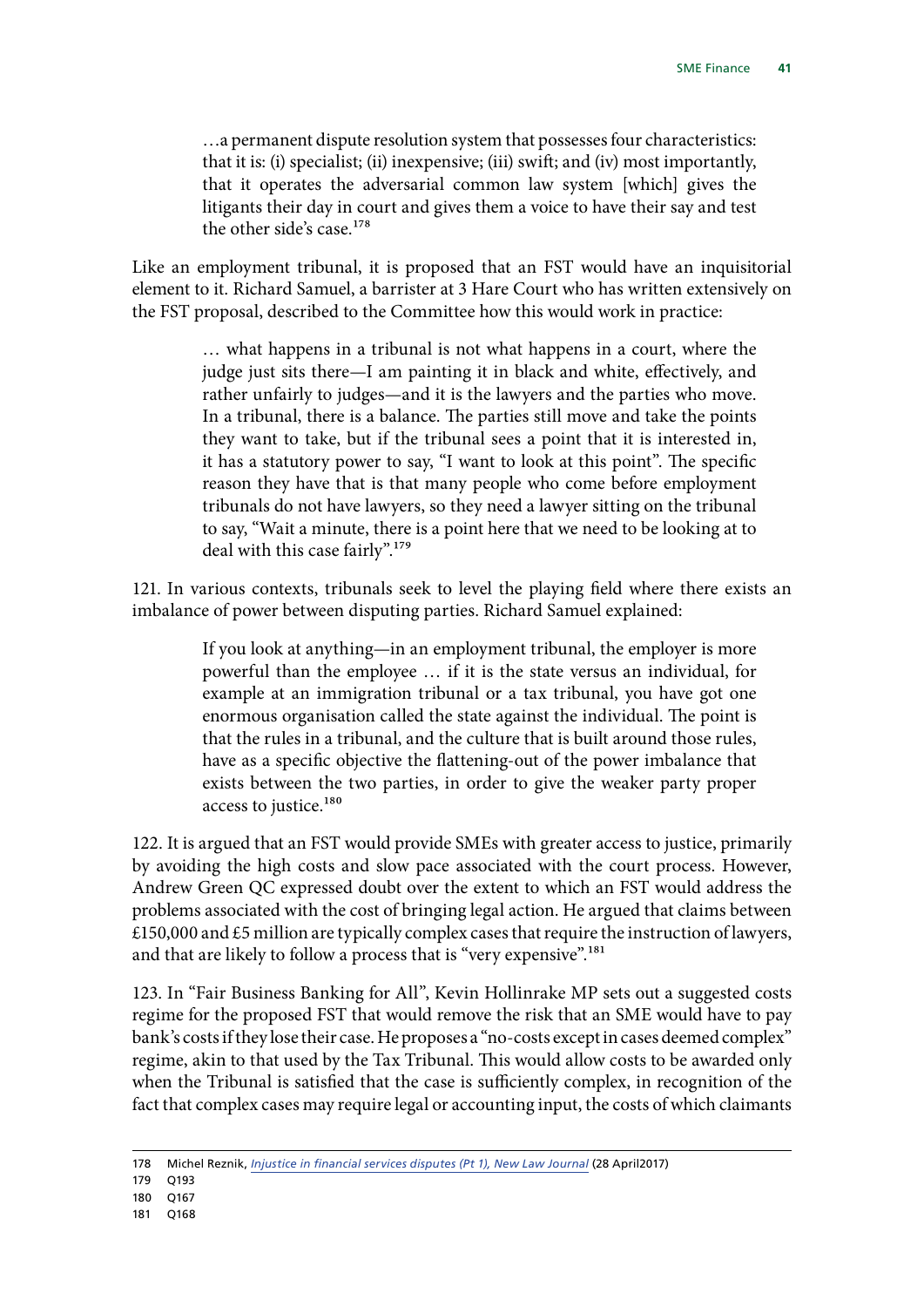…a permanent dispute resolution system that possesses four characteristics: that it is: (i) specialist; (ii) inexpensive; (iii) swift; and (iv) most importantly, that it operates the adversarial common law system [which] gives the litigants their day in court and gives them a voice to have their say and test the other side's case.<sup>178</sup>

Like an employment tribunal, it is proposed that an FST would have an inquisitorial element to it. Richard Samuel, a barrister at 3 Hare Court who has written extensively on the FST proposal, described to the Committee how this would work in practice:

> … what happens in a tribunal is not what happens in a court, where the judge just sits there—I am painting it in black and white, effectively, and rather unfairly to judges—and it is the lawyers and the parties who move. In a tribunal, there is a balance. The parties still move and take the points they want to take, but if the tribunal sees a point that it is interested in, it has a statutory power to say, "I want to look at this point". The specific reason they have that is that many people who come before employment tribunals do not have lawyers, so they need a lawyer sitting on the tribunal to say, "Wait a minute, there is a point here that we need to be looking at to deal with this case fairly".179

121. In various contexts, tribunals seek to level the playing field where there exists an imbalance of power between disputing parties. Richard Samuel explained:

> If you look at anything—in an employment tribunal, the employer is more powerful than the employee … if it is the state versus an individual, for example at an immigration tribunal or a tax tribunal, you have got one enormous organisation called the state against the individual. The point is that the rules in a tribunal, and the culture that is built around those rules, have as a specific objective the flattening-out of the power imbalance that exists between the two parties, in order to give the weaker party proper access to justice.<sup>180</sup>

122. It is argued that an FST would provide SMEs with greater access to justice, primarily by avoiding the high costs and slow pace associated with the court process. However, Andrew Green QC expressed doubt over the extent to which an FST would address the problems associated with the cost of bringing legal action. He argued that claims between £150,000 and  $£5$  million are typically complex cases that require the instruction of lawyers, and that are likely to follow a process that is "very expensive".<sup>181</sup>

123. In "Fair Business Banking for All", Kevin Hollinrake MP sets out a suggested costs regime for the proposed FST that would remove the risk that an SME would have to pay bank's costs if they lose their case. He proposes a "no-costs except in cases deemed complex" regime, akin to that used by the Tax Tribunal. This would allow costs to be awarded only when the Tribunal is satisfied that the case is sufficiently complex, in recognition of the fact that complex cases may require legal or accounting input, the costs of which claimants

180 Q167

<sup>178</sup> Michel Reznik, *[Injustice in financial services disputes \(Pt 1\), New Law Journal](https://www.newlawjournal.co.uk/content/injustice-financial-services-disputes-pt-1)* (28 April2017)

<sup>179</sup> Q193

<sup>181</sup> Q168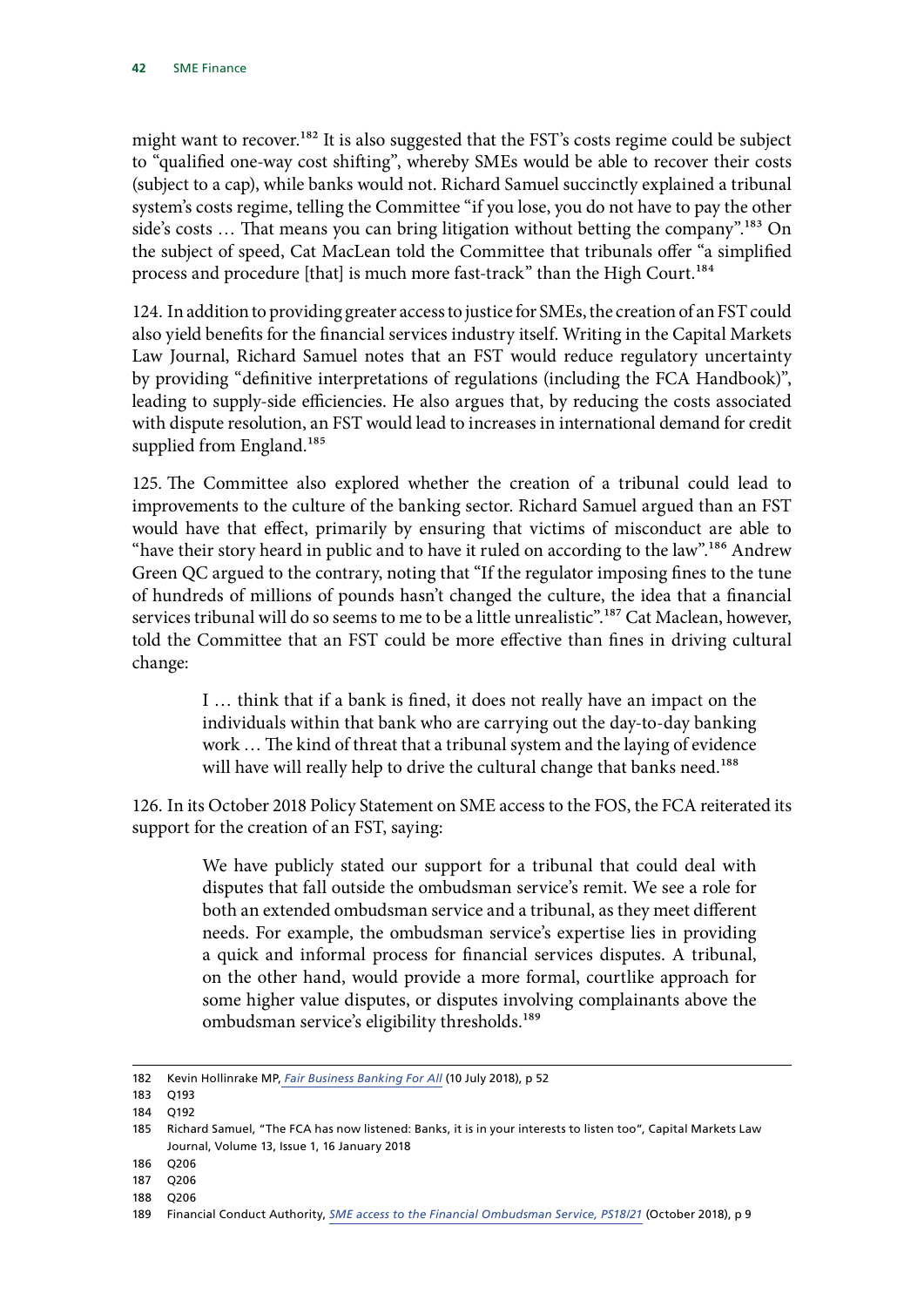might want to recover.<sup>182</sup> It is also suggested that the FST's costs regime could be subject to "qualified one-way cost shifting", whereby SMEs would be able to recover their costs (subject to a cap), while banks would not. Richard Samuel succinctly explained a tribunal system's costs regime, telling the Committee "if you lose, you do not have to pay the other side's costs ... That means you can bring litigation without betting the company".<sup>183</sup> On the subject of speed, Cat MacLean told the Committee that tribunals offer "a simplified process and procedure [that] is much more fast-track" than the High Court.184

124. In addition to providing greater access to justice for SMEs, the creation of an FST could also yield benefits for the financial services industry itself. Writing in the Capital Markets Law Journal, Richard Samuel notes that an FST would reduce regulatory uncertainty by providing "definitive interpretations of regulations (including the FCA Handbook)", leading to supply-side efficiencies. He also argues that, by reducing the costs associated with dispute resolution, an FST would lead to increases in international demand for credit supplied from England.<sup>185</sup>

125. The Committee also explored whether the creation of a tribunal could lead to improvements to the culture of the banking sector. Richard Samuel argued than an FST would have that effect, primarily by ensuring that victims of misconduct are able to "have their story heard in public and to have it ruled on according to the law".<sup>186</sup> Andrew Green QC argued to the contrary, noting that "If the regulator imposing fines to the tune of hundreds of millions of pounds hasn't changed the culture, the idea that a financial services tribunal will do so seems to me to be a little unrealistic".<sup>187</sup> Cat Maclean, however, told the Committee that an FST could be more effective than fines in driving cultural change:

> I … think that if a bank is fined, it does not really have an impact on the individuals within that bank who are carrying out the day-to-day banking work … The kind of threat that a tribunal system and the laying of evidence will have will really help to drive the cultural change that banks need.<sup>188</sup>

126. In its October 2018 Policy Statement on SME access to the FOS, the FCA reiterated its support for the creation of an FST, saying:

> We have publicly stated our support for a tribunal that could deal with disputes that fall outside the ombudsman service's remit. We see a role for both an extended ombudsman service and a tribunal, as they meet different needs. For example, the ombudsman service's expertise lies in providing a quick and informal process for financial services disputes. A tribunal, on the other hand, would provide a more formal, courtlike approach for some higher value disputes, or disputes involving complainants above the ombudsman service's eligibility thresholds.<sup>189</sup>

<sup>182</sup> Kevin Hollinrake MP, *[Fair Business Banking For All](https://www.cps.org.uk/files/reports/original/180710122917-FairBusinessBankingforAll.pdf)* (10 July 2018), p 52

<sup>183</sup> Q193

<sup>184</sup> Q192

<sup>185</sup> Richard Samuel, "The FCA has now listened: Banks, it is in your interests to listen too", Capital Markets Law Journal, Volume 13, Issue 1, 16 January 2018

<sup>186</sup> Q206

<sup>187</sup> Q206

<sup>188</sup> Q206

<sup>189</sup> Financial Conduct Authority, *[SME access to the Financial Ombudsman Service, PS18/21](https://www.fca.org.uk/publication/policy/ps18-21.pdf)* (October 2018), p 9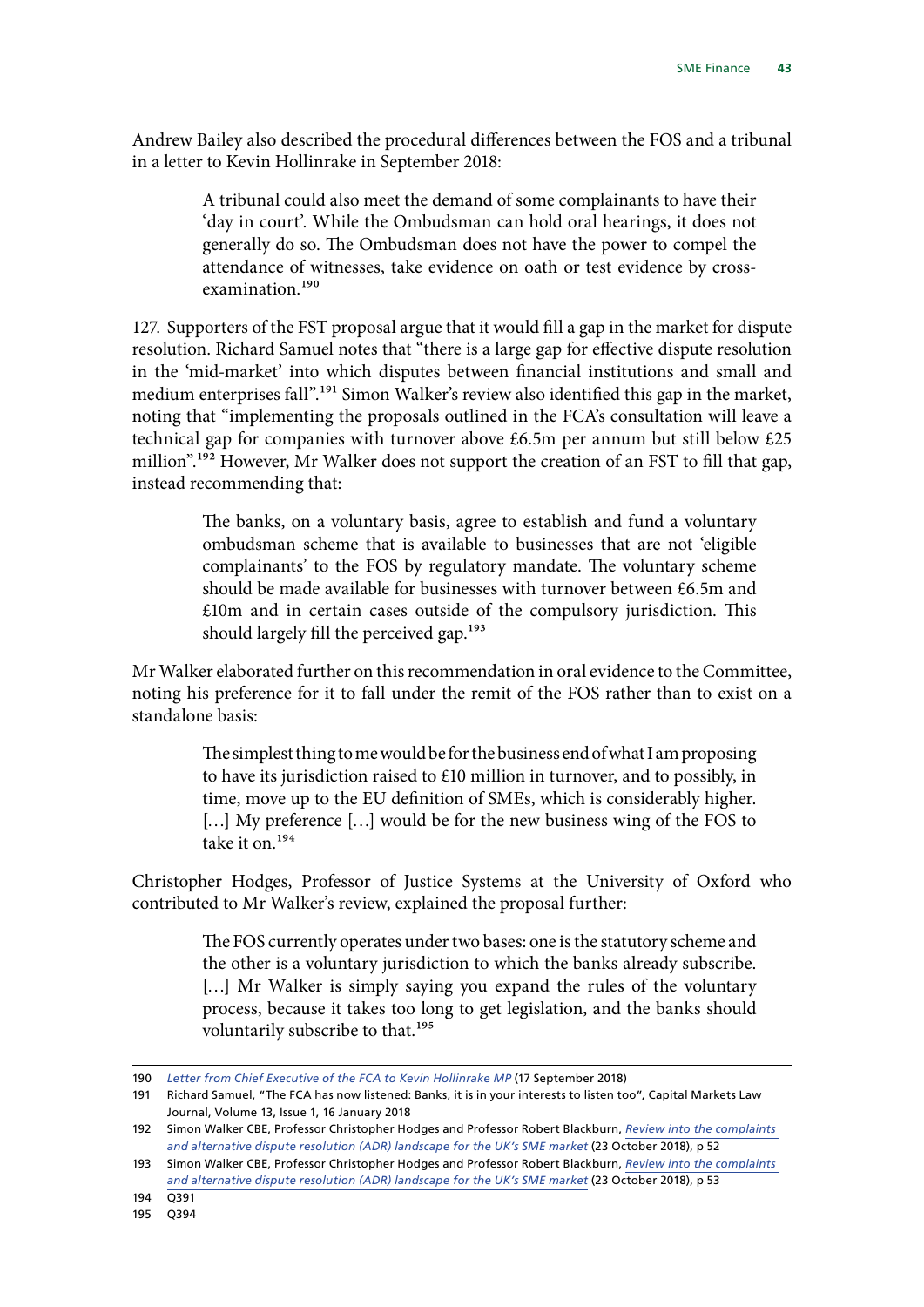Andrew Bailey also described the procedural differences between the FOS and a tribunal in a letter to Kevin Hollinrake in September 2018:

> A tribunal could also meet the demand of some complainants to have their 'day in court'. While the Ombudsman can hold oral hearings, it does not generally do so. The Ombudsman does not have the power to compel the attendance of witnesses, take evidence on oath or test evidence by crossexamination.190

127. Supporters of the FST proposal argue that it would fill a gap in the market for dispute resolution. Richard Samuel notes that "there is a large gap for effective dispute resolution in the 'mid-market' into which disputes between financial institutions and small and medium enterprises fall".<sup>191</sup> Simon Walker's review also identified this gap in the market, noting that "implementing the proposals outlined in the FCA's consultation will leave a technical gap for companies with turnover above £6.5m per annum but still below £25 million".<sup>192</sup> However, Mr Walker does not support the creation of an FST to fill that gap, instead recommending that:

> The banks, on a voluntary basis, agree to establish and fund a voluntary ombudsman scheme that is available to businesses that are not 'eligible complainants' to the FOS by regulatory mandate. The voluntary scheme should be made available for businesses with turnover between £6.5m and £10m and in certain cases outside of the compulsory jurisdiction. This should largely fill the perceived gap.<sup>193</sup>

Mr Walker elaborated further on this recommendation in oral evidence to the Committee, noting his preference for it to fall under the remit of the FOS rather than to exist on a standalone basis:

> The simplest thing to me would be for the business end of what I am proposing to have its jurisdiction raised to £10 million in turnover, and to possibly, in time, move up to the EU definition of SMEs, which is considerably higher. [...] My preference [...] would be for the new business wing of the FOS to take it on.194

Christopher Hodges, Professor of Justice Systems at the University of Oxford who contributed to Mr Walker's review, explained the proposal further:

> The FOS currently operates under two bases: one is the statutory scheme and the other is a voluntary jurisdiction to which the banks already subscribe. [...] Mr Walker is simply saying you expand the rules of the voluntary process, because it takes too long to get legislation, and the banks should voluntarily subscribe to that.<sup>195</sup>

<sup>190</sup> *[Letter from Chief Executive of the FCA to Kevin Hollinrake MP](http://www.appgbanking.org.uk/wp-content/uploads/2018/09/17.09.18-Andrew-Bailey-Response.pdf)* (17 September 2018)

<sup>191</sup> Richard Samuel, "The FCA has now listened: Banks, it is in your interests to listen too", Capital Markets Law Journal, Volume 13, Issue 1, 16 January 2018

<sup>192</sup> Simon Walker CBE, Professor Christopher Hodges and Professor Robert Blackburn, *[Review into the complaints](https://www.ukfinance.org.uk/wp-content/uploads/2018/10/Review-into-the-complaints-and-alternative-dispute-resolution-ADR-landscape-for-the-UK%E2%80%99s-SME-market.pdf)  [and alternative dispute resolution \(ADR\) landscape for the UK's SME market](https://www.ukfinance.org.uk/wp-content/uploads/2018/10/Review-into-the-complaints-and-alternative-dispute-resolution-ADR-landscape-for-the-UK%E2%80%99s-SME-market.pdf)* (23 October 2018), p 52

<sup>193</sup> Simon Walker CBE, Professor Christopher Hodges and Professor Robert Blackburn, *[Review into the complaints](https://www.ukfinance.org.uk/wp-content/uploads/2018/10/Review-into-the-complaints-and-alternative-dispute-resolution-ADR-landscape-for-the-UK%E2%80%99s-SME-market.pdf)  [and alternative dispute resolution \(ADR\) landscape for the UK's SME market](https://www.ukfinance.org.uk/wp-content/uploads/2018/10/Review-into-the-complaints-and-alternative-dispute-resolution-ADR-landscape-for-the-UK%E2%80%99s-SME-market.pdf)* (23 October 2018), p 53

<sup>194</sup> Q391

<sup>195</sup> Q394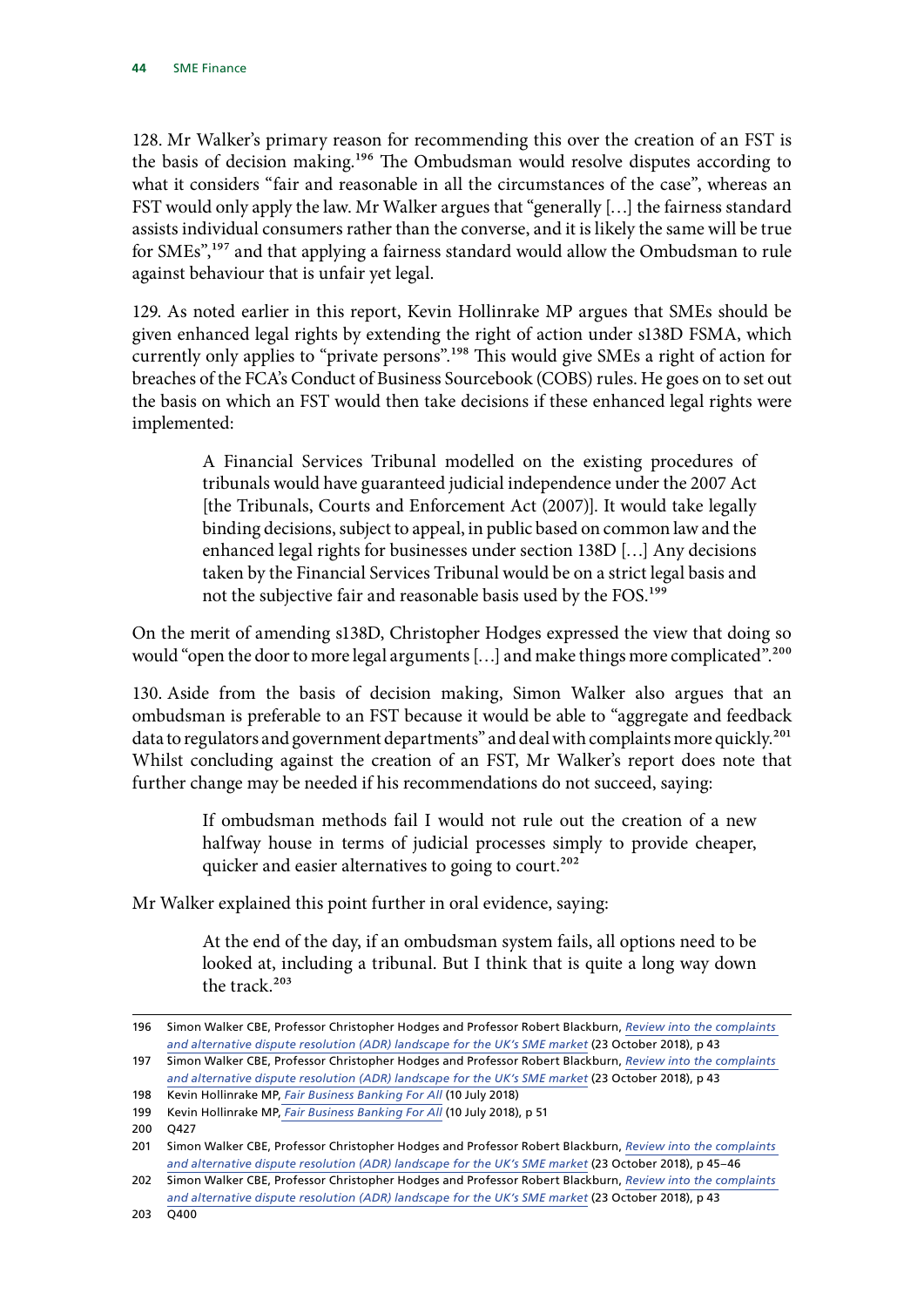128. Mr Walker's primary reason for recommending this over the creation of an FST is the basis of decision making.<sup>196</sup> The Ombudsman would resolve disputes according to what it considers "fair and reasonable in all the circumstances of the case", whereas an FST would only apply the law. Mr Walker argues that "generally […] the fairness standard assists individual consumers rather than the converse, and it is likely the same will be true for SMEs",197 and that applying a fairness standard would allow the Ombudsman to rule against behaviour that is unfair yet legal.

129. As noted earlier in this report, Kevin Hollinrake MP argues that SMEs should be given enhanced legal rights by extending the right of action under s138D FSMA, which currently only applies to "private persons".198 This would give SMEs a right of action for breaches of the FCA's Conduct of Business Sourcebook (COBS) rules. He goes on to set out the basis on which an FST would then take decisions if these enhanced legal rights were implemented:

> A Financial Services Tribunal modelled on the existing procedures of tribunals would have guaranteed judicial independence under the 2007 Act [the Tribunals, Courts and Enforcement Act (2007)]. It would take legally binding decisions, subject to appeal, in public based on common law and the enhanced legal rights for businesses under section 138D […] Any decisions taken by the Financial Services Tribunal would be on a strict legal basis and not the subjective fair and reasonable basis used by the FOS.199

On the merit of amending s138D, Christopher Hodges expressed the view that doing so would "open the door to more legal arguments [...] and make things more complicated".<sup>200</sup>

130. Aside from the basis of decision making, Simon Walker also argues that an ombudsman is preferable to an FST because it would be able to "aggregate and feedback data to regulators and government departments" and deal with complaints more quickly.<sup>201</sup> Whilst concluding against the creation of an FST, Mr Walker's report does note that further change may be needed if his recommendations do not succeed, saying:

> If ombudsman methods fail I would not rule out the creation of a new halfway house in terms of judicial processes simply to provide cheaper, quicker and easier alternatives to going to court.<sup>202</sup>

Mr Walker explained this point further in oral evidence, saying:

At the end of the day, if an ombudsman system fails, all options need to be looked at, including a tribunal. But I think that is quite a long way down the track.203

<sup>196</sup> Simon Walker CBE, Professor Christopher Hodges and Professor Robert Blackburn, *[Review into the complaints](https://www.ukfinance.org.uk/wp-content/uploads/2018/10/Review-into-the-complaints-and-alternative-dispute-resolution-ADR-landscape-for-the-UK%E2%80%99s-SME-market.pdf)  [and alternative dispute resolution \(ADR\) landscape for the UK's SME market](https://www.ukfinance.org.uk/wp-content/uploads/2018/10/Review-into-the-complaints-and-alternative-dispute-resolution-ADR-landscape-for-the-UK%E2%80%99s-SME-market.pdf)* (23 October 2018), p 43

<sup>197</sup> Simon Walker CBE, Professor Christopher Hodges and Professor Robert Blackburn, *[Review into the complaints](https://www.ukfinance.org.uk/wp-content/uploads/2018/10/Review-into-the-complaints-and-alternative-dispute-resolution-ADR-landscape-for-the-UK%E2%80%99s-SME-market.pdf)*  [and alternative dispute resolution \(ADR\) landscape for the UK's SME market](https://www.ukfinance.org.uk/wp-content/uploads/2018/10/Review-into-the-complaints-and-alternative-dispute-resolution-ADR-landscape-for-the-UK%E2%80%99s-SME-market.pdf) (23 October 2018), p 43

<sup>198</sup> Kevin Hollinrake MP, *[Fair Business Banking For All](https://www.cps.org.uk/files/reports/original/180710122917-FairBusinessBankingforAll.pdf)* (10 July 2018)

<sup>199</sup> Kevin Hollinrake MP, *[Fair Business Banking For All](https://www.cps.org.uk/files/reports/original/180710122917-FairBusinessBankingforAll.pdf)* (10 July 2018), p 51

<sup>200</sup> Q427

<sup>201</sup> Simon Walker CBE, Professor Christopher Hodges and Professor Robert Blackburn, *[Review into the complaints](https://www.ukfinance.org.uk/wp-content/uploads/2018/10/Review-into-the-complaints-and-alternative-dispute-resolution-ADR-landscape-for-the-UK%E2%80%99s-SME-market.pdf)  [and alternative dispute resolution \(ADR\) landscape for the UK's SME market](https://www.ukfinance.org.uk/wp-content/uploads/2018/10/Review-into-the-complaints-and-alternative-dispute-resolution-ADR-landscape-for-the-UK%E2%80%99s-SME-market.pdf)* (23 October 2018), p 45–46

<sup>202</sup> Simon Walker CBE, Professor Christopher Hodges and Professor Robert Blackburn, *[Review into the complaints](https://www.ukfinance.org.uk/wp-content/uploads/2018/10/Review-into-the-complaints-and-alternative-dispute-resolution-ADR-landscape-for-the-UK%E2%80%99s-SME-market.pdf)  [and alternative dispute resolution \(ADR\) landscape for the UK's SME market](https://www.ukfinance.org.uk/wp-content/uploads/2018/10/Review-into-the-complaints-and-alternative-dispute-resolution-ADR-landscape-for-the-UK%E2%80%99s-SME-market.pdf)* (23 October 2018), p 43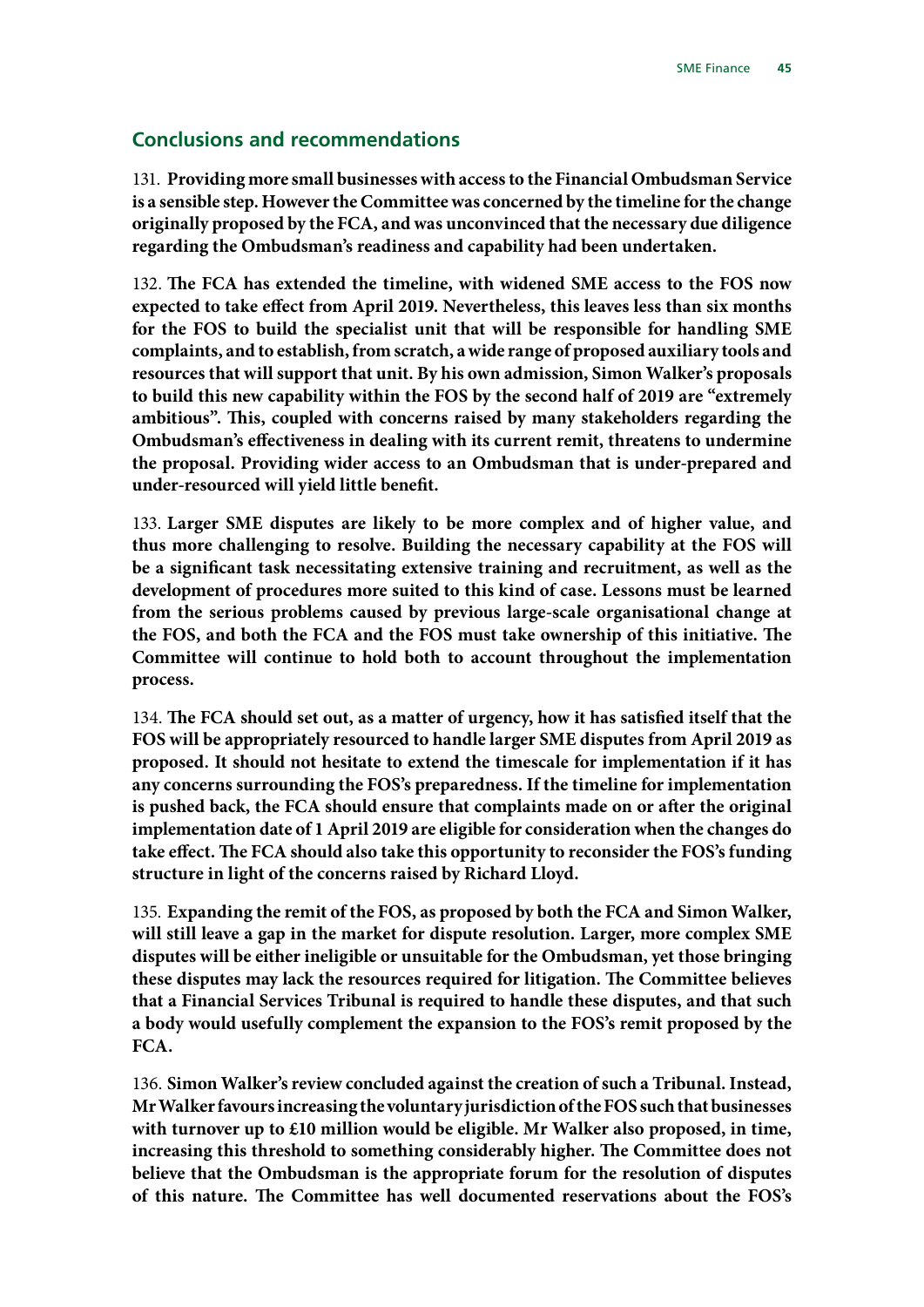### <span id="page-46-0"></span>**Conclusions and recommendations**

131. **Providing more small businesses with access to the Financial Ombudsman Service is a sensible step. However the Committee was concerned by the timeline for the change originally proposed by the FCA, and was unconvinced that the necessary due diligence regarding the Ombudsman's readiness and capability had been undertaken.**

132. **The FCA has extended the timeline, with widened SME access to the FOS now expected to take effect from April 2019. Nevertheless, this leaves less than six months for the FOS to build the specialist unit that will be responsible for handling SME complaints, and to establish, from scratch, a wide range of proposed auxiliary tools and resources that will support that unit. By his own admission, Simon Walker's proposals to build this new capability within the FOS by the second half of 2019 are "extremely ambitious". This, coupled with concerns raised by many stakeholders regarding the Ombudsman's effectiveness in dealing with its current remit, threatens to undermine the proposal. Providing wider access to an Ombudsman that is under-prepared and under-resourced will yield little benefit.**

133. **Larger SME disputes are likely to be more complex and of higher value, and thus more challenging to resolve. Building the necessary capability at the FOS will be a significant task necessitating extensive training and recruitment, as well as the development of procedures more suited to this kind of case. Lessons must be learned from the serious problems caused by previous large-scale organisational change at the FOS, and both the FCA and the FOS must take ownership of this initiative. The Committee will continue to hold both to account throughout the implementation process.**

134. **The FCA should set out, as a matter of urgency, how it has satisfied itself that the FOS will be appropriately resourced to handle larger SME disputes from April 2019 as proposed. It should not hesitate to extend the timescale for implementation if it has any concerns surrounding the FOS's preparedness. If the timeline for implementation is pushed back, the FCA should ensure that complaints made on or after the original implementation date of 1 April 2019 are eligible for consideration when the changes do take effect. The FCA should also take this opportunity to reconsider the FOS's funding structure in light of the concerns raised by Richard Lloyd.**

135. **Expanding the remit of the FOS, as proposed by both the FCA and Simon Walker, will still leave a gap in the market for dispute resolution. Larger, more complex SME disputes will be either ineligible or unsuitable for the Ombudsman, yet those bringing these disputes may lack the resources required for litigation. The Committee believes that a Financial Services Tribunal is required to handle these disputes, and that such a body would usefully complement the expansion to the FOS's remit proposed by the FCA.**

136. **Simon Walker's review concluded against the creation of such a Tribunal. Instead, Mr Walker favours increasing the voluntary jurisdiction of the FOS such that businesses with turnover up to £10 million would be eligible. Mr Walker also proposed, in time, increasing this threshold to something considerably higher. The Committee does not believe that the Ombudsman is the appropriate forum for the resolution of disputes of this nature. The Committee has well documented reservations about the FOS's**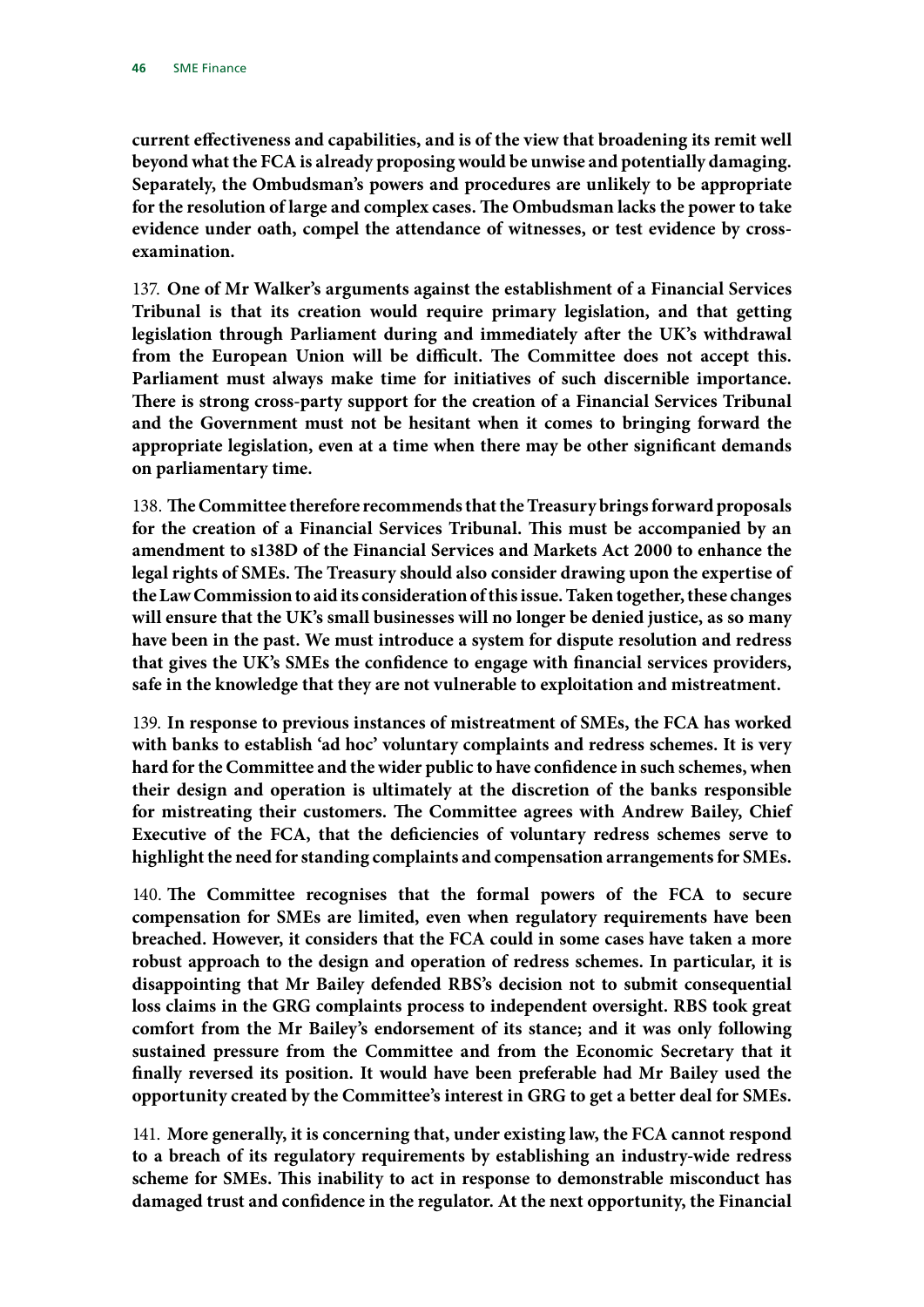**current effectiveness and capabilities, and is of the view that broadening its remit well beyond what the FCA is already proposing would be unwise and potentially damaging. Separately, the Ombudsman's powers and procedures are unlikely to be appropriate for the resolution of large and complex cases. The Ombudsman lacks the power to take evidence under oath, compel the attendance of witnesses, or test evidence by crossexamination.**

137. **One of Mr Walker's arguments against the establishment of a Financial Services Tribunal is that its creation would require primary legislation, and that getting legislation through Parliament during and immediately after the UK's withdrawal from the European Union will be difficult. The Committee does not accept this. Parliament must always make time for initiatives of such discernible importance. There is strong cross-party support for the creation of a Financial Services Tribunal and the Government must not be hesitant when it comes to bringing forward the appropriate legislation, even at a time when there may be other significant demands on parliamentary time.**

138. **The Committee therefore recommends that the Treasury brings forward proposals for the creation of a Financial Services Tribunal. This must be accompanied by an amendment to s138D of the Financial Services and Markets Act 2000 to enhance the legal rights of SMEs. The Treasury should also consider drawing upon the expertise of the Law Commission to aid its consideration of this issue. Taken together, these changes will ensure that the UK's small businesses will no longer be denied justice, as so many have been in the past. We must introduce a system for dispute resolution and redress that gives the UK's SMEs the confidence to engage with financial services providers, safe in the knowledge that they are not vulnerable to exploitation and mistreatment.**

139. **In response to previous instances of mistreatment of SMEs, the FCA has worked with banks to establish 'ad hoc' voluntary complaints and redress schemes. It is very hard for the Committee and the wider public to have confidence in such schemes, when their design and operation is ultimately at the discretion of the banks responsible for mistreating their customers. The Committee agrees with Andrew Bailey, Chief Executive of the FCA, that the deficiencies of voluntary redress schemes serve to highlight the need for standing complaints and compensation arrangements for SMEs.**

140. **The Committee recognises that the formal powers of the FCA to secure compensation for SMEs are limited, even when regulatory requirements have been breached. However, it considers that the FCA could in some cases have taken a more robust approach to the design and operation of redress schemes. In particular, it is disappointing that Mr Bailey defended RBS's decision not to submit consequential loss claims in the GRG complaints process to independent oversight. RBS took great comfort from the Mr Bailey's endorsement of its stance; and it was only following sustained pressure from the Committee and from the Economic Secretary that it finally reversed its position. It would have been preferable had Mr Bailey used the opportunity created by the Committee's interest in GRG to get a better deal for SMEs.**

141. **More generally, it is concerning that, under existing law, the FCA cannot respond to a breach of its regulatory requirements by establishing an industry-wide redress scheme for SMEs. This inability to act in response to demonstrable misconduct has damaged trust and confidence in the regulator. At the next opportunity, the Financial**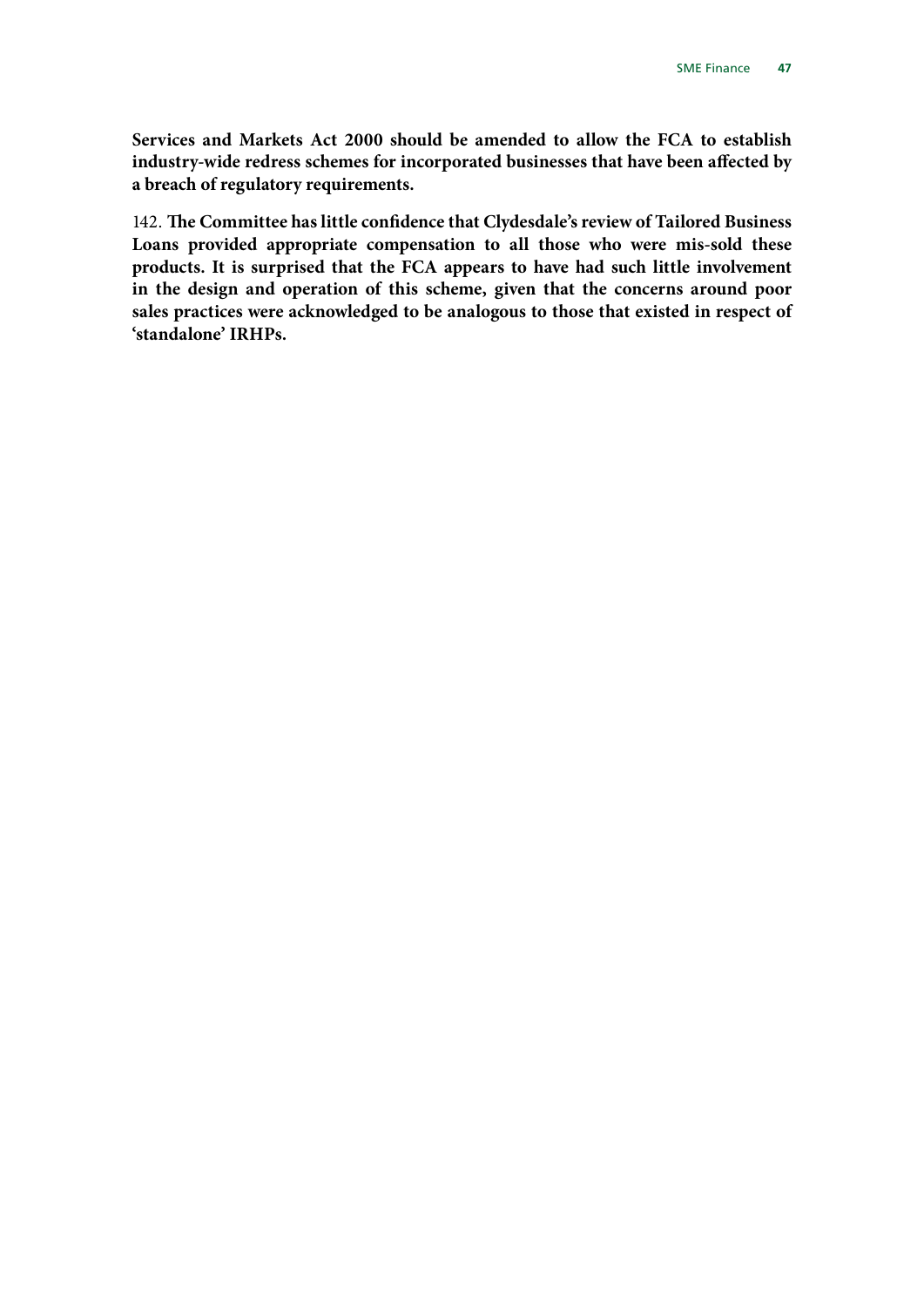**Services and Markets Act 2000 should be amended to allow the FCA to establish industry-wide redress schemes for incorporated businesses that have been affected by a breach of regulatory requirements.**

142. **The Committee has little confidence that Clydesdale's review of Tailored Business Loans provided appropriate compensation to all those who were mis-sold these products. It is surprised that the FCA appears to have had such little involvement in the design and operation of this scheme, given that the concerns around poor sales practices were acknowledged to be analogous to those that existed in respect of 'standalone' IRHPs.**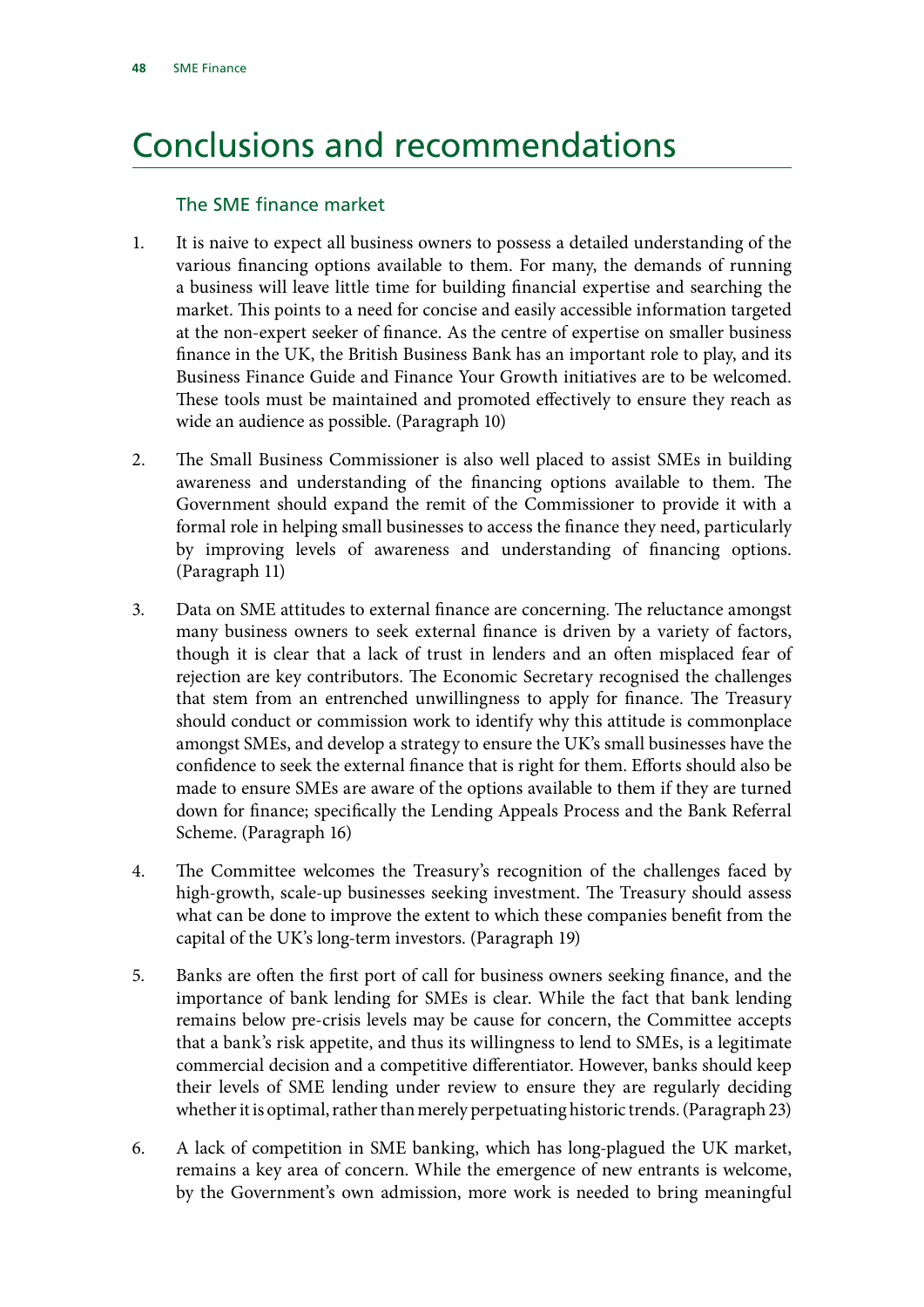# <span id="page-49-0"></span>Conclusions and recommendations

### The SME finance market

- 1. It is naive to expect all business owners to possess a detailed understanding of the various financing options available to them. For many, the demands of running a business will leave little time for building financial expertise and searching the market. This points to a need for concise and easily accessible information targeted at the non-expert seeker of finance. As the centre of expertise on smaller business finance in the UK, the British Business Bank has an important role to play, and its Business Finance Guide and Finance Your Growth initiatives are to be welcomed. These tools must be maintained and promoted effectively to ensure they reach as wide an audience as possible. (Paragraph 10)
- 2. The Small Business Commissioner is also well placed to assist SMEs in building awareness and understanding of the financing options available to them. The Government should expand the remit of the Commissioner to provide it with a formal role in helping small businesses to access the finance they need, particularly by improving levels of awareness and understanding of financing options. (Paragraph 11)
- 3. Data on SME attitudes to external finance are concerning. The reluctance amongst many business owners to seek external finance is driven by a variety of factors, though it is clear that a lack of trust in lenders and an often misplaced fear of rejection are key contributors. The Economic Secretary recognised the challenges that stem from an entrenched unwillingness to apply for finance. The Treasury should conduct or commission work to identify why this attitude is commonplace amongst SMEs, and develop a strategy to ensure the UK's small businesses have the confidence to seek the external finance that is right for them. Efforts should also be made to ensure SMEs are aware of the options available to them if they are turned down for finance; specifically the Lending Appeals Process and the Bank Referral Scheme. (Paragraph 16)
- 4. The Committee welcomes the Treasury's recognition of the challenges faced by high-growth, scale-up businesses seeking investment. The Treasury should assess what can be done to improve the extent to which these companies benefit from the capital of the UK's long-term investors. (Paragraph 19)
- 5. Banks are often the first port of call for business owners seeking finance, and the importance of bank lending for SMEs is clear. While the fact that bank lending remains below pre-crisis levels may be cause for concern, the Committee accepts that a bank's risk appetite, and thus its willingness to lend to SMEs, is a legitimate commercial decision and a competitive differentiator. However, banks should keep their levels of SME lending under review to ensure they are regularly deciding whether it is optimal, rather than merely perpetuating historic trends. (Paragraph 23)
- 6. A lack of competition in SME banking, which has long-plagued the UK market, remains a key area of concern. While the emergence of new entrants is welcome, by the Government's own admission, more work is needed to bring meaningful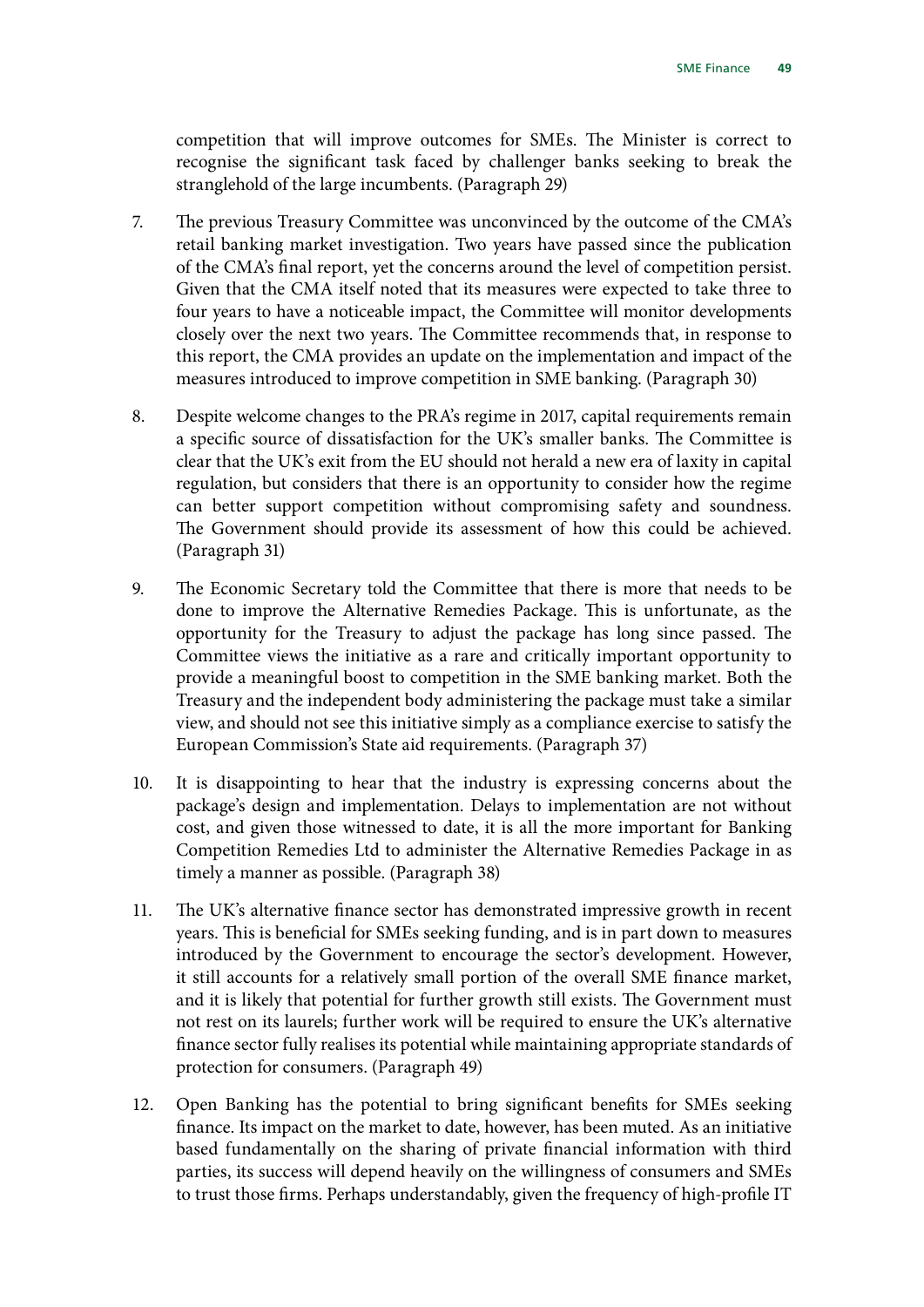competition that will improve outcomes for SMEs. The Minister is correct to recognise the significant task faced by challenger banks seeking to break the stranglehold of the large incumbents. (Paragraph 29)

- 7. The previous Treasury Committee was unconvinced by the outcome of the CMA's retail banking market investigation. Two years have passed since the publication of the CMA's final report, yet the concerns around the level of competition persist. Given that the CMA itself noted that its measures were expected to take three to four years to have a noticeable impact, the Committee will monitor developments closely over the next two years. The Committee recommends that, in response to this report, the CMA provides an update on the implementation and impact of the measures introduced to improve competition in SME banking. (Paragraph 30)
- 8. Despite welcome changes to the PRA's regime in 2017, capital requirements remain a specific source of dissatisfaction for the UK's smaller banks. The Committee is clear that the UK's exit from the EU should not herald a new era of laxity in capital regulation, but considers that there is an opportunity to consider how the regime can better support competition without compromising safety and soundness. The Government should provide its assessment of how this could be achieved. (Paragraph 31)
- 9. The Economic Secretary told the Committee that there is more that needs to be done to improve the Alternative Remedies Package. This is unfortunate, as the opportunity for the Treasury to adjust the package has long since passed. The Committee views the initiative as a rare and critically important opportunity to provide a meaningful boost to competition in the SME banking market. Both the Treasury and the independent body administering the package must take a similar view, and should not see this initiative simply as a compliance exercise to satisfy the European Commission's State aid requirements. (Paragraph 37)
- 10. It is disappointing to hear that the industry is expressing concerns about the package's design and implementation. Delays to implementation are not without cost, and given those witnessed to date, it is all the more important for Banking Competition Remedies Ltd to administer the Alternative Remedies Package in as timely a manner as possible. (Paragraph 38)
- 11. The UK's alternative finance sector has demonstrated impressive growth in recent years. This is beneficial for SMEs seeking funding, and is in part down to measures introduced by the Government to encourage the sector's development. However, it still accounts for a relatively small portion of the overall SME finance market, and it is likely that potential for further growth still exists. The Government must not rest on its laurels; further work will be required to ensure the UK's alternative finance sector fully realises its potential while maintaining appropriate standards of protection for consumers. (Paragraph 49)
- 12. Open Banking has the potential to bring significant benefits for SMEs seeking finance. Its impact on the market to date, however, has been muted. As an initiative based fundamentally on the sharing of private financial information with third parties, its success will depend heavily on the willingness of consumers and SMEs to trust those firms. Perhaps understandably, given the frequency of high-profile IT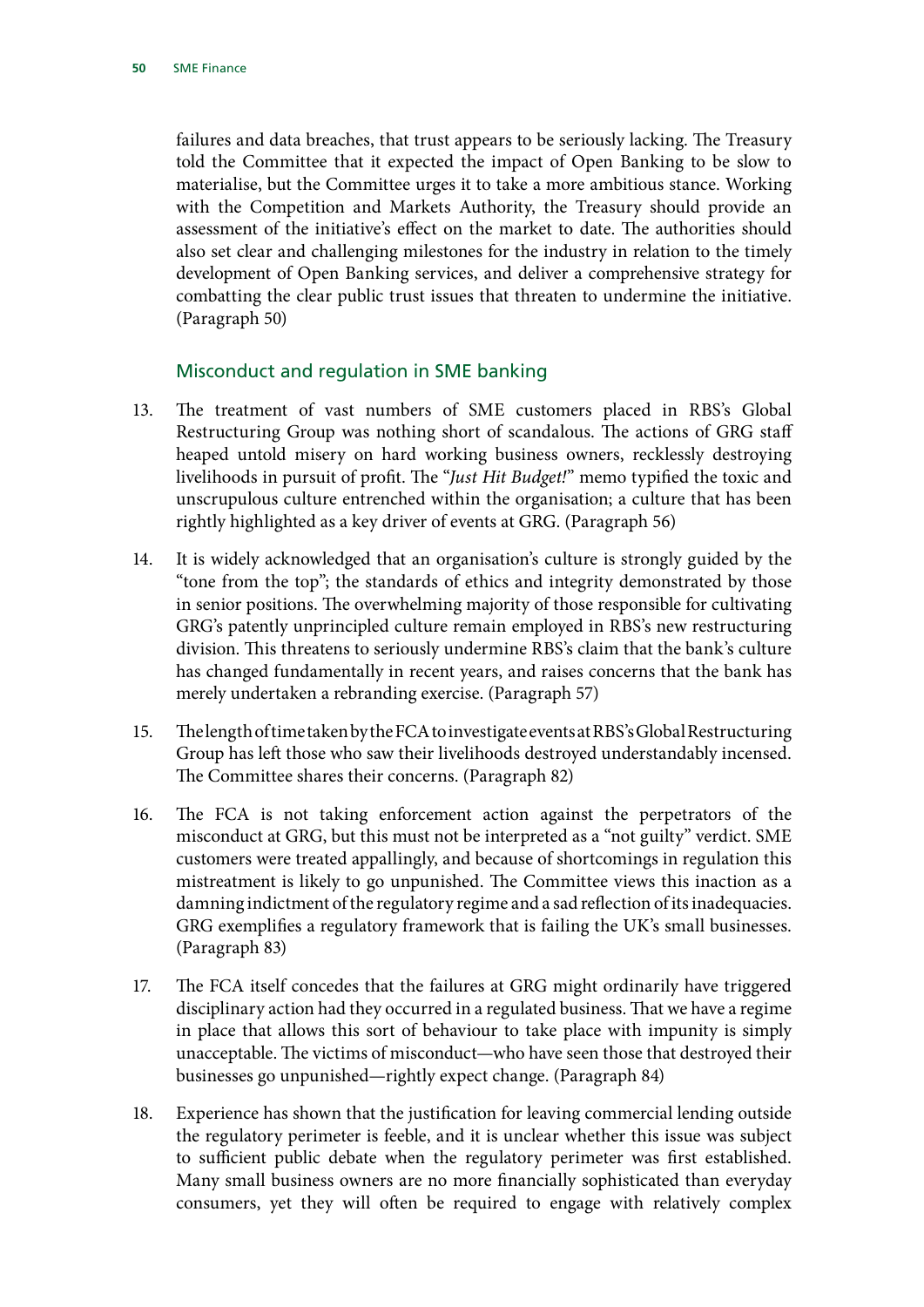failures and data breaches, that trust appears to be seriously lacking. The Treasury told the Committee that it expected the impact of Open Banking to be slow to materialise, but the Committee urges it to take a more ambitious stance. Working with the Competition and Markets Authority, the Treasury should provide an assessment of the initiative's effect on the market to date. The authorities should also set clear and challenging milestones for the industry in relation to the timely development of Open Banking services, and deliver a comprehensive strategy for combatting the clear public trust issues that threaten to undermine the initiative. (Paragraph 50)

#### Misconduct and regulation in SME banking

- 13. The treatment of vast numbers of SME customers placed in RBS's Global Restructuring Group was nothing short of scandalous. The actions of GRG staff heaped untold misery on hard working business owners, recklessly destroying livelihoods in pursuit of profit. The "*Just Hit Budget!*" memo typified the toxic and unscrupulous culture entrenched within the organisation; a culture that has been rightly highlighted as a key driver of events at GRG. (Paragraph 56)
- 14. It is widely acknowledged that an organisation's culture is strongly guided by the "tone from the top"; the standards of ethics and integrity demonstrated by those in senior positions. The overwhelming majority of those responsible for cultivating GRG's patently unprincipled culture remain employed in RBS's new restructuring division. This threatens to seriously undermine RBS's claim that the bank's culture has changed fundamentally in recent years, and raises concerns that the bank has merely undertaken a rebranding exercise. (Paragraph 57)
- 15. The length of time taken by the FCA to investigate events at RBS's Global Restructuring Group has left those who saw their livelihoods destroyed understandably incensed. The Committee shares their concerns. (Paragraph 82)
- 16. The FCA is not taking enforcement action against the perpetrators of the misconduct at GRG, but this must not be interpreted as a "not guilty" verdict. SME customers were treated appallingly, and because of shortcomings in regulation this mistreatment is likely to go unpunished. The Committee views this inaction as a damning indictment of the regulatory regime and a sad reflection of its inadequacies. GRG exemplifies a regulatory framework that is failing the UK's small businesses. (Paragraph 83)
- 17. The FCA itself concedes that the failures at GRG might ordinarily have triggered disciplinary action had they occurred in a regulated business. That we have a regime in place that allows this sort of behaviour to take place with impunity is simply unacceptable. The victims of misconduct—who have seen those that destroyed their businesses go unpunished—rightly expect change. (Paragraph 84)
- 18. Experience has shown that the justification for leaving commercial lending outside the regulatory perimeter is feeble, and it is unclear whether this issue was subject to sufficient public debate when the regulatory perimeter was first established. Many small business owners are no more financially sophisticated than everyday consumers, yet they will often be required to engage with relatively complex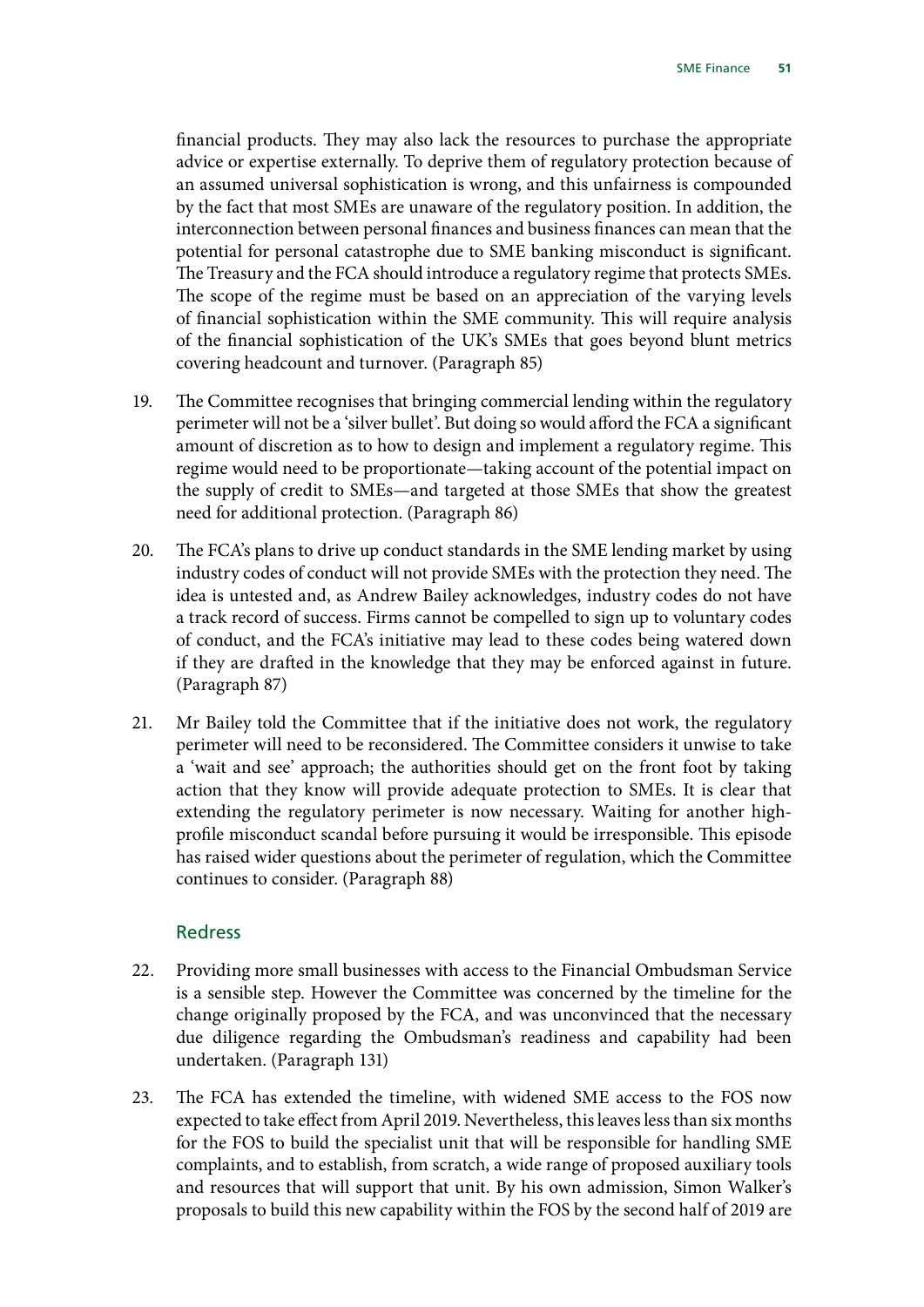financial products. They may also lack the resources to purchase the appropriate advice or expertise externally. To deprive them of regulatory protection because of an assumed universal sophistication is wrong, and this unfairness is compounded by the fact that most SMEs are unaware of the regulatory position. In addition, the interconnection between personal finances and business finances can mean that the potential for personal catastrophe due to SME banking misconduct is significant. The Treasury and the FCA should introduce a regulatory regime that protects SMEs. The scope of the regime must be based on an appreciation of the varying levels of financial sophistication within the SME community. This will require analysis of the financial sophistication of the UK's SMEs that goes beyond blunt metrics covering headcount and turnover. (Paragraph 85)

- 19. The Committee recognises that bringing commercial lending within the regulatory perimeter will not be a 'silver bullet'. But doing so would afford the FCA a significant amount of discretion as to how to design and implement a regulatory regime. This regime would need to be proportionate—taking account of the potential impact on the supply of credit to SMEs—and targeted at those SMEs that show the greatest need for additional protection. (Paragraph 86)
- 20. The FCA's plans to drive up conduct standards in the SME lending market by using industry codes of conduct will not provide SMEs with the protection they need. The idea is untested and, as Andrew Bailey acknowledges, industry codes do not have a track record of success. Firms cannot be compelled to sign up to voluntary codes of conduct, and the FCA's initiative may lead to these codes being watered down if they are drafted in the knowledge that they may be enforced against in future. (Paragraph 87)
- 21. Mr Bailey told the Committee that if the initiative does not work, the regulatory perimeter will need to be reconsidered. The Committee considers it unwise to take a 'wait and see' approach; the authorities should get on the front foot by taking action that they know will provide adequate protection to SMEs. It is clear that extending the regulatory perimeter is now necessary. Waiting for another highprofile misconduct scandal before pursuing it would be irresponsible. This episode has raised wider questions about the perimeter of regulation, which the Committee continues to consider. (Paragraph 88)

#### Redress

- 22. Providing more small businesses with access to the Financial Ombudsman Service is a sensible step. However the Committee was concerned by the timeline for the change originally proposed by the FCA, and was unconvinced that the necessary due diligence regarding the Ombudsman's readiness and capability had been undertaken. (Paragraph 131)
- 23. The FCA has extended the timeline, with widened SME access to the FOS now expected to take effect from April 2019. Nevertheless, this leaves less than six months for the FOS to build the specialist unit that will be responsible for handling SME complaints, and to establish, from scratch, a wide range of proposed auxiliary tools and resources that will support that unit. By his own admission, Simon Walker's proposals to build this new capability within the FOS by the second half of 2019 are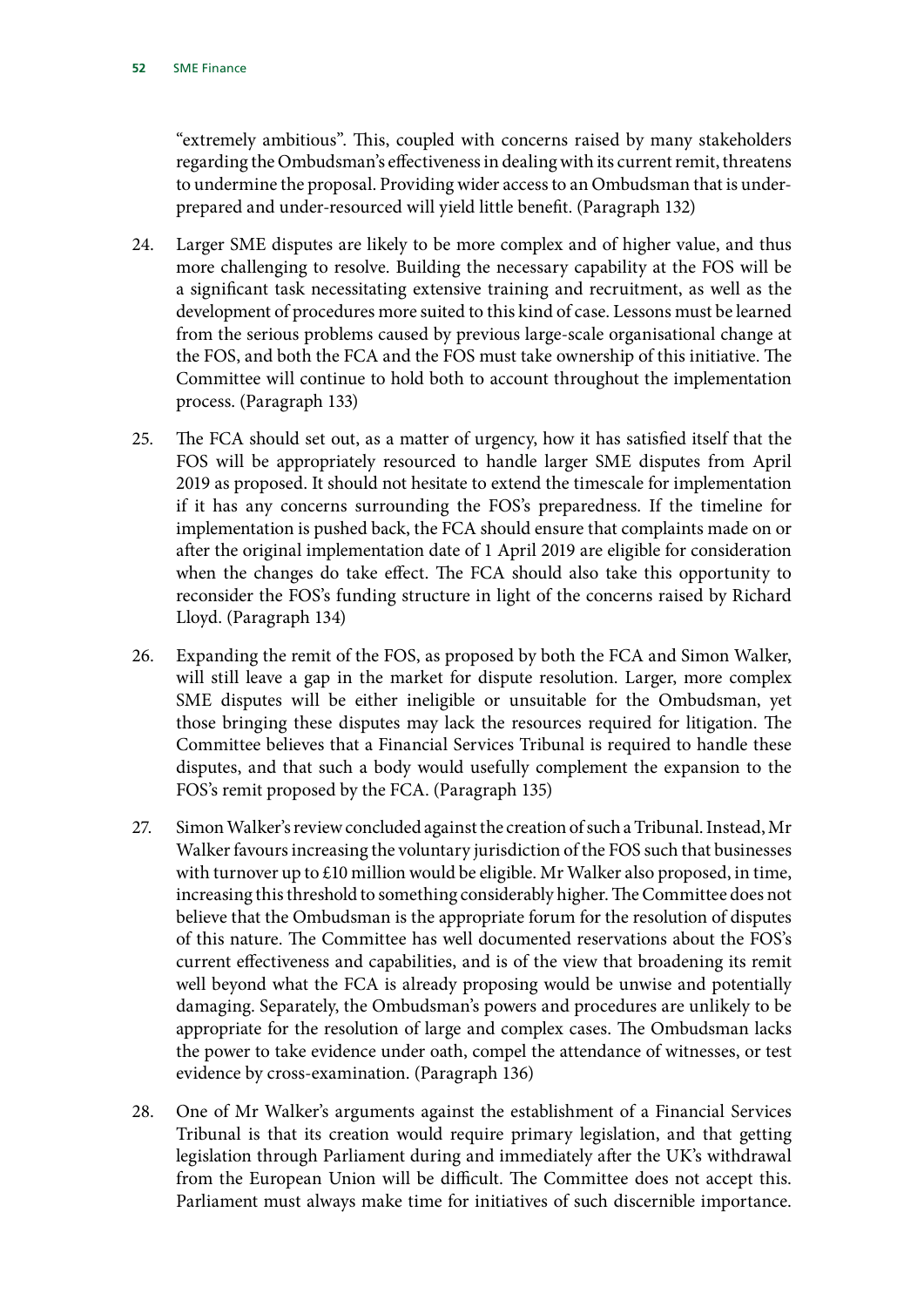"extremely ambitious". This, coupled with concerns raised by many stakeholders regarding the Ombudsman's effectiveness in dealing with its current remit, threatens to undermine the proposal. Providing wider access to an Ombudsman that is underprepared and under-resourced will yield little benefit. (Paragraph 132)

- 24. Larger SME disputes are likely to be more complex and of higher value, and thus more challenging to resolve. Building the necessary capability at the FOS will be a significant task necessitating extensive training and recruitment, as well as the development of procedures more suited to this kind of case. Lessons must be learned from the serious problems caused by previous large-scale organisational change at the FOS, and both the FCA and the FOS must take ownership of this initiative. The Committee will continue to hold both to account throughout the implementation process. (Paragraph 133)
- 25. The FCA should set out, as a matter of urgency, how it has satisfied itself that the FOS will be appropriately resourced to handle larger SME disputes from April 2019 as proposed. It should not hesitate to extend the timescale for implementation if it has any concerns surrounding the FOS's preparedness. If the timeline for implementation is pushed back, the FCA should ensure that complaints made on or after the original implementation date of 1 April 2019 are eligible for consideration when the changes do take effect. The FCA should also take this opportunity to reconsider the FOS's funding structure in light of the concerns raised by Richard Lloyd. (Paragraph 134)
- 26. Expanding the remit of the FOS, as proposed by both the FCA and Simon Walker, will still leave a gap in the market for dispute resolution. Larger, more complex SME disputes will be either ineligible or unsuitable for the Ombudsman, yet those bringing these disputes may lack the resources required for litigation. The Committee believes that a Financial Services Tribunal is required to handle these disputes, and that such a body would usefully complement the expansion to the FOS's remit proposed by the FCA. (Paragraph 135)
- 27. Simon Walker's review concluded against the creation of such a Tribunal. Instead, Mr Walker favours increasing the voluntary jurisdiction of the FOS such that businesses with turnover up to £10 million would be eligible. Mr Walker also proposed, in time, increasing this threshold to something considerably higher. The Committee does not believe that the Ombudsman is the appropriate forum for the resolution of disputes of this nature. The Committee has well documented reservations about the FOS's current effectiveness and capabilities, and is of the view that broadening its remit well beyond what the FCA is already proposing would be unwise and potentially damaging. Separately, the Ombudsman's powers and procedures are unlikely to be appropriate for the resolution of large and complex cases. The Ombudsman lacks the power to take evidence under oath, compel the attendance of witnesses, or test evidence by cross-examination. (Paragraph 136)
- 28. One of Mr Walker's arguments against the establishment of a Financial Services Tribunal is that its creation would require primary legislation, and that getting legislation through Parliament during and immediately after the UK's withdrawal from the European Union will be difficult. The Committee does not accept this. Parliament must always make time for initiatives of such discernible importance.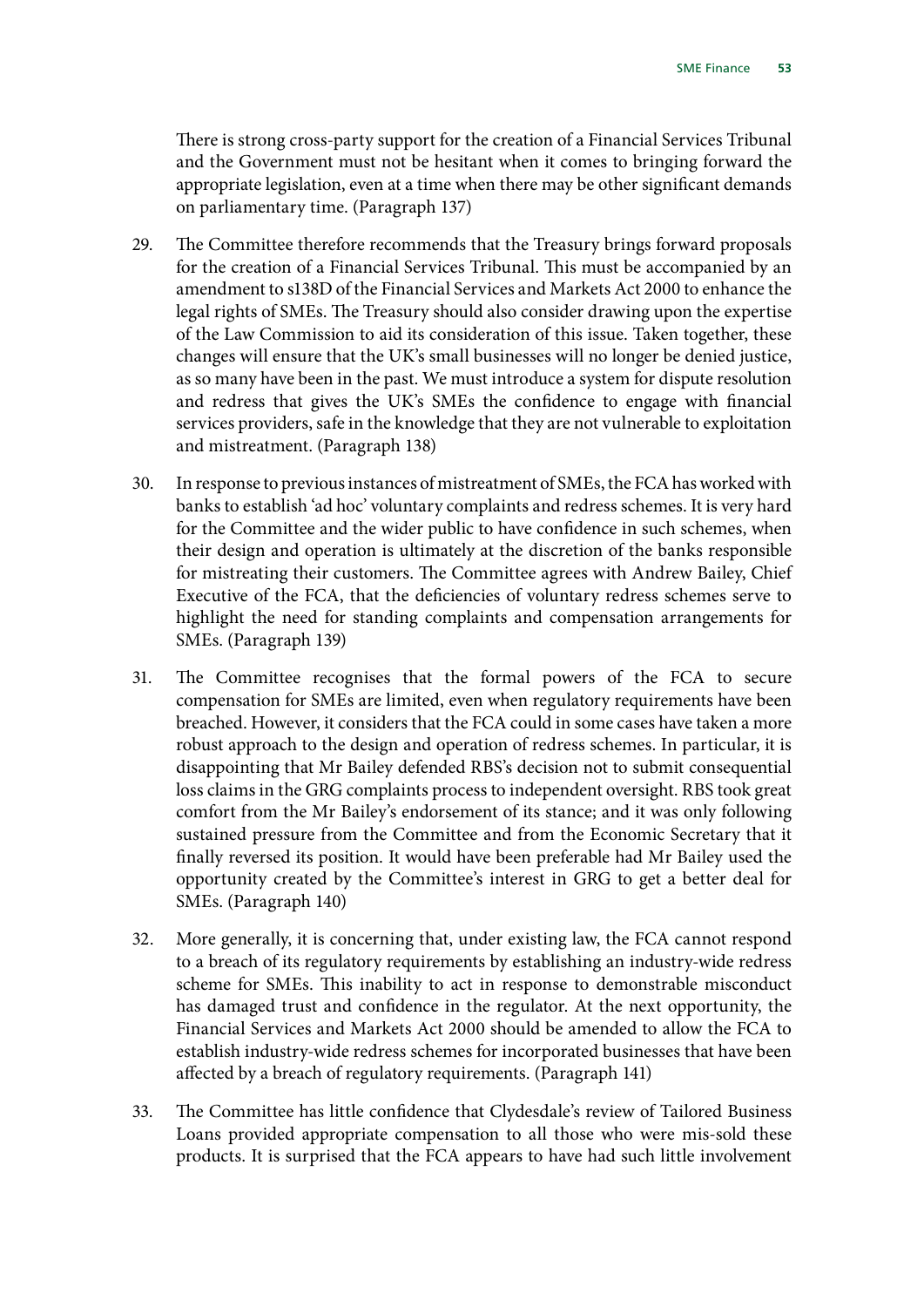There is strong cross-party support for the creation of a Financial Services Tribunal and the Government must not be hesitant when it comes to bringing forward the appropriate legislation, even at a time when there may be other significant demands on parliamentary time. (Paragraph 137)

- 29. The Committee therefore recommends that the Treasury brings forward proposals for the creation of a Financial Services Tribunal. This must be accompanied by an amendment to s138D of the Financial Services and Markets Act 2000 to enhance the legal rights of SMEs. The Treasury should also consider drawing upon the expertise of the Law Commission to aid its consideration of this issue. Taken together, these changes will ensure that the UK's small businesses will no longer be denied justice, as so many have been in the past. We must introduce a system for dispute resolution and redress that gives the UK's SMEs the confidence to engage with financial services providers, safe in the knowledge that they are not vulnerable to exploitation and mistreatment. (Paragraph 138)
- 30. In response to previous instances of mistreatment of SMEs, the FCA has worked with banks to establish 'ad hoc' voluntary complaints and redress schemes. It is very hard for the Committee and the wider public to have confidence in such schemes, when their design and operation is ultimately at the discretion of the banks responsible for mistreating their customers. The Committee agrees with Andrew Bailey, Chief Executive of the FCA, that the deficiencies of voluntary redress schemes serve to highlight the need for standing complaints and compensation arrangements for SMEs. (Paragraph 139)
- 31. The Committee recognises that the formal powers of the FCA to secure compensation for SMEs are limited, even when regulatory requirements have been breached. However, it considers that the FCA could in some cases have taken a more robust approach to the design and operation of redress schemes. In particular, it is disappointing that Mr Bailey defended RBS's decision not to submit consequential loss claims in the GRG complaints process to independent oversight. RBS took great comfort from the Mr Bailey's endorsement of its stance; and it was only following sustained pressure from the Committee and from the Economic Secretary that it finally reversed its position. It would have been preferable had Mr Bailey used the opportunity created by the Committee's interest in GRG to get a better deal for SMEs. (Paragraph 140)
- 32. More generally, it is concerning that, under existing law, the FCA cannot respond to a breach of its regulatory requirements by establishing an industry-wide redress scheme for SMEs. This inability to act in response to demonstrable misconduct has damaged trust and confidence in the regulator. At the next opportunity, the Financial Services and Markets Act 2000 should be amended to allow the FCA to establish industry-wide redress schemes for incorporated businesses that have been affected by a breach of regulatory requirements. (Paragraph 141)
- 33. The Committee has little confidence that Clydesdale's review of Tailored Business Loans provided appropriate compensation to all those who were mis-sold these products. It is surprised that the FCA appears to have had such little involvement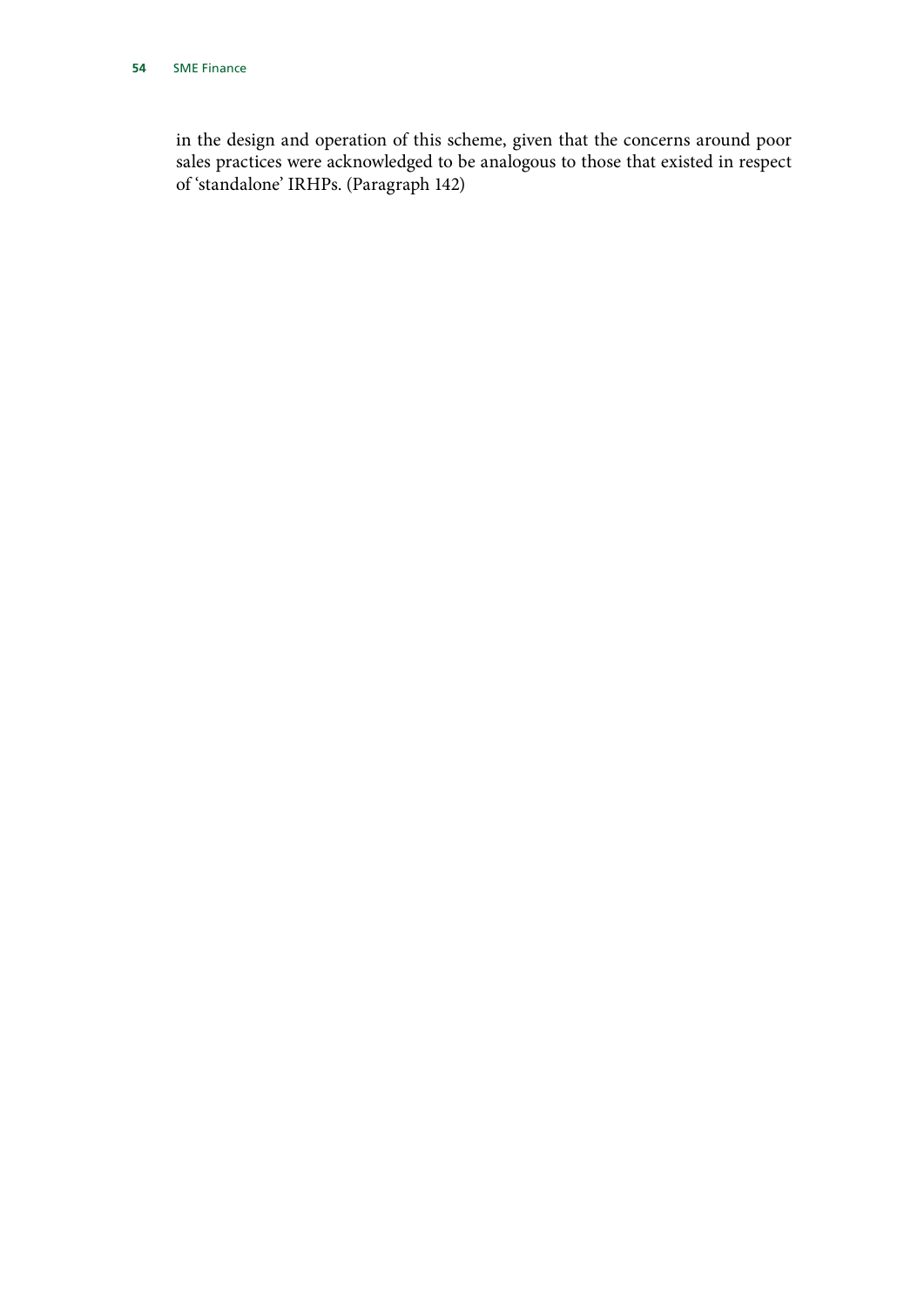in the design and operation of this scheme, given that the concerns around poor sales practices were acknowledged to be analogous to those that existed in respect of 'standalone' IRHPs. (Paragraph 142)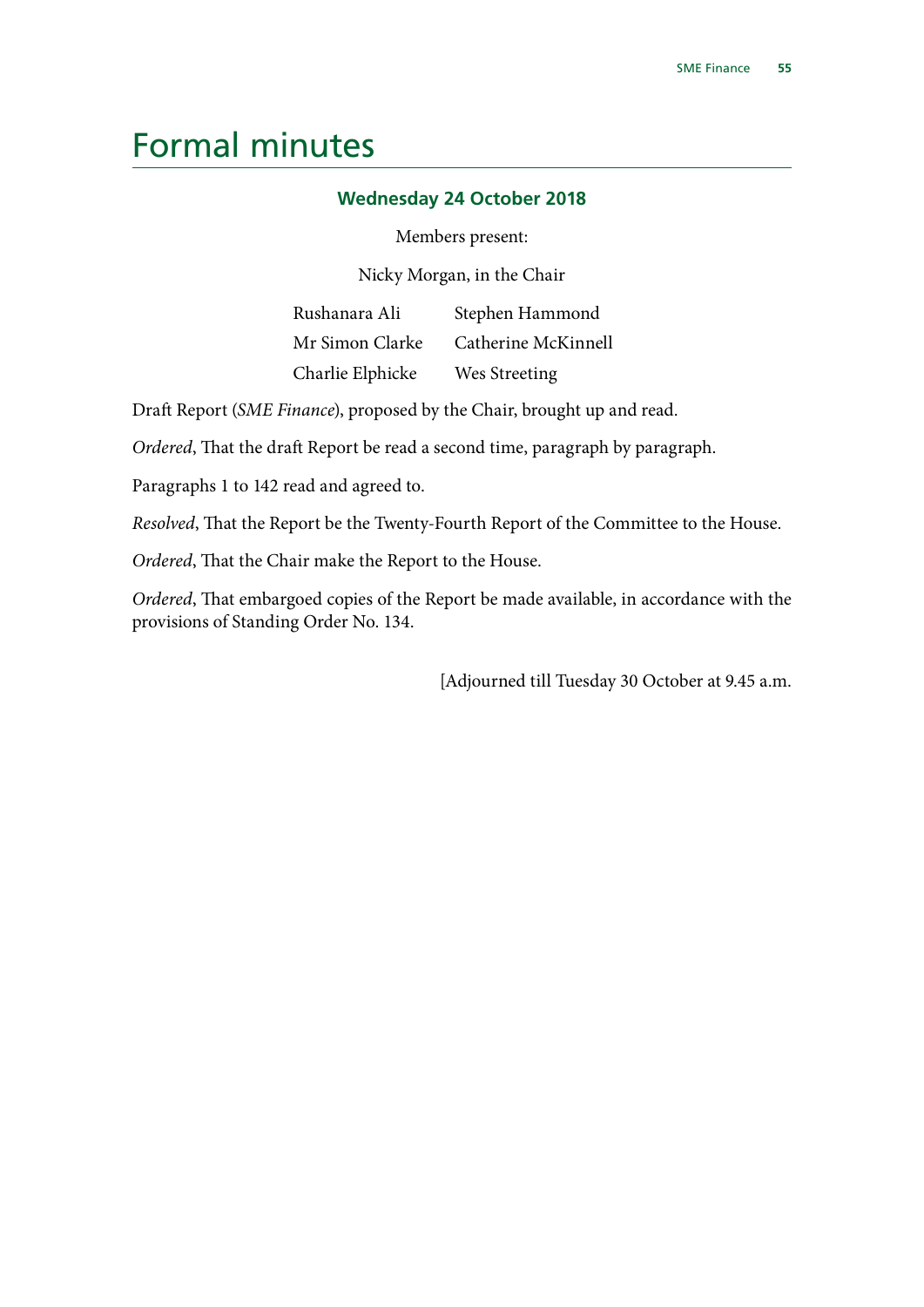# <span id="page-56-0"></span>Formal minutes

#### **Wednesday 24 October 2018**

#### Members present:

Nicky Morgan, in the Chair

Rushanara Ali Mr Simon Clarke Charlie Elphicke Stephen Hammond Catherine McKinnell Wes Streeting

Draft Report (*SME Finance*), proposed by the Chair, brought up and read.

*Ordered*, That the draft Report be read a second time, paragraph by paragraph.

Paragraphs 1 to 142 read and agreed to.

*Resolved*, That the Report be the Twenty-Fourth Report of the Committee to the House.

*Ordered*, That the Chair make the Report to the House.

*Ordered*, That embargoed copies of the Report be made available, in accordance with the provisions of Standing Order No. 134.

[Adjourned till Tuesday 30 October at 9.45 a.m.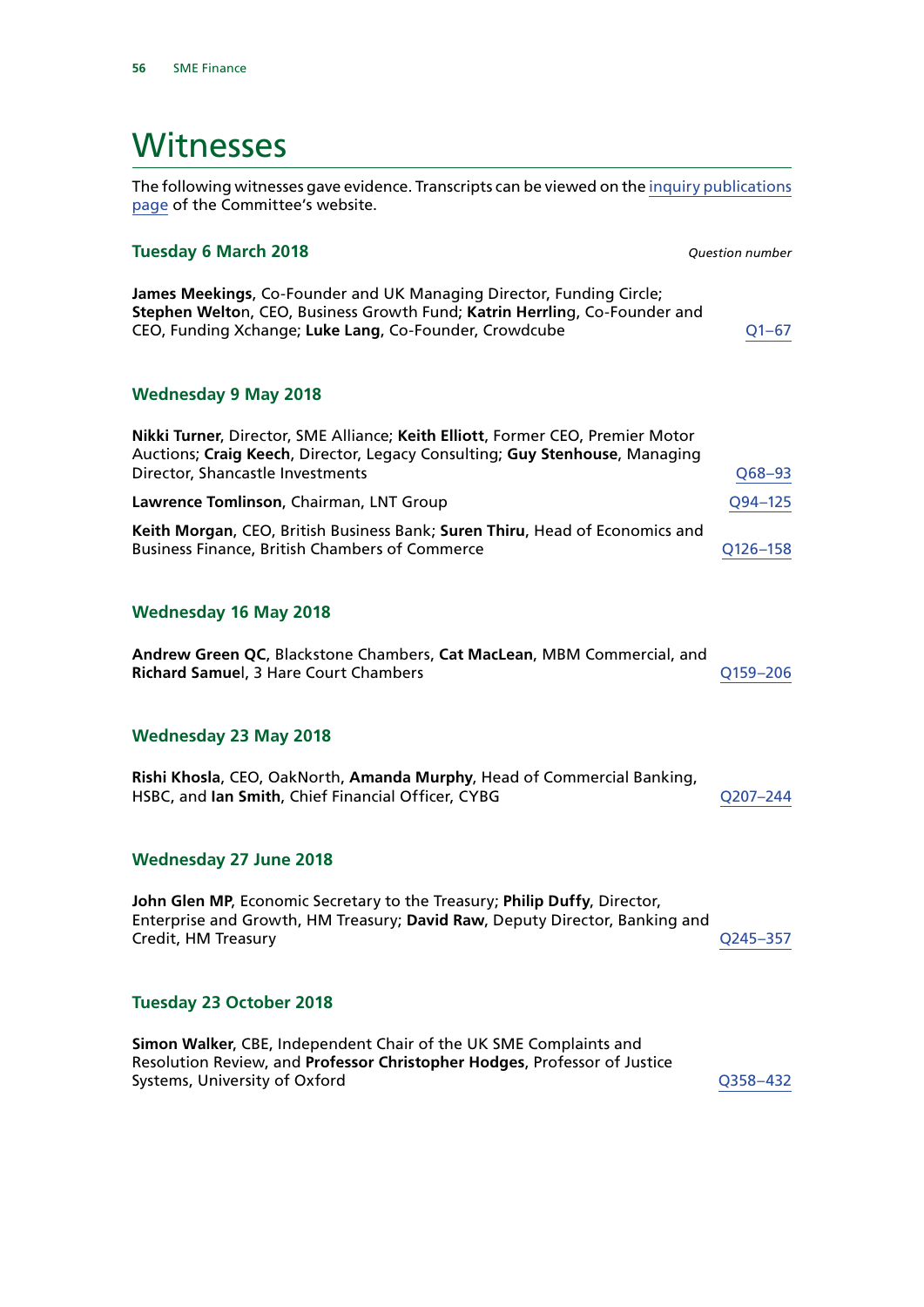# <span id="page-57-0"></span>**Witnesses**

The following witnesses gave evidence. Transcripts can be viewed on the [inquiry publications](https://www.parliament.uk/business/committees/committees-a-z/commons-select/treasury-committee/inquiries1/parliament-2017/sme-finance-17-19/publications/) [page](https://www.parliament.uk/business/committees/committees-a-z/commons-select/treasury-committee/inquiries1/parliament-2017/sme-finance-17-19/publications/) of the Committee's website.

#### **Tuesday 6 March 2018** *Question number*

**James Meekings**, Co-Founder and UK Managing Director, Funding Circle; **Stephen Welto**n, CEO, Business Growth Fund; **Katrin Herrlin**g, Co-Founder and CEO, Funding Xchange; **Luke Lang**, Co-Founder, Crowdcube [Q1–67](http://data.parliament.uk/writtenevidence/committeeevidence.svc/evidencedocument/treasury-committee/sme-finance/oral/80033.html)

#### **Wednesday 9 May 2018**

| Nikki Turner, Director, SME Alliance; Keith Elliott, Former CEO, Premier Motor<br>Auctions; Craig Keech, Director, Legacy Consulting; Guy Stenhouse, Managing |              |
|---------------------------------------------------------------------------------------------------------------------------------------------------------------|--------------|
| Director, Shancastle Investments                                                                                                                              | $Q68 - 93$   |
| Lawrence Tomlinson, Chairman, LNT Group                                                                                                                       | Q94-125      |
| Keith Morgan, CEO, British Business Bank; Suren Thiru, Head of Economics and                                                                                  |              |
| <b>Business Finance, British Chambers of Commerce</b>                                                                                                         | $O126 - 158$ |

#### **Wednesday 16 May 2018**

| Andrew Green QC, Blackstone Chambers, Cat MacLean, MBM Commercial, and |          |
|------------------------------------------------------------------------|----------|
| <b>Richard Samuel, 3 Hare Court Chambers</b>                           | O159-206 |

#### **Wednesday 23 May 2018**

| Rishi Khosla, CEO, OakNorth, Amanda Murphy, Head of Commercial Banking, |          |
|-------------------------------------------------------------------------|----------|
| HSBC, and lan Smith, Chief Financial Officer, CYBG                      | O207-244 |

#### **Wednesday 27 June 2018**

**John Glen MP**, Economic Secretary to the Treasury; **Philip Duffy**, Director, Enterprise and Growth, HM Treasury; **David Raw**, Deputy Director, Banking and Credit, HM Treasury [Q245–357](http://data.parliament.uk/writtenevidence/committeeevidence.svc/evidencedocument/treasury-committee/sme-finance/oral/86228.html)

#### **Tuesday 23 October 2018**

**Simon Walker**, CBE, Independent Chair of the UK SME Complaints and Resolution Review, and **Professor Christopher Hodges**, Professor of Justice Systems, University of Oxford [Q358–432](http://data.parliament.uk/writtenevidence/committeeevidence.svc/evidencedocument/treasury-committee/sme-finance/oral/91930.html)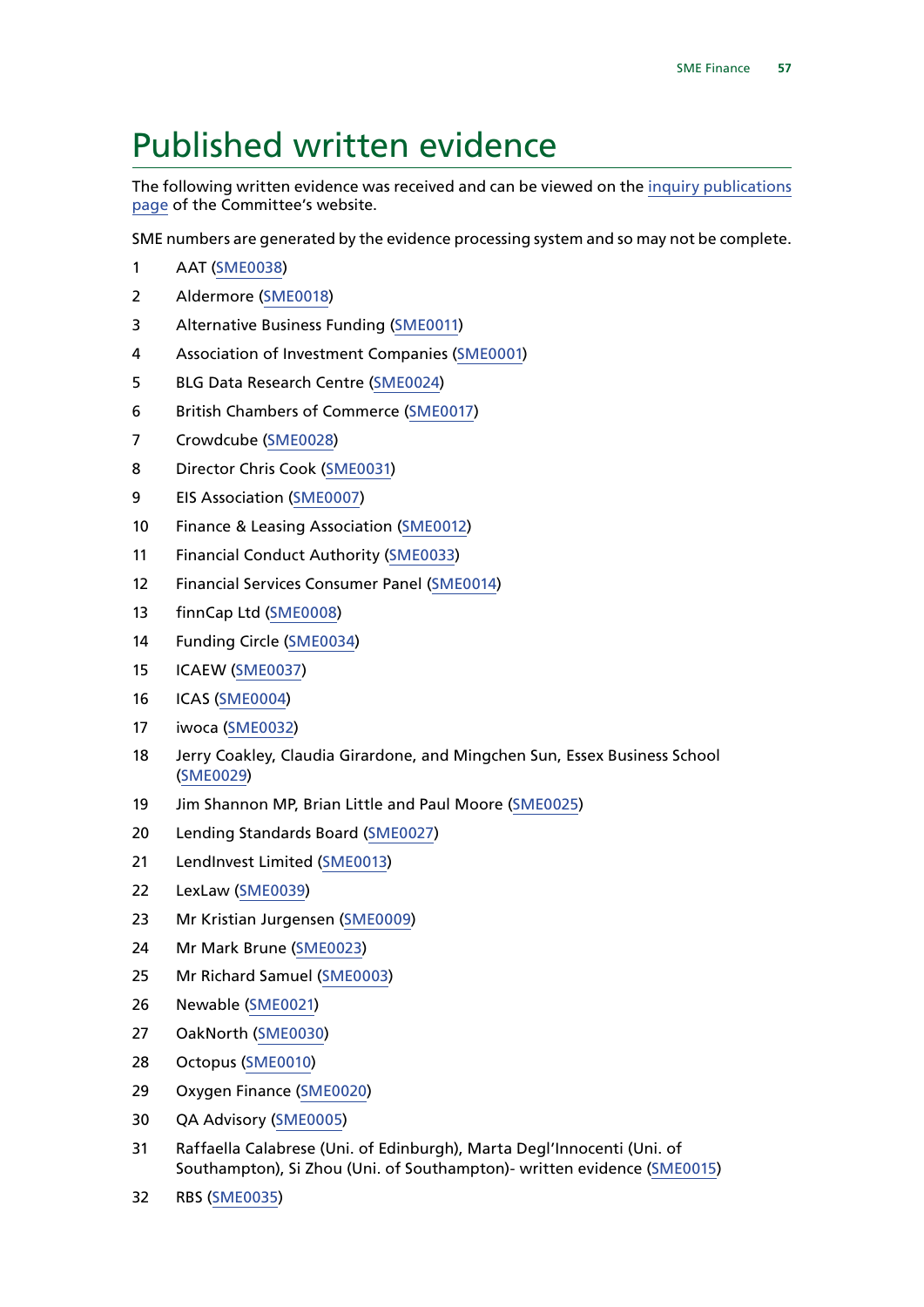# <span id="page-58-0"></span>Published written evidence

The following written evidence was received and can be viewed on the [inquiry publications](https://www.parliament.uk/business/committees/committees-a-z/commons-select/treasury-committee/inquiries1/parliament-2017/sme-finance-17-19/publications/) [page](https://www.parliament.uk/business/committees/committees-a-z/commons-select/treasury-committee/inquiries1/parliament-2017/sme-finance-17-19/publications/) of the Committee's website.

SME numbers are generated by the evidence processing system and so may not be complete.

- AAT [\(SME0038](http://data.parliament.uk/WrittenEvidence/CommitteeEvidence.svc/EvidenceDocument/Treasury/SME%20Finance/written/85603.html))
- Aldermore ([SME0018\)](http://data.parliament.uk/WrittenEvidence/CommitteeEvidence.svc/EvidenceDocument/Treasury/SME%20Finance/written/81000.html)
- Alternative Business Funding [\(SME0011](http://data.parliament.uk/WrittenEvidence/CommitteeEvidence.svc/EvidenceDocument/Treasury/SME%20Finance/written/80923.html))
- Association of Investment Companies ([SME0001\)](http://data.parliament.uk/WrittenEvidence/CommitteeEvidence.svc/EvidenceDocument/Treasury/SME%20Finance/written/79875.html)
- BLG Data Research Centre ([SME0024](http://data.parliament.uk/WrittenEvidence/CommitteeEvidence.svc/EvidenceDocument/Treasury/SME%20Finance/written/81023.html))
- British Chambers of Commerce ([SME0017](http://data.parliament.uk/WrittenEvidence/CommitteeEvidence.svc/EvidenceDocument/Treasury/SME%20Finance/written/80990.html))
- Crowdcube [\(SME0028\)](http://data.parliament.uk/WrittenEvidence/CommitteeEvidence.svc/EvidenceDocument/Treasury/SME%20Finance/written/81028.html)
- Director Chris Cook [\(SME0031\)](http://data.parliament.uk/WrittenEvidence/CommitteeEvidence.svc/EvidenceDocument/Treasury/SME%20Finance/written/81033.html)
- EIS Association [\(SME0007\)](http://data.parliament.uk/WrittenEvidence/CommitteeEvidence.svc/EvidenceDocument/Treasury/SME%20Finance/written/80814.html)
- Finance & Leasing Association [\(SME0012\)](http://data.parliament.uk/WrittenEvidence/CommitteeEvidence.svc/EvidenceDocument/Treasury/SME%20Finance/written/80935.html)
- Financial Conduct Authority ([SME0033](http://data.parliament.uk/WrittenEvidence/CommitteeEvidence.svc/EvidenceDocument/Treasury/SME%20Finance/written/81089.html))
- Financial Services Consumer Panel [\(SME0014](http://data.parliament.uk/WrittenEvidence/CommitteeEvidence.svc/EvidenceDocument/Treasury/SME%20Finance/written/80960.html))
- finnCap Ltd [\(SME0008](http://data.parliament.uk/WrittenEvidence/CommitteeEvidence.svc/EvidenceDocument/Treasury/SME%20Finance/written/80850.html))
- Funding Circle [\(SME0034\)](http://data.parliament.uk/WrittenEvidence/CommitteeEvidence.svc/EvidenceDocument/Treasury/SME%20Finance/written/81118.html)
- ICAEW ([SME0037](http://data.parliament.uk/WrittenEvidence/CommitteeEvidence.svc/EvidenceDocument/Treasury/SME%20Finance/written/82466.html))
- ICAS [\(SME0004](http://data.parliament.uk/WrittenEvidence/CommitteeEvidence.svc/EvidenceDocument/Treasury/SME%20Finance/written/80648.html))
- iwoca ([SME0032](http://data.parliament.uk/WrittenEvidence/CommitteeEvidence.svc/EvidenceDocument/Treasury/SME%20Finance/written/81034.html))
- Jerry Coakley, Claudia Girardone, and Mingchen Sun, Essex Business School ([SME0029](http://data.parliament.uk/WrittenEvidence/CommitteeEvidence.svc/EvidenceDocument/Treasury/SME%20Finance/written/81029.html))
- Jim Shannon MP, Brian Little and Paul Moore [\(SME0025\)](http://data.parliament.uk/WrittenEvidence/CommitteeEvidence.svc/EvidenceDocument/Treasury/SME%20Finance/written/81024.html)
- Lending Standards Board [\(SME0027\)](http://data.parliament.uk/WrittenEvidence/CommitteeEvidence.svc/EvidenceDocument/Treasury/SME%20Finance/written/81027.html)
- LendInvest Limited ([SME0013](http://data.parliament.uk/WrittenEvidence/CommitteeEvidence.svc/EvidenceDocument/Treasury/SME%20Finance/written/80953.html))
- LexLaw [\(SME0039\)](http://data.parliament.uk/WrittenEvidence/CommitteeEvidence.svc/EvidenceDocument/Treasury/SME%20Finance/written/86001.html)
- Mr Kristian Jurgensen ([SME0009\)](http://data.parliament.uk/WrittenEvidence/CommitteeEvidence.svc/EvidenceDocument/Treasury/SME%20Finance/written/80909.html)
- Mr Mark Brune ([SME0023](http://data.parliament.uk/WrittenEvidence/CommitteeEvidence.svc/EvidenceDocument/Treasury/SME%20Finance/written/81012.html))
- Mr Richard Samuel ([SME0003](http://data.parliament.uk/WrittenEvidence/CommitteeEvidence.svc/EvidenceDocument/Treasury/SME%20Finance/written/80559.html))
- Newable ([SME0021](http://data.parliament.uk/WrittenEvidence/CommitteeEvidence.svc/EvidenceDocument/Treasury/SME%20Finance/written/81009.html))
- OakNorth [\(SME0030\)](http://data.parliament.uk/WrittenEvidence/CommitteeEvidence.svc/EvidenceDocument/Treasury/SME%20Finance/written/81031.html)
- Octopus [\(SME0010](http://data.parliament.uk/WrittenEvidence/CommitteeEvidence.svc/EvidenceDocument/Treasury/SME%20Finance/written/80915.html))
- Oxygen Finance ([SME0020](http://data.parliament.uk/WrittenEvidence/CommitteeEvidence.svc/EvidenceDocument/Treasury/SME%20Finance/written/81006.html))
- QA Advisory ([SME0005\)](http://data.parliament.uk/WrittenEvidence/CommitteeEvidence.svc/EvidenceDocument/Treasury/SME%20Finance/written/80720.html)
- Raffaella Calabrese (Uni. of Edinburgh), Marta Degl'Innocenti (Uni. of Southampton), Si Zhou (Uni. of Southampton)- written evidence ([SME0015\)](http://data.parliament.uk/WrittenEvidence/CommitteeEvidence.svc/EvidenceDocument/Treasury/SME%20Finance/written/80971.html)
- RBS ([SME0035](http://data.parliament.uk/WrittenEvidence/CommitteeEvidence.svc/EvidenceDocument/Treasury/SME%20Finance/written/82255.html))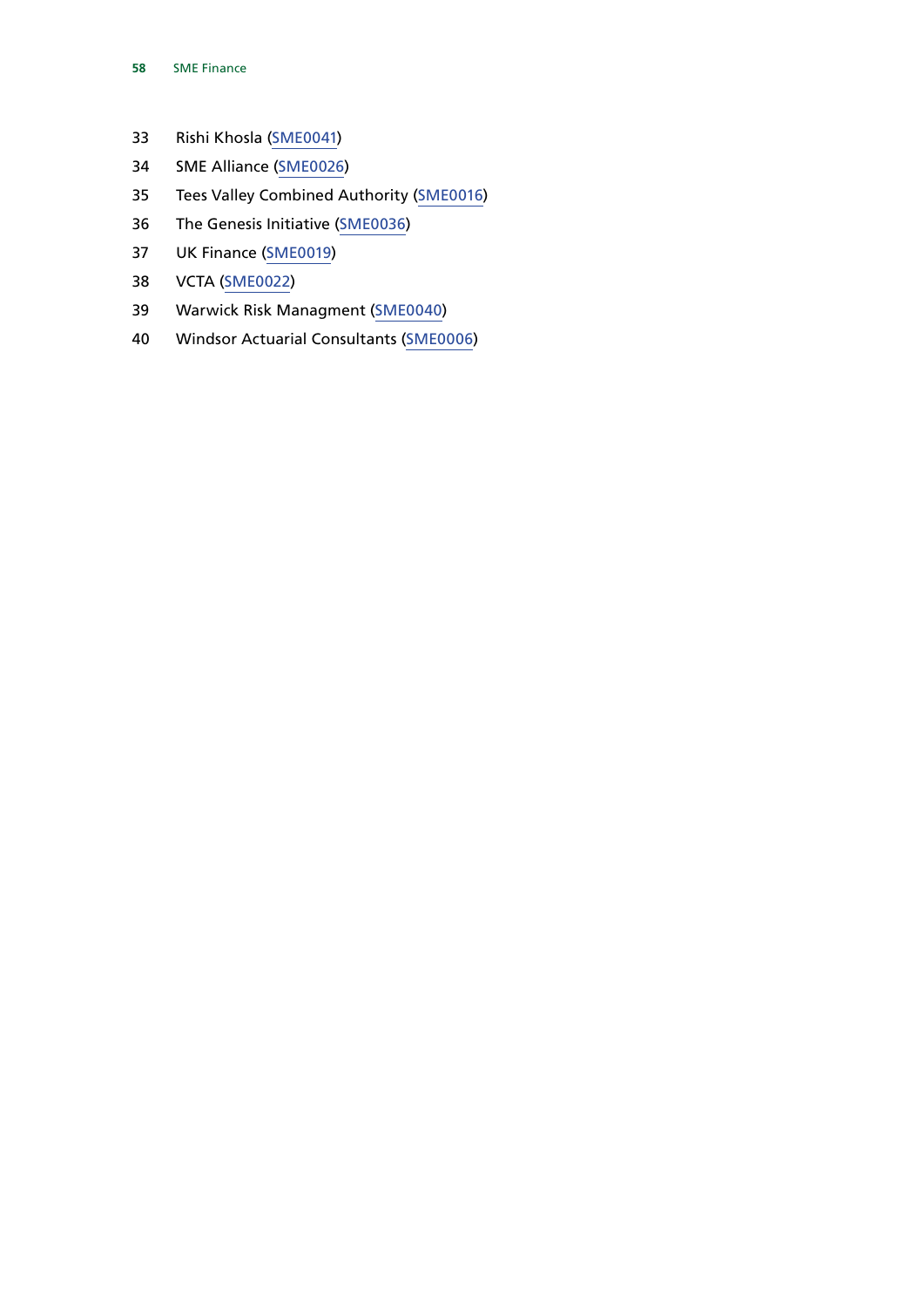- Rishi Khosla [\(SME0041](http://data.parliament.uk/WrittenEvidence/CommitteeEvidence.svc/EvidenceDocument/Treasury/SME%20Finance/written/88535.html))
- SME Alliance [\(SME0026\)](http://data.parliament.uk/WrittenEvidence/CommitteeEvidence.svc/EvidenceDocument/Treasury/SME%20Finance/written/81025.html)
- Tees Valley Combined Authority [\(SME0016](http://data.parliament.uk/WrittenEvidence/CommitteeEvidence.svc/EvidenceDocument/Treasury/SME%20Finance/written/80978.html))
- The Genesis Initiative ([SME0036](http://data.parliament.uk/WrittenEvidence/CommitteeEvidence.svc/EvidenceDocument/Treasury/SME%20Finance/written/82256.html))
- UK Finance ([SME0019](http://data.parliament.uk/WrittenEvidence/CommitteeEvidence.svc/EvidenceDocument/Treasury/SME%20Finance/written/81001.html))
- VCTA ([SME0022](http://data.parliament.uk/WrittenEvidence/CommitteeEvidence.svc/EvidenceDocument/Treasury/SME%20Finance/written/81010.html))
- Warwick Risk Managment ([SME0040\)](http://data.parliament.uk/WrittenEvidence/CommitteeEvidence.svc/EvidenceDocument/Treasury/SME%20Finance/written/86002.html)
- Windsor Actuarial Consultants ([SME0006\)](http://data.parliament.uk/WrittenEvidence/CommitteeEvidence.svc/EvidenceDocument/Treasury/SME%20Finance/written/80759.html)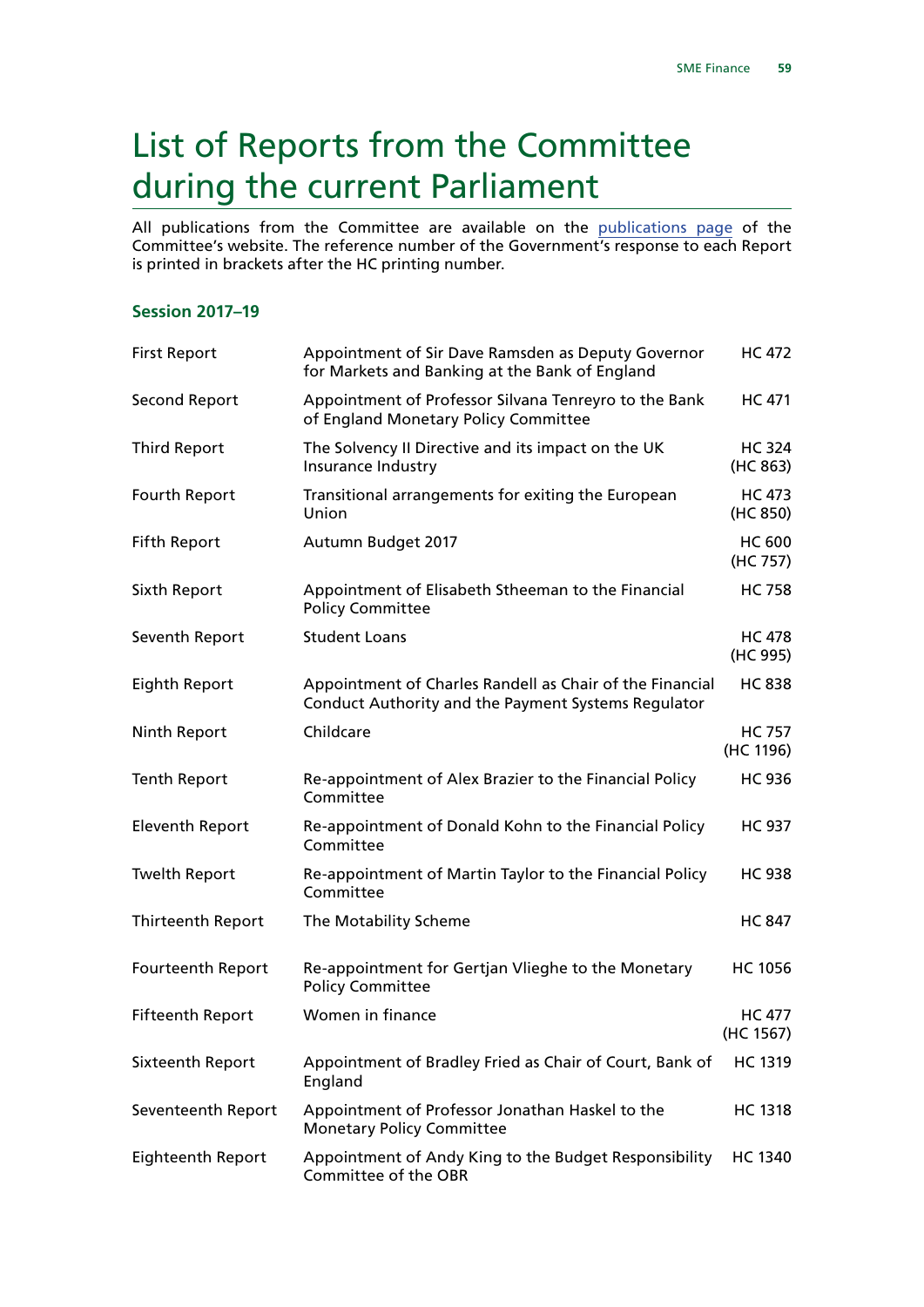# <span id="page-60-0"></span>List of Reports from the Committee during the current Parliament

All publications from the Committee are available on the [publications page](https://www.parliament.uk/business/committees/committees-a-z/commons-select/treasury-committee/publications/) of the Committee's website. The reference number of the Government's response to each Report is printed in brackets after the HC printing number.

#### **Session 2017–19**

| <b>First Report</b>      | Appointment of Sir Dave Ramsden as Deputy Governor<br>for Markets and Banking at the Bank of England            | <b>HC 472</b>              |
|--------------------------|-----------------------------------------------------------------------------------------------------------------|----------------------------|
| <b>Second Report</b>     | Appointment of Professor Silvana Tenreyro to the Bank<br>of England Monetary Policy Committee                   | <b>HC 471</b>              |
| <b>Third Report</b>      | The Solvency II Directive and its impact on the UK<br>Insurance Industry                                        | <b>HC 324</b><br>(HC 863)  |
| Fourth Report            | Transitional arrangements for exiting the European<br>Union                                                     | <b>HC 473</b><br>(HC 850)  |
| <b>Fifth Report</b>      | Autumn Budget 2017                                                                                              | <b>HC 600</b><br>(HC 757)  |
| Sixth Report             | Appointment of Elisabeth Stheeman to the Financial<br><b>Policy Committee</b>                                   | <b>HC 758</b>              |
| Seventh Report           | <b>Student Loans</b>                                                                                            | <b>HC 478</b><br>(HC 995)  |
| <b>Eighth Report</b>     | Appointment of Charles Randell as Chair of the Financial<br>Conduct Authority and the Payment Systems Regulator | <b>HC 838</b>              |
| Ninth Report             | Childcare                                                                                                       | <b>HC 757</b><br>(HC 1196) |
| <b>Tenth Report</b>      | Re-appointment of Alex Brazier to the Financial Policy<br>Committee                                             | <b>HC 936</b>              |
| <b>Eleventh Report</b>   | Re-appointment of Donald Kohn to the Financial Policy<br>Committee                                              | <b>HC 937</b>              |
| <b>Twelth Report</b>     | Re-appointment of Martin Taylor to the Financial Policy<br>Committee                                            | <b>HC 938</b>              |
| <b>Thirteenth Report</b> | The Motability Scheme                                                                                           | <b>HC 847</b>              |
| Fourteenth Report        | Re-appointment for Gertjan Vlieghe to the Monetary<br><b>Policy Committee</b>                                   | <b>HC 1056</b>             |
| <b>Fifteenth Report</b>  | Women in finance                                                                                                | <b>HC 477</b><br>(HC 1567) |
| Sixteenth Report         | Appointment of Bradley Fried as Chair of Court, Bank of<br>England                                              | HC 1319                    |
| Seventeenth Report       | Appointment of Professor Jonathan Haskel to the<br><b>Monetary Policy Committee</b>                             | <b>HC 1318</b>             |
| <b>Eighteenth Report</b> | Appointment of Andy King to the Budget Responsibility<br>Committee of the OBR                                   | <b>HC 1340</b>             |